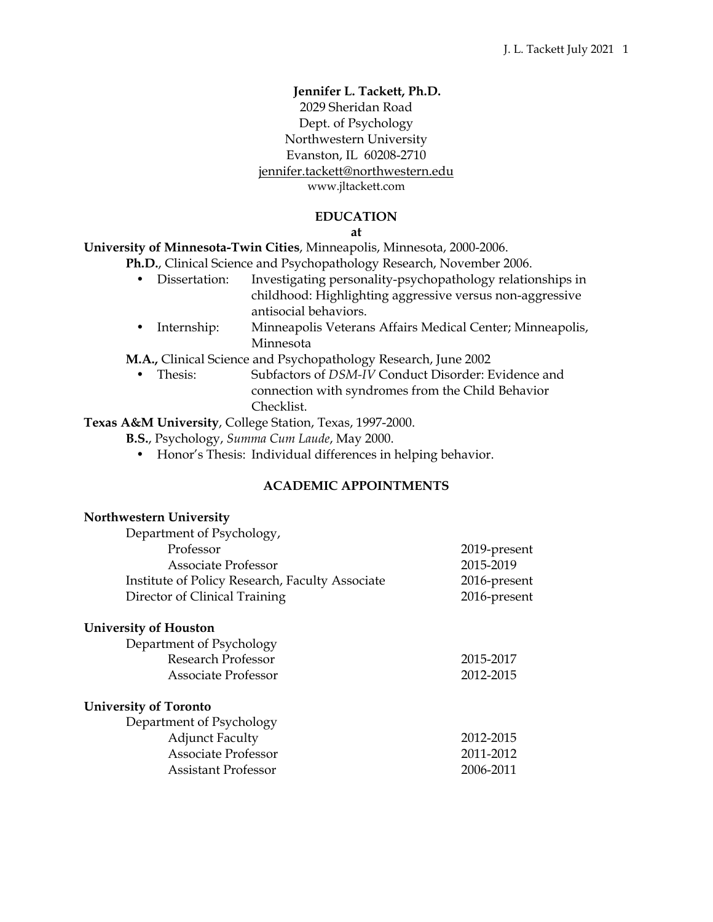# **Jennifer L. Tackett, Ph.D.** 2029 Sheridan Road Dept. of Psychology Northwestern University Evanston, IL 60208-2710 jennifer.tackett@northwestern.edu

[www.jltackett.com](http://www.uh.edu/class/psychology/clinical-psych/research/padlab/index.php%22%20%5Ct%20%22_blank)

### **EDUCATION**

**at**

**University of Minnesota-Twin Cities**, Minneapolis, Minnesota, 2000-2006.

- **Ph.D.**, Clinical Science and Psychopathology Research, November 2006.
	- Dissertation: Investigating personality-psychopathology relationships in childhood: Highlighting aggressive versus non-aggressive antisocial behaviors.
	- Internship: Minneapolis Veterans Affairs Medical Center; Minneapolis, Minnesota

**M.A.,** Clinical Science and Psychopathology Research, June 2002

• Thesis: Subfactors of *DSM-IV* Conduct Disorder: Evidence and connection with syndromes from the Child Behavior Checklist.

**Texas A&M University**, College Station, Texas, 1997-2000.

**B.S.**, Psychology, *Summa Cum Laude*, May 2000.

• Honor's Thesis: Individual differences in helping behavior.

# **ACADEMIC APPOINTMENTS**

| <b>Northwestern University</b>                  |              |
|-------------------------------------------------|--------------|
| Department of Psychology,                       |              |
| Professor                                       | 2019-present |
| Associate Professor                             | 2015-2019    |
| Institute of Policy Research, Faculty Associate | 2016-present |
| Director of Clinical Training                   | 2016-present |
| <b>University of Houston</b>                    |              |
| Department of Psychology                        |              |
| <b>Research Professor</b>                       | 2015-2017    |
| Associate Professor                             | 2012-2015    |
| <b>University of Toronto</b>                    |              |
| Department of Psychology                        |              |
| <b>Adjunct Faculty</b>                          | 2012-2015    |
| <b>Associate Professor</b>                      | 2011-2012    |
| Assistant Professor                             | 2006-2011    |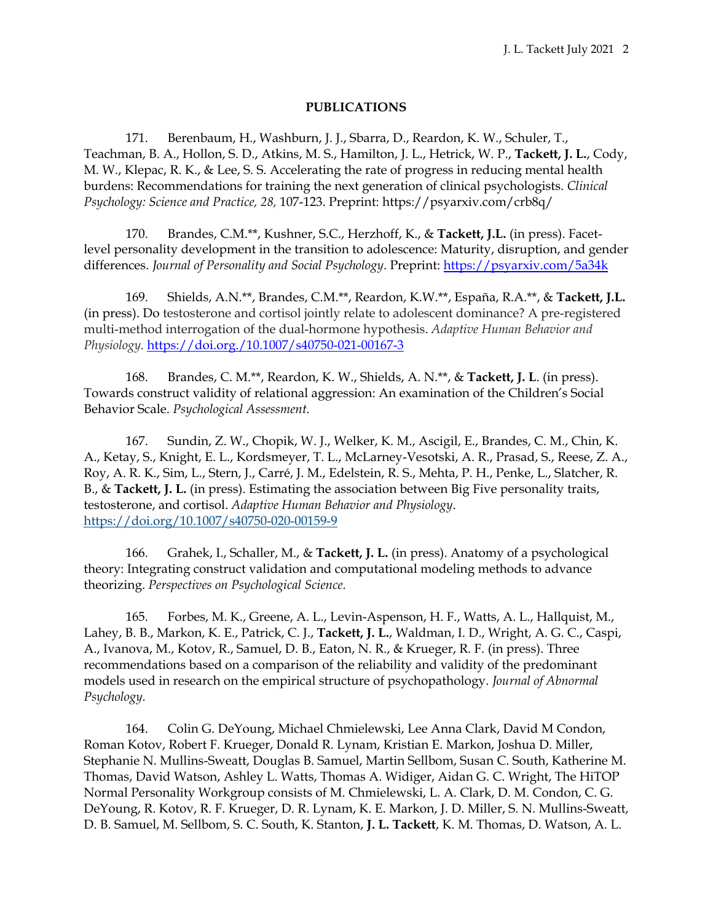### **PUBLICATIONS**

171. Berenbaum, H., Washburn, J. J., Sbarra, D., Reardon, K. W., Schuler, T., Teachman, B. A., Hollon, S. D., Atkins, M. S., Hamilton, J. L., Hetrick, W. P., **Tackett, J. L.**, Cody, M. W., Klepac, R. K., & Lee, S. S. Accelerating the rate of progress in reducing mental health burdens: Recommendations for training the next generation of clinical psychologists. *Clinical Psychology: Science and Practice, 28,* 107-123. Preprint: https://psyarxiv.com/crb8q/

170. Brandes, C.M.\*\*, Kushner, S.C., Herzhoff, K., & **Tackett, J.L.** (in press). Facetlevel personality development in the transition to adolescence: Maturity, disruption, and gender differences. *Journal of Personality and Social Psychology*. Preprint:<https://psyarxiv.com/5a34k>

169. Shields, A.N.\*\*, Brandes, C.M.\*\*, Reardon, K.W.\*\*, España, R.A.\*\*, & **Tackett, J.L.** (in press). Do testosterone and cortisol jointly relate to adolescent dominance? A pre-registered multi-method interrogation of the dual-hormone hypothesis. *Adaptive Human Behavior and Physiology.* <https://doi.org./10.1007/s40750-021-00167-3>

168. Brandes, C. M.\*\*, Reardon, K. W., Shields, A. N.\*\*, & **Tackett, J. L**. (in press). Towards construct validity of relational aggression: An examination of the Children's Social Behavior Scale. *Psychological Assessment.*

167. Sundin, Z. W., Chopik, W. J., Welker, K. M., Ascigil, E., Brandes, C. M., Chin, K. A., Ketay, S., Knight, E. L., Kordsmeyer, T. L., McLarney-Vesotski, A. R., Prasad, S., Reese, Z. A., Roy, A. R. K., Sim, L., Stern, J., Carré, J. M., Edelstein, R. S., Mehta, P. H., Penke, L., Slatcher, R. B., & **Tackett, J. L.** (in press). Estimating the association between Big Five personality traits, testosterone, and cortisol. *Adaptive Human Behavior and Physiology*. <https://doi.org/10.1007/s40750-020-00159-9>

166. Grahek, I., Schaller, M., & **Tackett, J. L.** (in press). Anatomy of a psychological theory: Integrating construct validation and computational modeling methods to advance theorizing. *Perspectives on Psychological Science.*

165. Forbes, M. K., Greene, A. L., Levin-Aspenson, H. F., Watts, A. L., Hallquist, M., Lahey, B. B., Markon, K. E., Patrick, C. J., **Tackett, J. L.**, Waldman, I. D., Wright, A. G. C., Caspi, A., Ivanova, M., Kotov, R., Samuel, D. B., Eaton, N. R., & Krueger, R. F. (in press). Three recommendations based on a comparison of the reliability and validity of the predominant models used in research on the empirical structure of psychopathology. *Journal of Abnormal Psychology*.

164. Colin G. DeYoung, Michael Chmielewski, Lee Anna Clark, David M Condon, Roman Kotov, Robert F. Krueger, Donald R. Lynam, Kristian E. Markon, Joshua D. Miller, Stephanie N. Mullins-Sweatt, Douglas B. Samuel, Martin Sellbom, Susan C. South, Katherine M. Thomas, David Watson, Ashley L. Watts, Thomas A. Widiger, Aidan G. C. Wright, The HiTOP Normal Personality Workgroup consists of M. Chmielewski, L. A. Clark, D. M. Condon, C. G. DeYoung, R. Kotov, R. F. Krueger, D. R. Lynam, K. E. Markon, J. D. Miller, S. N. Mullins-Sweatt, D. B. Samuel, M. Sellbom, S. C. South, K. Stanton, **J. L. Tackett**, K. M. Thomas, D. Watson, A. L.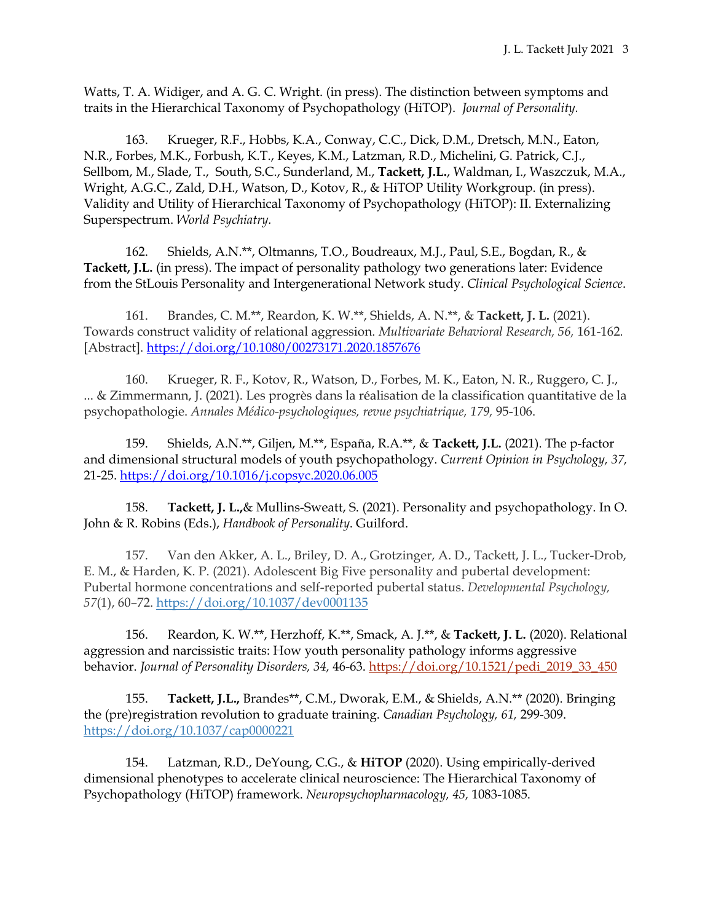Watts, T. A. Widiger, and A. G. C. Wright. (in press). The distinction between symptoms and traits in the Hierarchical Taxonomy of Psychopathology (HiTOP). *Journal of Personality.*

163. Krueger, R.F., Hobbs, K.A., Conway, C.C., Dick, D.M., Dretsch, M.N., Eaton, N.R., Forbes, M.K., Forbush, K.T., Keyes, K.M., Latzman, R.D., Michelini, G. Patrick, C.J., Sellbom, M., Slade, T., South, S.C., Sunderland, M., **Tackett, J.L.**, Waldman, I., Waszczuk, M.A., Wright, A.G.C., Zald, D.H., Watson, D., Kotov, R., & HiTOP Utility Workgroup. (in press). Validity and Utility of Hierarchical Taxonomy of Psychopathology (HiTOP): II. Externalizing Superspectrum. *World Psychiatry.*

162. Shields, A.N.\*\*, Oltmanns, T.O., Boudreaux, M.J., Paul, S.E., Bogdan, R., & **Tackett, J.L.** (in press). The impact of personality pathology two generations later: Evidence from the StLouis Personality and Intergenerational Network study. *Clinical Psychological Science*.

161. Brandes, C. M.\*\*, Reardon, K. W.\*\*, Shields, A. N.\*\*, & **Tackett, J. L.** (2021). Towards construct validity of relational aggression. *Multivariate Behavioral Research, 56,* 161-162*.*  [Abstract]. <https://doi.org/10.1080/00273171.2020.1857676>

160. Krueger, R. F., Kotov, R., Watson, D., Forbes, M. K., Eaton, N. R., Ruggero, C. J., ... & Zimmermann, J. (2021). Les progrès dans la réalisation de la classification quantitative de la psychopathologie. *Annales Médico-psychologiques, revue psychiatrique, 179,* 95-106.

159. Shields, A.N.\*\*, Giljen, M.\*\*, España, R.A.\*\*, & **Tackett, J.L.** (2021). The p-factor and dimensional structural models of youth psychopathology. *Current Opinion in Psychology, 37,* 21-25. [https://doi.org/10.1016/j.copsyc.2020.06.005](https://doi-org.turing.library.northwestern.edu/10.1016/j.copsyc.2020.06.005)

158. **Tackett, J. L.,**& Mullins-Sweatt, S. (2021). Personality and psychopathology. In O. John & R. Robins (Eds.), *Handbook of Personality*. Guilford.

157. Van den Akker, A. L., Briley, D. A., Grotzinger, A. D., Tackett, J. L., Tucker-Drob, E. M., & Harden, K. P. (2021). Adolescent Big Five personality and pubertal development: Pubertal hormone concentrations and self-reported pubertal status. *Developmental Psychology, 57*(1), 60–72. [https://doi.org/10.1037/dev0001135](https://psycnet.apa.org/doi/10.1037/dev0001135)

156. Reardon, K. W.\*\*, Herzhoff, K.\*\*, Smack, A. J.\*\*, & **Tackett, J. L.** (2020). Relational aggression and narcissistic traits: How youth personality pathology informs aggressive behavior. *Journal of Personality Disorders, 34,* 46-63. [https://doi.org/10.1521/pedi\\_2019\\_33\\_450](https://doi.org/10.1521/pedi_2019_33_450)

155. **Tackett, J.L.,** Brandes\*\*, C.M., Dworak, E.M., & Shields, A.N.\*\* (2020). Bringing the (pre)registration revolution to graduate training. *Canadian Psychology, 61,* 299-309. [https://doi.org/10.1037/cap0000221](https://psycnet.apa.org/doi/10.1037/cap0000221)

154. Latzman, R.D., DeYoung, C.G., & **HiTOP** (2020). Using empirically-derived dimensional phenotypes to accelerate clinical neuroscience: The Hierarchical Taxonomy of Psychopathology (HiTOP) framework. *Neuropsychopharmacology, 45,* 1083-1085.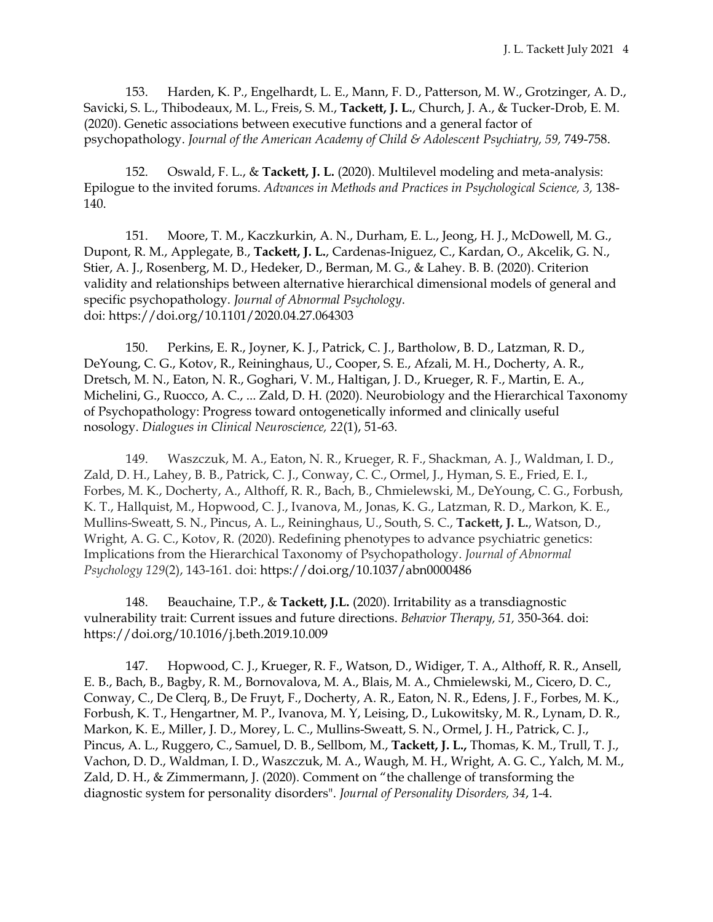153. Harden, K. P., Engelhardt, L. E., Mann, F. D., Patterson, M. W., Grotzinger, A. D., Savicki, S. L., Thibodeaux, M. L., Freis, S. M., **Tackett, J. L.**, Church, J. A., & Tucker-Drob, E. M. (2020). Genetic associations between executive functions and a general factor of psychopathology. *Journal of the American Academy of Child & Adolescent Psychiatry, 59,* 749-758.

152. Oswald, F. L., & **Tackett, J. L.** (2020). Multilevel modeling and meta-analysis: Epilogue to the invited forums. *Advances in Methods and Practices in Psychological Science, 3,* 138- 140.

151. Moore, T. M., Kaczkurkin, A. N., Durham, E. L., Jeong, H. J., McDowell, M. G., Dupont, R. M., Applegate, B., **Tackett, J. L.**, Cardenas-Iniguez, C., Kardan, O., Akcelik, G. N., Stier, A. J., Rosenberg, M. D., Hedeker, D., Berman, M. G., & Lahey. B. B. (2020). Criterion validity and relationships between alternative hierarchical dimensional models of general and specific psychopathology. *Journal of Abnormal Psychology*. doi: https://doi.org/10.1101/2020.04.27.064303

150. Perkins, E. R., Joyner, K. J., Patrick, C. J., Bartholow, B. D., Latzman, R. D., DeYoung, C. G., Kotov, R., Reininghaus, U., Cooper, S. E., Afzali, M. H., Docherty, A. R., Dretsch, M. N., Eaton, N. R., Goghari, V. M., Haltigan, J. D., Krueger, R. F., Martin, E. A., Michelini, G., Ruocco, A. C., ... Zald, D. H. (2020). Neurobiology and the Hierarchical Taxonomy of Psychopathology: Progress toward ontogenetically informed and clinically useful nosology. *Dialogues in Clinical Neuroscience, 22*(1), 51-63.

149. Waszczuk, M. A., Eaton, N. R., Krueger, R. F., Shackman, A. J., Waldman, I. D., Zald, D. H., Lahey, B. B., Patrick, C. J., Conway, C. C., Ormel, J., Hyman, S. E., Fried, E. I., Forbes, M. K., Docherty, A., Althoff, R. R., Bach, B., Chmielewski, M., DeYoung, C. G., Forbush, K. T., Hallquist, M., Hopwood, C. J., Ivanova, M., Jonas, K. G., Latzman, R. D., Markon, K. E., Mullins-Sweatt, S. N., Pincus, A. L., Reininghaus, U., South, S. C., **Tackett, J. L.**, Watson, D., Wright, A. G. C., Kotov, R. (2020). Redefining phenotypes to advance psychiatric genetics: Implications from the Hierarchical Taxonomy of Psychopathology. *Journal of Abnormal Psychology 129*(2), 143-161*.* doi: [https://doi.org/10.1037/abn0000486](https://psycnet.apa.org/doi/10.1037/abn0000486)

148. Beauchaine, T.P., & **Tackett, J.L.** (2020). Irritability as a transdiagnostic vulnerability trait: Current issues and future directions. *Behavior Therapy, 51,* 350-364. doi: <https://doi.org/10.1016/j.beth.2019.10.009>

147. Hopwood, C. J., Krueger, R. F., Watson, D., Widiger, T. A., Althoff, R. R., Ansell, E. B., Bach, B., Bagby, R. M., Bornovalova, M. A., Blais, M. A., Chmielewski, M., Cicero, D. C., Conway, C., De Clerq, B., De Fruyt, F., Docherty, A. R., Eaton, N. R., Edens, J. F., Forbes, M. K., Forbush, K. T., Hengartner, M. P., Ivanova, M. Y, Leising, D., Lukowitsky, M. R., Lynam, D. R., Markon, K. E., Miller, J. D., Morey, L. C., Mullins-Sweatt, S. N., Ormel, J. H., Patrick, C. J., Pincus, A. L., Ruggero, C., Samuel, D. B., Sellbom, M., **Tackett, J. L.,** Thomas, K. M., Trull, T. J., Vachon, D. D., Waldman, I. D., Waszczuk, M. A., Waugh, M. H., Wright, A. G. C., Yalch, M. M., Zald, D. H., & Zimmermann, J. (2020). Comment on "the challenge of transforming the diagnostic system for personality disorders". *Journal of Personality Disorders, 34*, 1-4.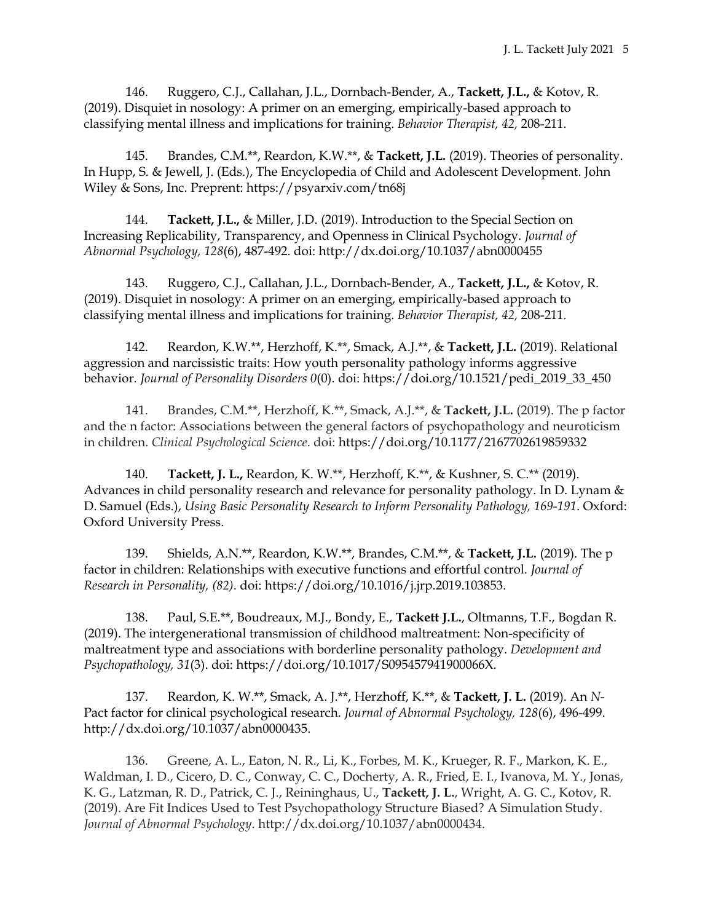146. Ruggero, C.J., Callahan, J.L., Dornbach-Bender, A., **Tackett, J.L.,** & Kotov, R. (2019). Disquiet in nosology: A primer on an emerging, empirically-based approach to classifying mental illness and implications for training. *Behavior Therapist, 42,* 208-211*.*

145. Brandes, C.M.\*\*, Reardon, K.W.\*\*, & **Tackett, J.L.** (2019). Theories of personality. In Hupp, S. & Jewell, J. (Eds.), The Encyclopedia of Child and Adolescent Development. John Wiley & Sons, Inc. Preprent: https://psyarxiv.com/tn68j

144. **Tackett, J.L.,** & Miller, J.D. (2019). Introduction to the Special Section on Increasing Replicability, Transparency, and Openness in Clinical Psychology. *Journal of Abnormal Psychology, 128*(6), 487-492. doi: http://dx.doi.org/10.1037/abn0000455

143. Ruggero, C.J., Callahan, J.L., Dornbach-Bender, A., **Tackett, J.L.,** & Kotov, R. (2019). Disquiet in nosology: A primer on an emerging, empirically-based approach to classifying mental illness and implications for training. *Behavior Therapist, 42,* 208-211*.*

142. Reardon, K.W.\*\*, Herzhoff, K.\*\*, Smack, A.J.\*\*, & **Tackett, J.L.** (2019). Relational aggression and narcissistic traits: How youth personality pathology informs aggressive behavior. *Journal of Personality Disorders 0*(0). doi: [https://doi.org/10.1521/pedi\\_2019\\_33\\_450](https://doi.org/10.1521/pedi_2019_33_450)

141. Brandes, C.M.\*\*, Herzhoff, K.\*\*, Smack, A.J.\*\*, & **Tackett, J.L.** (2019). The p factor and the n factor: Associations between the general factors of psychopathology and neuroticism in children. *Clinical Psychological Science*. doi:<https://doi.org/10.1177/2167702619859332>

140. **Tackett, J. L.,** Reardon, K. W.\*\*, Herzhoff, K.\*\*, & Kushner, S. C.\*\* (2019). Advances in child personality research and relevance for personality pathology. In D. Lynam & D. Samuel (Eds.), *Using Basic Personality Research to Inform Personality Pathology, 169-191*. Oxford: Oxford University Press.

139. Shields, A.N.\*\*, Reardon, K.W.\*\*, Brandes, C.M.\*\*, & **Tackett, J.L.** (2019). The p factor in children: Relationships with executive functions and effortful control. *Journal of Research in Personality, (82)*. doi: https://doi.org/10.1016/j.jrp.2019.103853.

138. Paul, S.E.\*\*, Boudreaux, M.J., Bondy, E., **Tackett J.L.**, Oltmanns, T.F., Bogdan R. (2019). The intergenerational transmission of childhood maltreatment: Non-specificity of maltreatment type and associations with borderline personality pathology. *Development and Psychopathology, 31*(3). doi: https://doi.org/10.1017/S095457941900066X.

137. Reardon, K. W.\*\*, Smack, A. J.\*\*, Herzhoff, K.\*\*, & **Tackett, J. L.** (2019). An *N*-Pact factor for clinical psychological research. *Journal of Abnormal Psychology, 128*(6), 496-499. http://dx.doi.org/10.1037/abn0000435.

136. Greene, A. L., Eaton, N. R., Li, K., Forbes, M. K., Krueger, R. F., Markon, K. E., Waldman, I. D., Cicero, D. C., Conway, C. C., Docherty, A. R., Fried, E. I., Ivanova, M. Y., Jonas, K. G., Latzman, R. D., Patrick, C. J., Reininghaus, U., **Tackett, J. L.**, Wright, A. G. C., Kotov, R. (2019). Are Fit Indices Used to Test Psychopathology Structure Biased? A Simulation Study. *Journal of Abnormal Psychology*. http://dx.doi.org/10.1037/abn0000434.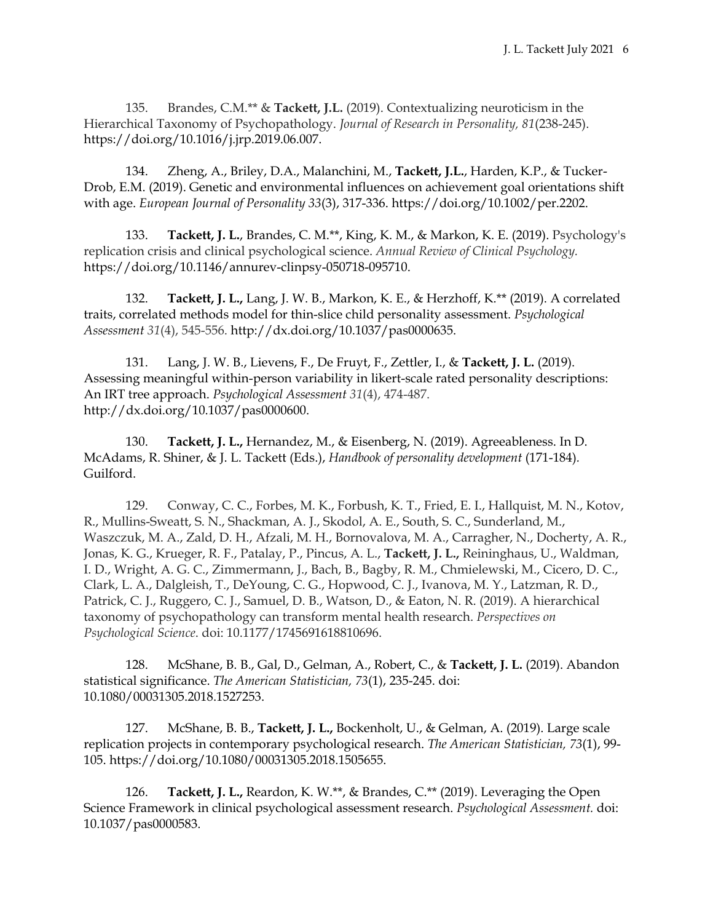135. Brandes, C.M.\*\* & **Tackett, J.L.** (2019). Contextualizing neuroticism in the Hierarchical Taxonomy of Psychopathology. *Journal of Research in Personality, 81*(238-245). [https://doi.org/10.1016/j.jrp.2019.06.007.](https://doi.org/10.1016/j.jrp.2019.06.007)

134. Zheng, A., Briley, D.A., Malanchini, M., **Tackett, J.L.**, Harden, K.P., & Tucker-Drob, E.M. (2019). Genetic and environmental influences on achievement goal orientations shift with age. *European Journal of Personality 33*(3), 317-336. [https://doi.org/10.1002/per.2202.](https://doi.org/10.1002/per.2202)

133. **Tackett, J. L.**, Brandes, C. M.\*\*, King, K. M., & Markon, K. E. (2019). Psychology's replication crisis and clinical psychological science. *Annual Review of Clinical Psychology.*  https://doi.org/10.1146/annurev-clinpsy-050718-095710.

132. **Tackett, J. L.,** Lang, J. W. B., Markon, K. E., & Herzhoff, K.\*\* (2019). A correlated traits, correlated methods model for thin-slice child personality assessment. *Psychological Assessment 31*(4), 545-556. [http://dx.doi.org/10.1037/pas0000635.](http://dx.doi.org/10.1037/pas0000635)

131. Lang, J. W. B., Lievens, F., De Fruyt, F., Zettler, I., & **Tackett, J. L.** (2019). Assessing meaningful within-person variability in likert-scale rated personality descriptions: An IRT tree approach. *Psychological Assessment 31*(4), 474-487. [http://dx.doi.org/10.1037/pas0000600.](https://psycnet.apa.org/doi/10.1037/pas0000600)

130. **Tackett, J. L.,** Hernandez, M., & Eisenberg, N. (2019). Agreeableness. In D. McAdams, R. Shiner, & J. L. Tackett (Eds.), *Handbook of personality development* (171-184)*.* Guilford.

129. Conway, C. C., Forbes, M. K., Forbush, K. T., Fried, E. I., Hallquist, M. N., Kotov, R., Mullins-Sweatt, S. N., Shackman, A. J., Skodol, A. E., South, S. C., Sunderland, M., Waszczuk, M. A., Zald, D. H., Afzali, M. H., Bornovalova, M. A., Carragher, N., Docherty, A. R., Jonas, K. G., Krueger, R. F., Patalay, P., Pincus, A. L., **Tackett, J. L.,** Reininghaus, U., Waldman, I. D., Wright, A. G. C., Zimmermann, J., Bach, B., Bagby, R. M., Chmielewski, M., Cicero, D. C., Clark, L. A., Dalgleish, T., DeYoung, C. G., Hopwood, C. J., Ivanova, M. Y., Latzman, R. D., Patrick, C. J., Ruggero, C. J., Samuel, D. B., Watson, D., & Eaton, N. R. (2019). A hierarchical taxonomy of psychopathology can transform mental health research. *Perspectives on Psychological Science*. doi: 10.1177/1745691618810696.

128. McShane, B. B., Gal, D., Gelman, A., Robert, C., & **Tackett, J. L.** (2019). Abandon statistical significance. *The American Statistician, 73*(1), 235-245. doi: 10.1080/00031305.2018.1527253.

127. McShane, B. B., **Tackett, J. L.,** Bockenholt, U., & Gelman, A. (2019). Large scale replication projects in contemporary psychological research. *The American Statistician, 73*(1), 99- 105. https://doi.org/10.1080/00031305.2018.1505655.

126. **Tackett, J. L.,** Reardon, K. W.\*\*, & Brandes, C.\*\* (2019). Leveraging the Open Science Framework in clinical psychological assessment research. *Psychological Assessment.* doi: [10.1037/pas0000583.](https://doi.org/10.17605/OSF.IO/WM5G6)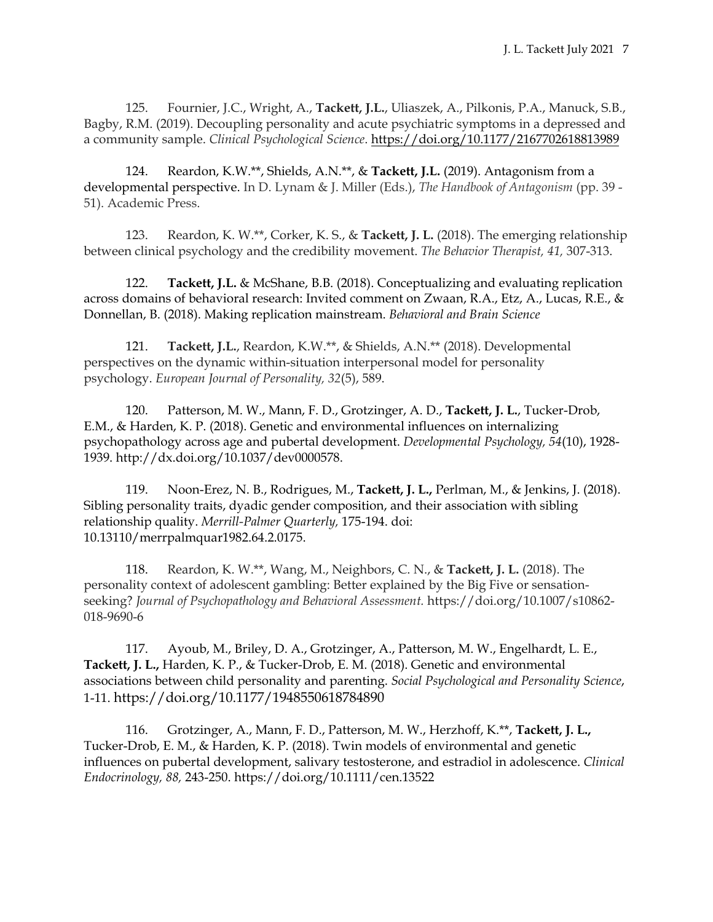125. Fournier, J.C., Wright, A., **Tackett, J.L.**, Uliaszek, A., Pilkonis, P.A., Manuck, S.B., Bagby, R.M. (2019). Decoupling personality and acute psychiatric symptoms in a depressed and a community sample. *Clinical Psychological Science*. [https://doi.org/10.1177/2167702618813989](https://doi.org/10.1177%2F2167702618813989)

124. Reardon, K.W.\*\*, Shields, A.N.\*\*, & **Tackett, J.L.** (2019). Antagonism from a developmental perspective. In D. Lynam & J. Miller (Eds.), *The Handbook of Antagonism* (pp. 39 - 51). Academic Press.

123. Reardon, K. W.\*\*, Corker, K. S., & **Tackett, J. L.** (2018). The emerging relationship between clinical psychology and the credibility movement. *The Behavior Therapist, 41,* 307-313.

122. **Tackett, J.L.** & McShane, B.B. (2018). Conceptualizing and evaluating replication across domains of behavioral research: Invited comment on Zwaan, R.A., Etz, A., Lucas, R.E., & Donnellan, B. (2018). Making replication mainstream. *Behavioral and Brain Science*

121. **Tackett, J.L.**, Reardon, K.W.\*\*, & Shields, A.N.\*\* (2018). Developmental perspectives on the dynamic within-situation interpersonal model for personality psychology. *European Journal of Personality, 32*(5), 589.

120. Patterson, M. W., Mann, F. D., Grotzinger, A. D., **Tackett, J. L.**, Tucker-Drob, E.M., & Harden, K. P. (2018). Genetic and environmental influences on internalizing psychopathology across age and pubertal development. *Developmental Psychology, 54*(10), 1928- 1939. http://dx.doi.org/10.1037/dev0000578.

119. Noon-Erez, N. B., Rodrigues, M., **Tackett, J. L.,** Perlman, M., & Jenkins, J. (2018). Sibling personality traits, dyadic gender composition, and their association with sibling relationship quality. *Merrill-Palmer Quarterly,* 175-194. doi: 10.13110/merrpalmquar1982.64.2.0175.

118. Reardon, K. W.\*\*, Wang, M., Neighbors, C. N., & **Tackett, J. L.** (2018). The personality context of adolescent gambling: Better explained by the Big Five or sensationseeking? *Journal of Psychopathology and Behavioral Assessment.* https://doi.org/10.1007/s10862- 018-9690-6

117. Ayoub, M., Briley, D. A., Grotzinger, A., Patterson, M. W., Engelhardt, L. E., **Tackett, J. L.,** Harden, K. P., & Tucker-Drob, E. M. (2018). Genetic and environmental associations between child personality and parenting. *Social Psychological and Personality Science*, 1-11. https://doi.org/10.1177/1948550618784890

116. Grotzinger, A., Mann, F. D., Patterson, M. W., Herzhoff, K.\*\*, **Tackett, J. L.,** Tucker-Drob, E. M., & Harden, K. P. (2018). Twin models of environmental and genetic influences on pubertal development, salivary testosterone, and estradiol in adolescence. *Clinical Endocrinology, 88,* 243-250. https://doi.org/10.1111/cen.13522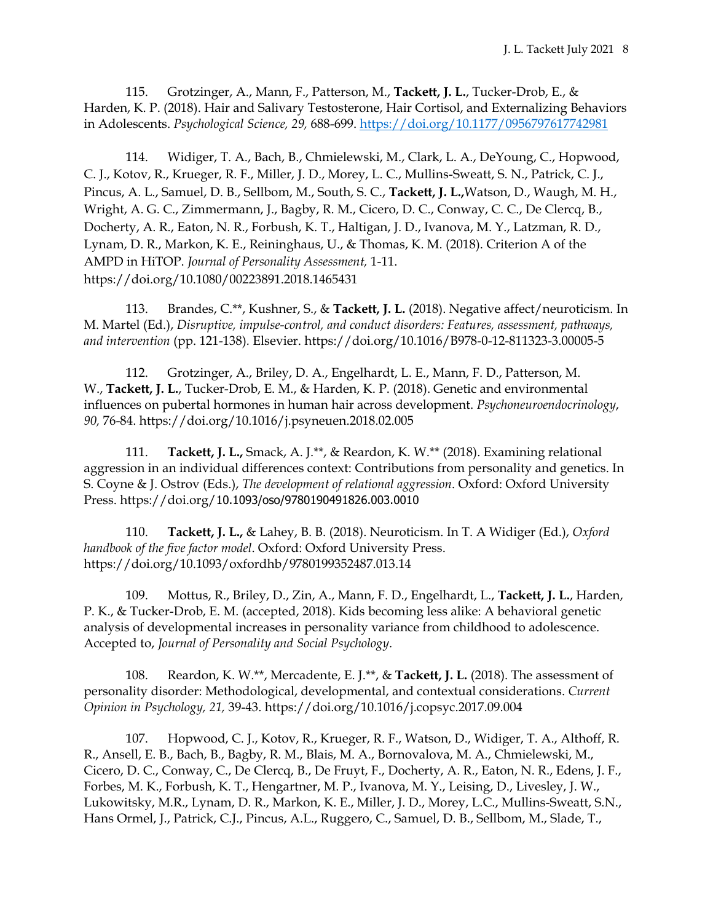115. Grotzinger, A., Mann, F., Patterson, M., **Tackett, J. L.**, Tucker-Drob, E., & Harden, K. P. (2018). Hair and Salivary Testosterone, Hair Cortisol, and Externalizing Behaviors in Adolescents. *Psychological Science, 29,* 688-699. [https://doi.org/10.1177/0956797617742981](https://doi.org/10.1177%2F0956797617742981)

114. Widiger, T. A., Bach, B., Chmielewski, M., Clark, L. A., DeYoung, C., Hopwood, C. J., Kotov, R., Krueger, R. F., Miller, J. D., Morey, L. C., Mullins-Sweatt, S. N., Patrick, C. J., Pincus, A. L., Samuel, D. B., Sellbom, M., South, S. C., **Tackett, J. L.,**Watson, D., Waugh, M. H., Wright, A. G. C., Zimmermann, J., Bagby, R. M., Cicero, D. C., Conway, C. C., De Clercq, B., Docherty, A. R., Eaton, N. R., Forbush, K. T., Haltigan, J. D., Ivanova, M. Y., Latzman, R. D., Lynam, D. R., Markon, K. E., Reininghaus, U., & Thomas, K. M. (2018). Criterion A of the AMPD in HiTOP. *Journal of Personality Assessment,* 1-11. https://doi.org/10.1080/00223891.2018.1465431

113. Brandes, C.\*\*, Kushner, S., & **Tackett, J. L.** (2018). Negative affect/neuroticism. In M. Martel (Ed.), *Disruptive, impulse-control, and conduct disorders: Features, assessment, pathways, and intervention* (pp. 121-138)*.* Elsevier. https://doi.org/10.1016/B978-0-12-811323-3.00005-5

112. Grotzinger, A., Briley, D. A., Engelhardt, L. E., Mann, F. D., Patterson, M. W., **Tackett, J. L.**, Tucker-Drob, E. M., & Harden, K. P. (2018). Genetic and environmental influences on pubertal hormones in human hair across development. *Psychoneuroendocrinology*, *90,* 76-84. https://doi.org/10.1016/j.psyneuen.2018.02.005

111. **Tackett, J. L.,** Smack, A. J.\*\*, & Reardon, K. W.\*\* (2018). Examining relational aggression in an individual differences context: Contributions from personality and genetics. In S. Coyne & J. Ostrov (Eds.), *The development of relational aggression*. Oxford: Oxford University Press. https://doi.org/10.1093/oso/9780190491826.003.0010

110. **Tackett, J. L.,** & Lahey, B. B. (2018). Neuroticism. In T. A Widiger (Ed.), *Oxford handbook of the five factor model*. Oxford: Oxford University Press. https://doi.org/10.1093/oxfordhb/9780199352487.013.14

109. Mottus, R., Briley, D., Zin, A., Mann, F. D., Engelhardt, L., **Tackett, J. L.**, Harden, P. K., & Tucker-Drob, E. M. (accepted, 2018). Kids becoming less alike: A behavioral genetic analysis of developmental increases in personality variance from childhood to adolescence. Accepted to, *Journal of Personality and Social Psychology*.

108. Reardon, K. W.\*\*, Mercadente, E. J.\*\*, & **Tackett, J. L.** (2018). The assessment of personality disorder: Methodological, developmental, and contextual considerations. *Current Opinion in Psychology, 21,* 39-43. https://doi.org/10.1016/j.copsyc.2017.09.004

107. Hopwood, C. J., Kotov, R., Krueger, R. F., Watson, D., Widiger, T. A., Althoff, R. R., Ansell, E. B., Bach, B., Bagby, R. M., Blais, M. A., Bornovalova, M. A., Chmielewski, M., Cicero, D. C., Conway, C., De Clercq, B., De Fruyt, F., Docherty, A. R., Eaton, N. R., Edens, J. F., Forbes, M. K., Forbush, K. T., Hengartner, M. P., Ivanova, M. Y., Leising, D., Livesley, J. W., Lukowitsky, M.R., Lynam, D. R., Markon, K. E., Miller, J. D., Morey, L.C., Mullins-Sweatt, S.N., Hans Ormel, J., Patrick, C.J., Pincus, A.L., Ruggero, C., Samuel, D. B., Sellbom, M., Slade, T.,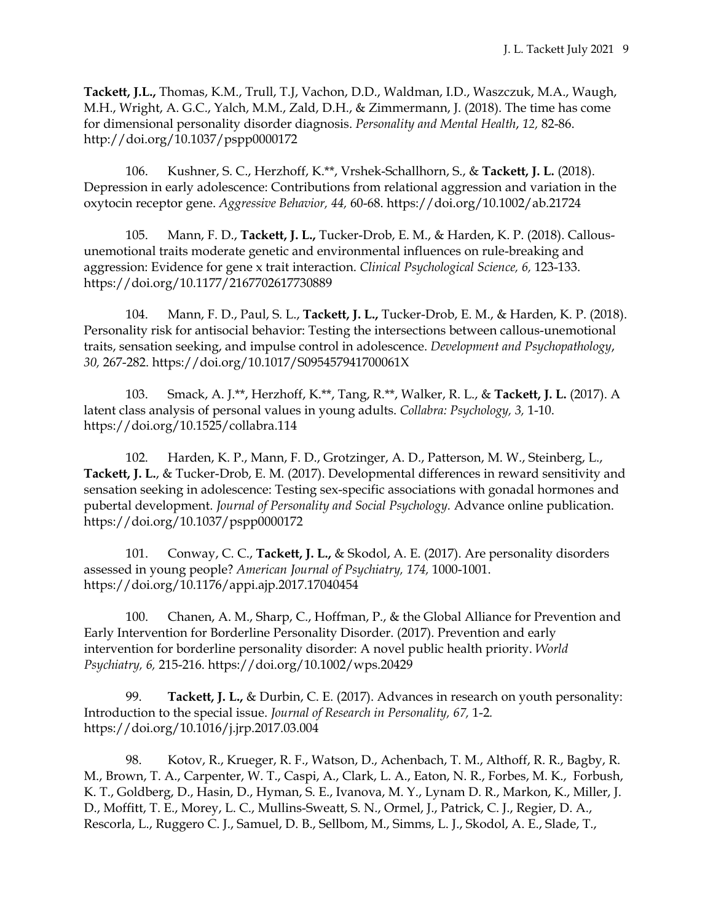**Tackett, J.L.,** Thomas, K.M., Trull, T.J, Vachon, D.D., Waldman, I.D., Waszczuk, M.A., Waugh, M.H., Wright, A. G.C., Yalch, M.M., Zald, D.H., & Zimmermann, J. (2018). The time has come for dimensional personality disorder diagnosis. *Personality and Mental Health*, *12,* 82-86. http://doi.org/10.1037/pspp0000172

106. Kushner, S. C., Herzhoff, K.\*\*, Vrshek-Schallhorn, S., & **Tackett, J. L.** (2018). Depression in early adolescence: Contributions from relational aggression and variation in the oxytocin receptor gene. *Aggressive Behavior, 44,* 60-68. https://doi.org/10.1002/ab.21724

105. Mann, F. D., **Tackett, J. L.,** Tucker-Drob, E. M., & Harden, K. P. (2018). Callousunemotional traits moderate genetic and environmental influences on rule-breaking and aggression: Evidence for gene x trait interaction. *Clinical Psychological Science, 6,* 123-133. https://doi.org/10.1177/2167702617730889

104. Mann, F. D., Paul, S. L., **Tackett, J. L.,** Tucker-Drob, E. M., & Harden, K. P. (2018). Personality risk for antisocial behavior: Testing the intersections between callous-unemotional traits, sensation seeking, and impulse control in adolescence. *Development and Psychopathology*, *30,* 267-282. https://doi.org/10.1017/S095457941700061X

103. Smack, A. J.\*\*, Herzhoff, K.\*\*, Tang, R.\*\*, Walker, R. L., & **Tackett, J. L.** (2017). A latent class analysis of personal values in young adults. *Collabra: Psychology, 3,* 1-10. https://doi.org/10.1525/collabra.114

102. Harden, K. P., Mann, F. D., Grotzinger, A. D., Patterson, M. W., Steinberg, L., **Tackett, J. L.**, & Tucker-Drob, E. M. (2017). Developmental differences in reward sensitivity and sensation seeking in adolescence: Testing sex-specific associations with gonadal hormones and pubertal development. *Journal of Personality and Social Psychology.* Advance online publication. https://doi.org/10.1037/pspp0000172

101. Conway, C. C., **Tackett, J. L.,** & Skodol, A. E. (2017). Are personality disorders assessed in young people? *American Journal of Psychiatry, 174,* 1000-1001. https://doi.org/10.1176/appi.ajp.2017.17040454

100. Chanen, A. M., Sharp, C., Hoffman, P., & the Global Alliance for Prevention and Early Intervention for Borderline Personality Disorder. (2017). Prevention and early intervention for borderline personality disorder: A novel public health priority. *World Psychiatry, 6,* 215-216. https://doi.org/10.1002/wps.20429

99. **Tackett, J. L.,** & Durbin, C. E. (2017). Advances in research on youth personality: Introduction to the special issue. *Journal of Research in Personality, 67,* 1-2*.* https://doi.org/10.1016/j.jrp.2017.03.004

98. Kotov, R., Krueger, R. F., Watson, D., Achenbach, T. M., Althoff, R. R., Bagby, R. M., Brown, T. A., Carpenter, W. T., Caspi, A., Clark, L. A., Eaton, N. R., Forbes, M. K., Forbush, K. T., Goldberg, D., Hasin, D., Hyman, S. E., Ivanova, M. Y., Lynam D. R., Markon, K., Miller, J. D., Moffitt, T. E., Morey, L. C., Mullins-Sweatt, S. N., Ormel, J., Patrick, C. J., Regier, D. A., Rescorla, L., Ruggero C. J., Samuel, D. B., Sellbom, M., Simms, L. J., Skodol, A. E., Slade, T.,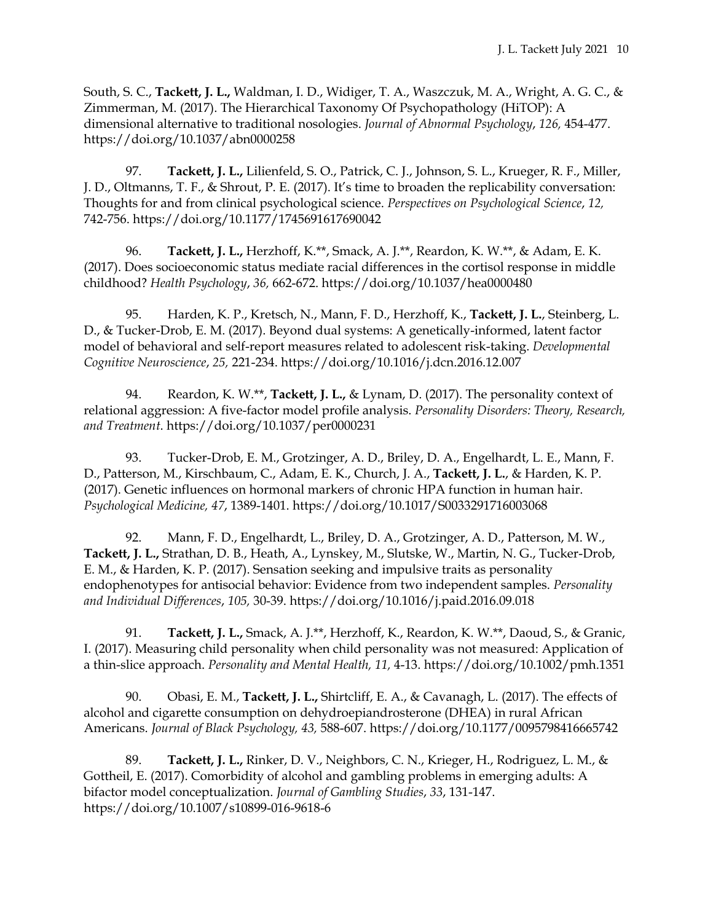South, S. C., **Tackett, J. L.,** Waldman, I. D., Widiger, T. A., Waszczuk, M. A., Wright, A. G. C., & Zimmerman, M. (2017). The Hierarchical Taxonomy Of Psychopathology (HiTOP): A dimensional alternative to traditional nosologies. *Journal of Abnormal Psychology*, *126,* 454-477. https://doi.org/10.1037/abn0000258

97. **Tackett, J. L.,** Lilienfeld, S. O., Patrick, C. J., Johnson, S. L., Krueger, R. F., Miller, J. D., Oltmanns, T. F., & Shrout, P. E. (2017). It's time to broaden the replicability conversation: Thoughts for and from clinical psychological science. *Perspectives on Psychological Science*, *12,*  742-756. https://doi.org/10.1177/1745691617690042

96. **Tackett, J. L.,** Herzhoff, K.\*\*, Smack, A. J.\*\*, Reardon, K. W.\*\*, & Adam, E. K. (2017). Does socioeconomic status mediate racial differences in the cortisol response in middle childhood? *Health Psychology*, *36,* 662-672. https://doi.org/10.1037/hea0000480

95. Harden, K. P., Kretsch, N., Mann, F. D., Herzhoff, K., **Tackett, J. L.**, Steinberg, L. D., & Tucker-Drob, E. M. (2017). Beyond dual systems: A genetically-informed, latent factor model of behavioral and self-report measures related to adolescent risk-taking. *Developmental Cognitive Neuroscience*, *25,* 221-234. https://doi.org/10.1016/j.dcn.2016.12.007

94. Reardon, K. W.\*\*, **Tackett, J. L.,** & Lynam, D. (2017). The personality context of relational aggression: A five-factor model profile analysis. *Personality Disorders: Theory, Research, and Treatment*. https://doi.org/10.1037/per0000231

93. Tucker-Drob, E. M., Grotzinger, A. D., Briley, D. A., Engelhardt, L. E., Mann, F. D., Patterson, M., Kirschbaum, C., Adam, E. K., Church, J. A., **Tackett, J. L.**, & Harden, K. P. (2017). Genetic influences on hormonal markers of chronic HPA function in human hair. *Psychological Medicine, 47*, 1389-1401. https://doi.org/10.1017/S0033291716003068

92. Mann, F. D., Engelhardt, L., Briley, D. A., Grotzinger, A. D., Patterson, M. W., **Tackett, J. L.,** Strathan, D. B., Heath, A., Lynskey, M., Slutske, W., Martin, N. G., Tucker-Drob, E. M., & Harden, K. P. (2017). Sensation seeking and impulsive traits as personality endophenotypes for antisocial behavior: Evidence from two independent samples. *Personality and Individual Differences*, *105,* 30-39. https://doi.org/10.1016/j.paid.2016.09.018

91. **Tackett, J. L.,** Smack, A. J.\*\*, Herzhoff, K., Reardon, K. W.\*\*, Daoud, S., & Granic, I. (2017). Measuring child personality when child personality was not measured: Application of a thin-slice approach. *Personality and Mental Health, 11,* 4-13. https://doi.org/10.1002/pmh.1351

90. Obasi, E. M., **Tackett, J. L.,** Shirtcliff, E. A., & Cavanagh, L. (2017). The effects of alcohol and cigarette consumption on dehydroepiandrosterone (DHEA) in rural African Americans. *Journal of Black Psychology, 43,* 588-607. https://doi.org/10.1177/0095798416665742

89. **Tackett, J. L.,** Rinker, D. V., Neighbors, C. N., Krieger, H., Rodriguez, L. M., & Gottheil, E. (2017). Comorbidity of alcohol and gambling problems in emerging adults: A bifactor model conceptualization. *Journal of Gambling Studies*, *33*, 131-147. https://doi.org/10.1007/s10899-016-9618-6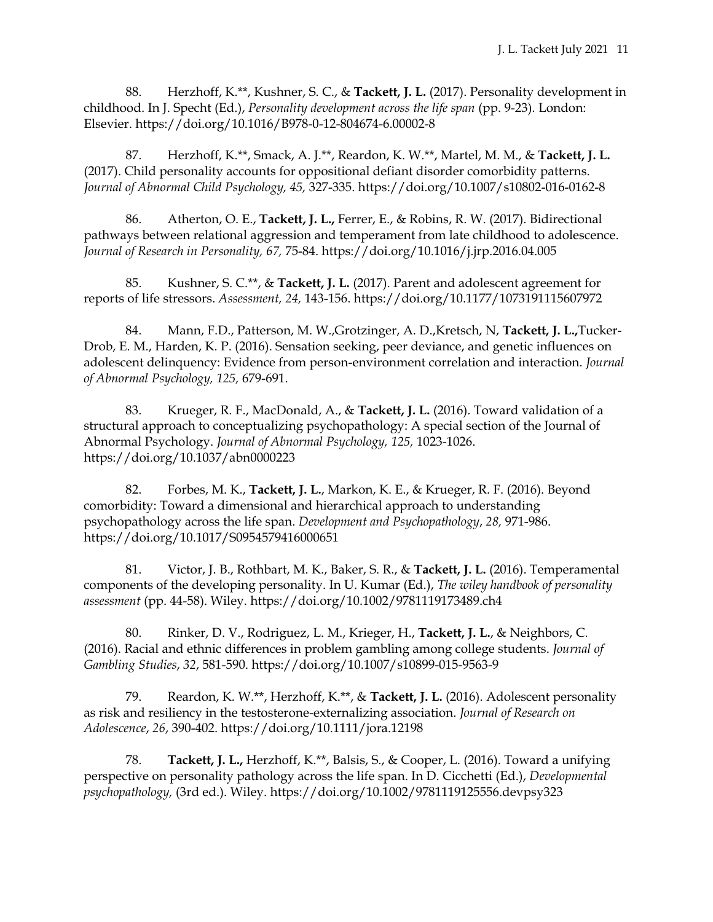88. Herzhoff, K.\*\*, Kushner, S. C., & **Tackett, J. L.** (2017). Personality development in childhood. In J. Specht (Ed.), *Personality development across the life span* (pp. 9-23)*.* London: Elsevier. https://doi.org/10.1016/B978-0-12-804674-6.00002-8

87. Herzhoff, K.\*\*, Smack, A. J.\*\*, Reardon, K. W.\*\*, Martel, M. M., & **Tackett, J. L.** (2017). Child personality accounts for oppositional defiant disorder comorbidity patterns. *Journal of Abnormal Child Psychology, 45,* 327-335. https://doi.org/10.1007/s10802-016-0162-8

86. Atherton, O. E., **Tackett, J. L.,** Ferrer, E., & Robins, R. W. (2017). Bidirectional pathways between relational aggression and temperament from late childhood to adolescence. *Journal of Research in Personality, 67,* 75-84. https://doi.org/10.1016/j.jrp.2016.04.005

85. Kushner, S. C.\*\*, & **Tackett, J. L.** (2017). Parent and adolescent agreement for reports of life stressors. *Assessment, 24,* 143-156. https://doi.org/10.1177/1073191115607972

84. Mann, F.D., Patterson, M. W.,Grotzinger, A. D.,Kretsch, N, **Tackett, J. L.,**Tucker-Drob, E. M., Harden, K. P. (2016). Sensation seeking, peer deviance, and genetic influences on adolescent delinquency: Evidence from person-environment correlation and interaction. *Journal of Abnormal Psychology, 125,* 679-691.

83. Krueger, R. F., MacDonald, A., & **Tackett, J. L.** (2016). Toward validation of a structural approach to conceptualizing psychopathology: A special section of the Journal of Abnormal Psychology. *Journal of Abnormal Psychology, 125,* 1023-1026. https://doi.org/10.1037/abn0000223

82. Forbes, M. K., **Tackett, J. L.**, Markon, K. E., & Krueger, R. F. (2016). Beyond comorbidity: Toward a dimensional and hierarchical approach to understanding psychopathology across the life span. *Development and Psychopathology*, *28,* 971-986. https://doi.org/10.1017/S0954579416000651

81. Victor, J. B., Rothbart, M. K., Baker, S. R., & **Tackett, J. L.** (2016). Temperamental components of the developing personality. In U. Kumar (Ed.), *The wiley handbook of personality assessment* (pp. 44-58). Wiley. https://doi.org/10.1002/9781119173489.ch4

80. Rinker, D. V., Rodriguez, L. M., Krieger, H., **Tackett, J. L.**, & Neighbors, C. (2016). Racial and ethnic differences in problem gambling among college students. *Journal of Gambling Studies*, *32*, 581-590. https://doi.org/10.1007/s10899-015-9563-9

79. Reardon, K. W.\*\*, Herzhoff, K.\*\*, & **Tackett, J. L.** (2016). Adolescent personality as risk and resiliency in the testosterone-externalizing association. *Journal of Research on Adolescence*, *26*, 390-402. https://doi.org/10.1111/jora.12198

78. **Tackett, J. L.,** Herzhoff, K.\*\*, Balsis, S., & Cooper, L. (2016). Toward a unifying perspective on personality pathology across the life span. In D. Cicchetti (Ed.), *Developmental psychopathology,* (3rd ed.). Wiley. https://doi.org/10.1002/9781119125556.devpsy323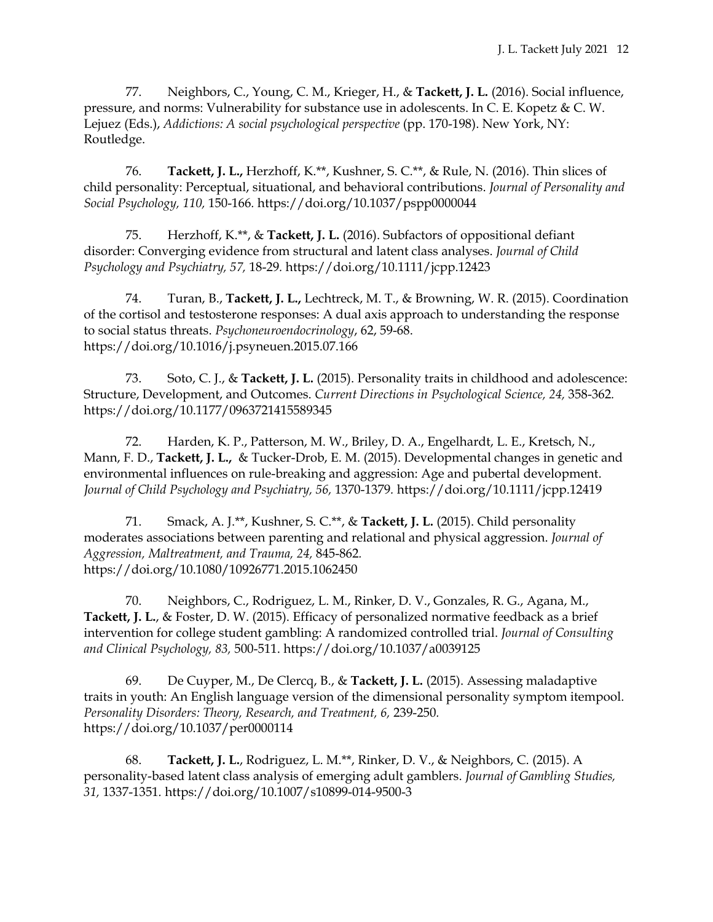77. Neighbors, C., Young, C. M., Krieger, H., & **Tackett, J. L.** (2016). Social influence, pressure, and norms: Vulnerability for substance use in adolescents. In C. E. Kopetz & C. W. Lejuez (Eds.), *Addictions: A social psychological perspective* (pp. 170-198). New York, NY: Routledge.

76. **Tackett, J. L.,** Herzhoff, K.\*\*, Kushner, S. C.\*\*, & Rule, N. (2016). Thin slices of child personality: Perceptual, situational, and behavioral contributions. *Journal of Personality and Social Psychology, 110,* 150-166*.* https://doi.org/10.1037/pspp0000044

75. Herzhoff, K.\*\*, & **Tackett, J. L.** (2016). Subfactors of oppositional defiant disorder: Converging evidence from structural and latent class analyses. *Journal of Child Psychology and Psychiatry, 57,* 18-29*.* https://doi.org/10.1111/jcpp.12423

74. Turan, B., **Tackett, J. L.,** Lechtreck, M. T., & Browning, W. R. (2015). Coordination of the cortisol and testosterone responses: A dual axis approach to understanding the response to social status threats. *Psychoneuroendocrinology*, 62, 59-68. https://doi.org/10.1016/j.psyneuen.2015.07.166

73. Soto, C. J., & **Tackett, J. L.** (2015). Personality traits in childhood and adolescence: Structure, Development, and Outcomes. *Current Directions in Psychological Science, 24,* 358-362*.*  https://doi.org/10.1177/0963721415589345

72. Harden, K. P., Patterson, M. W., Briley, D. A., Engelhardt, L. E., Kretsch, N., Mann, F. D., **Tackett, J. L.,** & Tucker-Drob, E. M. (2015). Developmental changes in genetic and environmental influences on rule-breaking and aggression: Age and pubertal development. *Journal of Child Psychology and Psychiatry, 56,* 1370-1379*.* https://doi.org/10.1111/jcpp.12419

71. Smack, A. J.\*\*, Kushner, S. C.\*\*, & **Tackett, J. L.** (2015). Child personality moderates associations between parenting and relational and physical aggression. *Journal of Aggression, Maltreatment, and Trauma, 24,* 845-862*.*  https://doi.org/10.1080/10926771.2015.1062450

70. Neighbors, C., Rodriguez, L. M., Rinker, D. V., Gonzales, R. G., Agana, M., **Tackett, J. L.**, & Foster, D. W. (2015). Efficacy of personalized normative feedback as a brief intervention for college student gambling: A randomized controlled trial. *Journal of Consulting and Clinical Psychology, 83,* 500-511. https://doi.org/10.1037/a0039125

69. De Cuyper, M., De Clercq, B., & **Tackett, J. L.** (2015). Assessing maladaptive traits in youth: An English language version of the dimensional personality symptom itempool. *Personality Disorders: Theory, Research, and Treatment, 6,* 239-250*.*  https://doi.org/10.1037/per0000114

68. **Tackett, J. L.**, Rodriguez, L. M.\*\*, Rinker, D. V., & Neighbors, C. (2015). A personality-based latent class analysis of emerging adult gamblers. *Journal of Gambling Studies, 31,* 1337-1351*.* https://doi.org/10.1007/s10899-014-9500-3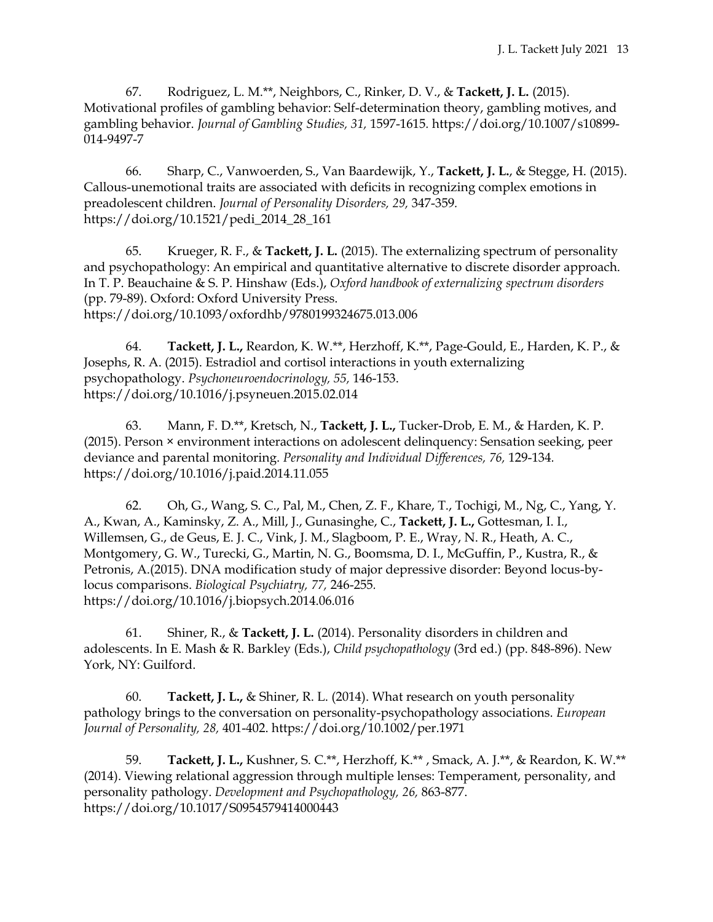67. Rodriguez, L. M.\*\*, Neighbors, C., Rinker, D. V., & **Tackett, J. L.** (2015). Motivational profiles of gambling behavior: Self-determination theory, gambling motives, and gambling behavior. *Journal of Gambling Studies, 31,* 1597-1615*.* https://doi.org/10.1007/s10899- 014-9497-7

66. Sharp, C., Vanwoerden, S., Van Baardewijk, Y., **Tackett, J. L.**, & Stegge, H. (2015). Callous-unemotional traits are associated with deficits in recognizing complex emotions in preadolescent children. *Journal of Personality Disorders, 29,* 347-359*.*  https://doi.org/10.1521/pedi\_2014\_28\_161

65. Krueger, R. F., & **Tackett, J. L.** (2015). The externalizing spectrum of personality and psychopathology: An empirical and quantitative alternative to discrete disorder approach. In T. P. Beauchaine & S. P. Hinshaw (Eds.), *Oxford handbook of externalizing spectrum disorders*  (pp. 79-89). Oxford: Oxford University Press. https://doi.org/10.1093/oxfordhb/9780199324675.013.006

64. **Tackett, J. L.,** Reardon, K. W.\*\*, Herzhoff, K.\*\*, Page-Gould, E., Harden, K. P., & Josephs, R. A. (2015). Estradiol and cortisol interactions in youth externalizing psychopathology. *Psychoneuroendocrinology, 55,* 146-153. https://doi.org/10.1016/j.psyneuen.2015.02.014

63. Mann, F. D.\*\*, Kretsch, N., **Tackett, J. L.,** Tucker-Drob, E. M., & Harden, K. P. (2015). Person × environment interactions on adolescent delinquency: Sensation seeking, peer deviance and parental monitoring. *Personality and Individual Differences, 76,* 129-134*.*  https://doi.org/10.1016/j.paid.2014.11.055

62. Oh, G., Wang, S. C., Pal, M., Chen, Z. F., Khare, T., Tochigi, M., Ng, C., Yang, Y. A., Kwan, A., Kaminsky, Z. A., Mill, J., Gunasinghe, C., **Tackett, J. L.,** Gottesman, I. I., Willemsen, G., de Geus, E. J. C., Vink, J. M., Slagboom, P. E., Wray, N. R., Heath, A. C., Montgomery, G. W., Turecki, G., Martin, N. G., Boomsma, D. I., McGuffin, P., Kustra, R., & Petronis, A.(2015). DNA modification study of major depressive disorder: Beyond locus-bylocus comparisons. *Biological Psychiatry, 77,* 246-255*.*  https://doi.org/10.1016/j.biopsych.2014.06.016

61. Shiner, R., & **Tackett, J. L.** (2014). Personality disorders in children and adolescents. In E. Mash & R. Barkley (Eds.), *Child psychopathology* (3rd ed.) (pp. 848-896). New York, NY: Guilford.

60. **Tackett, J. L.,** & Shiner, R. L. (2014). What research on youth personality pathology brings to the conversation on personality-psychopathology associations. *European Journal of Personality, 28,* 401-402. https://doi.org/10.1002/per.1971

59. **Tackett, J. L.,** Kushner, S. C.\*\*, Herzhoff, K.\*\* , Smack, A. J.\*\*, & Reardon, K. W.\*\* (2014). Viewing relational aggression through multiple lenses: Temperament, personality, and personality pathology. *Development and Psychopathology, 26,* 863-877. https://doi.org/10.1017/S0954579414000443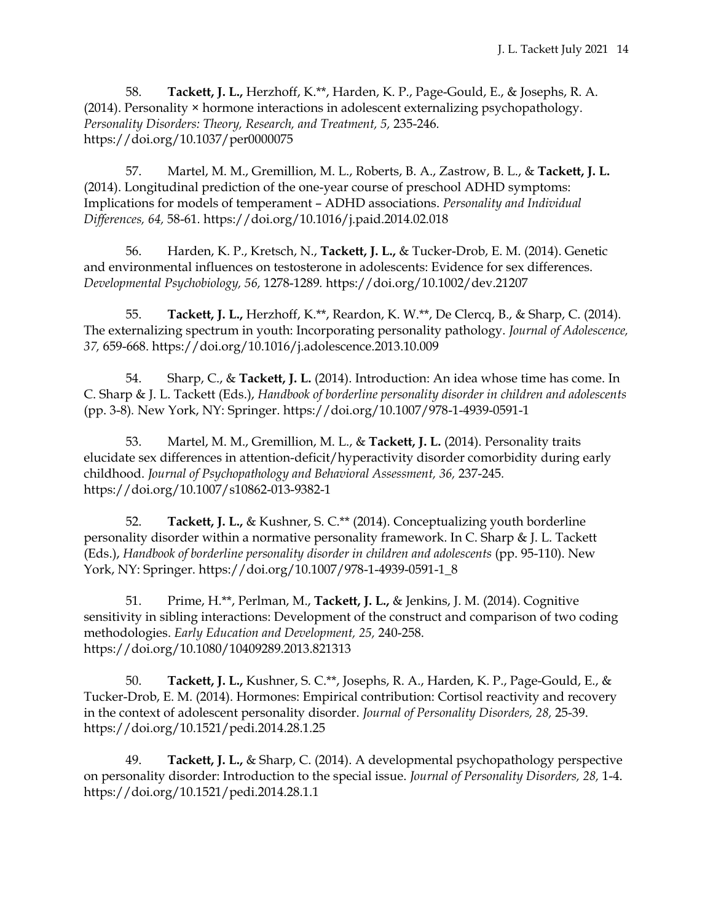58. **Tackett, J. L.,** Herzhoff, K.\*\*, Harden, K. P., Page-Gould, E., & Josephs, R. A. (2014). Personality × hormone interactions in adolescent externalizing psychopathology. *Personality Disorders: Theory, Research, and Treatment, 5,* 235-246*.*  https://doi.org/10.1037/per0000075

57. Martel, M. M., Gremillion, M. L., Roberts, B. A., Zastrow, B. L., & **Tackett, J. L.** (2014). Longitudinal prediction of the one-year course of preschool ADHD symptoms: Implications for models of temperament – ADHD associations. *Personality and Individual Differences, 64,* 58-61*.* https://doi.org/10.1016/j.paid.2014.02.018

56. Harden, K. P., Kretsch, N., **Tackett, J. L.,** & Tucker-Drob, E. M. (2014). Genetic and environmental influences on testosterone in adolescents: Evidence for sex differences. *Developmental Psychobiology, 56,* 1278-1289*.* https://doi.org/10.1002/dev.21207

55. **Tackett, J. L.,** Herzhoff, K.\*\*, Reardon, K. W.\*\*, De Clercq, B., & Sharp, C. (2014). The externalizing spectrum in youth: Incorporating personality pathology. *Journal of Adolescence, 37,* 659-668. https://doi.org/10.1016/j.adolescence.2013.10.009

54. Sharp, C., & **Tackett, J. L.** (2014). Introduction: An idea whose time has come. In C. Sharp & J. L. Tackett (Eds.), *Handbook of borderline personality disorder in children and adolescents*  (pp. 3-8)*.* New York, NY: Springer. https://doi.org/10.1007/978-1-4939-0591-1

53. Martel, M. M., Gremillion, M. L., & **Tackett, J. L.** (2014). Personality traits elucidate sex differences in attention-deficit/hyperactivity disorder comorbidity during early childhood. *Journal of Psychopathology and Behavioral Assessment, 36,* 237-245*.*  https://doi.org/10.1007/s10862-013-9382-1

52. **Tackett, J. L.,** & Kushner, S. C.\*\* (2014). Conceptualizing youth borderline personality disorder within a normative personality framework. In C. Sharp & J. L. Tackett (Eds.), *Handbook of borderline personality disorder in children and adolescents* (pp. 95-110). New York, NY: Springer. https://doi.org/10.1007/978-1-4939-0591-1\_8

51. Prime, H.\*\*, Perlman, M., **Tackett, J. L.,** & Jenkins, J. M. (2014). Cognitive sensitivity in sibling interactions: Development of the construct and comparison of two coding methodologies. *Early Education and Development, 25,* 240-258. https://doi.org/10.1080/10409289.2013.821313

50. **Tackett, J. L.,** Kushner, S. C.\*\*, Josephs, R. A., Harden, K. P., Page-Gould, E., & Tucker-Drob, E. M. (2014). Hormones: Empirical contribution: Cortisol reactivity and recovery in the context of adolescent personality disorder. *Journal of Personality Disorders, 28,* 25-39. https://doi.org/10.1521/pedi.2014.28.1.25

49. **Tackett, J. L.,** & Sharp, C. (2014). A developmental psychopathology perspective on personality disorder: Introduction to the special issue. *Journal of Personality Disorders, 28,* 1-4. https://doi.org/10.1521/pedi.2014.28.1.1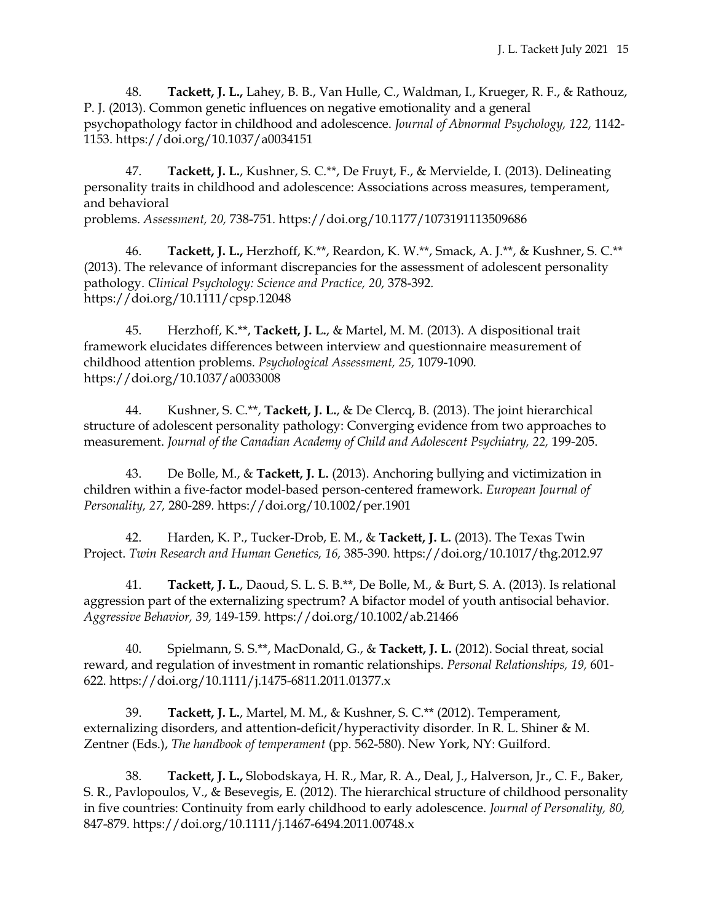48. **Tackett, J. L.,** Lahey, B. B., Van Hulle, C., Waldman, I., Krueger, R. F., & Rathouz, P. J. (2013). Common genetic influences on negative emotionality and a general psychopathology factor in childhood and adolescence. *Journal of Abnormal Psychology, 122,* 1142- 1153. https://doi.org/10.1037/a0034151

47. **Tackett, J. L.**, Kushner, S. C.\*\*, De Fruyt, F., & Mervielde, I. (2013). Delineating personality traits in childhood and adolescence: Associations across measures, temperament, and behavioral problems. *Assessment, 20,* 738-751*.* https://doi.org/10.1177/1073191113509686

46. **Tackett, J. L.,** Herzhoff, K.\*\*, Reardon, K. W.\*\*, Smack, A. J.\*\*, & Kushner, S. C.\*\* (2013). The relevance of informant discrepancies for the assessment of adolescent personality pathology. *Clinical Psychology: Science and Practice, 20,* 378-392*.* 

https://doi.org/10.1111/cpsp.12048

45. Herzhoff, K.\*\*, **Tackett, J. L.**, & Martel, M. M. (2013). A dispositional trait framework elucidates differences between interview and questionnaire measurement of childhood attention problems. *Psychological Assessment, 25,* 1079-1090*.* https://doi.org/10.1037/a0033008

44. Kushner, S. C.\*\*, **Tackett, J. L.**, & De Clercq, B. (2013). The joint hierarchical structure of adolescent personality pathology: Converging evidence from two approaches to measurement. *Journal of the Canadian Academy of Child and Adolescent Psychiatry, 22,* 199-205.

43. De Bolle, M., & **Tackett, J. L.** (2013). Anchoring bullying and victimization in children within a five-factor model-based person-centered framework. *European Journal of Personality, 27,* 280-289*.* https://doi.org/10.1002/per.1901

42. Harden, K. P., Tucker-Drob, E. M., & **Tackett, J. L.** (2013). The Texas Twin Project. *Twin Research and Human Genetics, 16,* 385-390*.* https://doi.org/10.1017/thg.2012.97

41. **Tackett, J. L.**, Daoud, S. L. S. B.\*\*, De Bolle, M., & Burt, S. A. (2013). Is relational aggression part of the externalizing spectrum? A bifactor model of youth antisocial behavior. *Aggressive Behavior, 39,* 149-159*.* https://doi.org/10.1002/ab.21466

40. Spielmann, S. S.\*\*, MacDonald, G., & **Tackett, J. L.** (2012). Social threat, social reward, and regulation of investment in romantic relationships. *Personal Relationships, 19,* 601- 622. https://doi.org/10.1111/j.1475-6811.2011.01377.x

39. **Tackett, J. L.**, Martel, M. M., & Kushner, S. C.\*\* (2012). Temperament, externalizing disorders, and attention-deficit/hyperactivity disorder. In R. L. Shiner & M. Zentner (Eds.), *The handbook of temperament* (pp. 562-580). New York, NY: Guilford.

38. **Tackett, J. L.,** Slobodskaya, H. R., Mar, R. A., Deal, J., Halverson, Jr., C. F., Baker, S. R., Pavlopoulos, V., & Besevegis, E. (2012). The hierarchical structure of childhood personality in five countries: Continuity from early childhood to early adolescence. *Journal of Personality, 80,* 847-879. https://doi.org/10.1111/j.1467-6494.2011.00748.x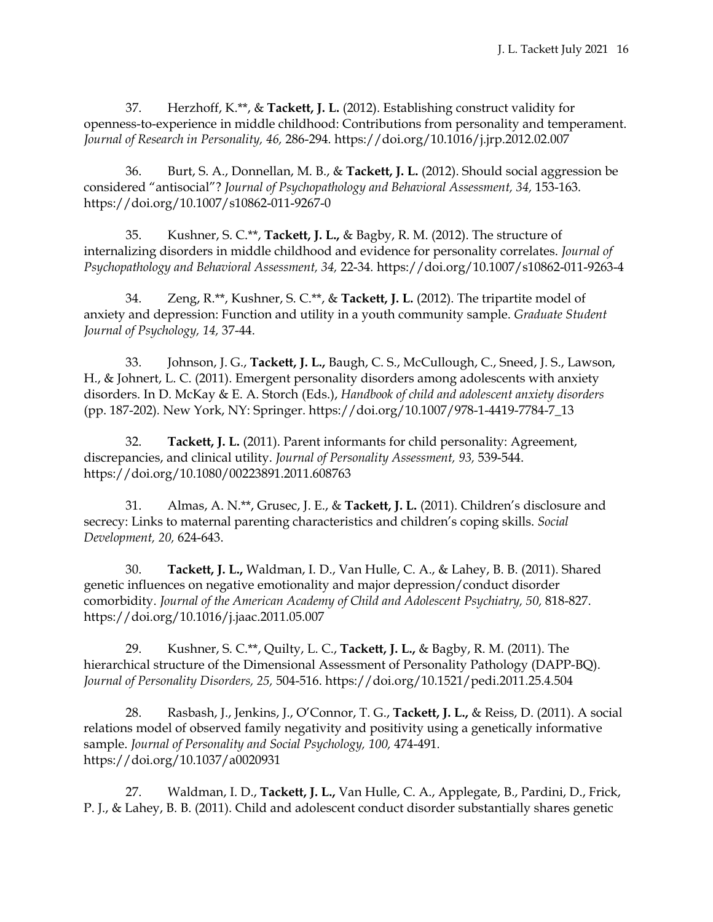37. Herzhoff, K.\*\*, & **Tackett, J. L.** (2012). Establishing construct validity for openness-to-experience in middle childhood: Contributions from personality and temperament. *Journal of Research in Personality, 46,* 286-294*.* https://doi.org/10.1016/j.jrp.2012.02.007

36. Burt, S. A., Donnellan, M. B., & **Tackett, J. L.** (2012). Should social aggression be considered "antisocial"? *Journal of Psychopathology and Behavioral Assessment, 34,* 153-163*.*  https://doi.org/10.1007/s10862-011-9267-0

35. Kushner, S. C.\*\*, **Tackett, J. L.,** & Bagby, R. M. (2012). The structure of internalizing disorders in middle childhood and evidence for personality correlates. *Journal of Psychopathology and Behavioral Assessment, 34,* 22-34*.* https://doi.org/10.1007/s10862-011-9263-4

34. Zeng, R.\*\*, Kushner, S. C.\*\*, & **Tackett, J. L.** (2012). The tripartite model of anxiety and depression: Function and utility in a youth community sample. *Graduate Student Journal of Psychology, 14,* 37-44.

33. Johnson, J. G., **Tackett, J. L.,** Baugh, C. S., McCullough, C., Sneed, J. S., Lawson, H., & Johnert, L. C. (2011). Emergent personality disorders among adolescents with anxiety disorders. In D. McKay & E. A. Storch (Eds.), *Handbook of child and adolescent anxiety disorders* (pp. 187-202)*.* New York, NY: Springer. https://doi.org/10.1007/978-1-4419-7784-7\_13

32. **Tackett, J. L.** (2011). Parent informants for child personality: Agreement, discrepancies, and clinical utility. *Journal of Personality Assessment, 93,* 539-544. https://doi.org/10.1080/00223891.2011.608763

31. Almas, A. N.\*\*, Grusec, J. E., & **Tackett, J. L.** (2011). Children's disclosure and secrecy: Links to maternal parenting characteristics and children's coping skills. *Social Development, 20,* 624-643.

30. **Tackett, J. L.,** Waldman, I. D., Van Hulle, C. A., & Lahey, B. B. (2011). Shared genetic influences on negative emotionality and major depression/conduct disorder comorbidity. *Journal of the American Academy of Child and Adolescent Psychiatry, 50,* 818-827. https://doi.org/10.1016/j.jaac.2011.05.007

29. Kushner, S. C.\*\*, Quilty, L. C., **Tackett, J. L.,** & Bagby, R. M. (2011). The hierarchical structure of the Dimensional Assessment of Personality Pathology (DAPP-BQ). *Journal of Personality Disorders, 25,* 504-516. https://doi.org/10.1521/pedi.2011.25.4.504

28. Rasbash, J., Jenkins, J., O'Connor, T. G., **Tackett, J. L.,** & Reiss, D. (2011). A social relations model of observed family negativity and positivity using a genetically informative sample. *Journal of Personality and Social Psychology, 100,* 474-491*.*  https://doi.org/10.1037/a0020931

27. Waldman, I. D., **Tackett, J. L.,** Van Hulle, C. A., Applegate, B., Pardini, D., Frick, P. J., & Lahey, B. B. (2011). Child and adolescent conduct disorder substantially shares genetic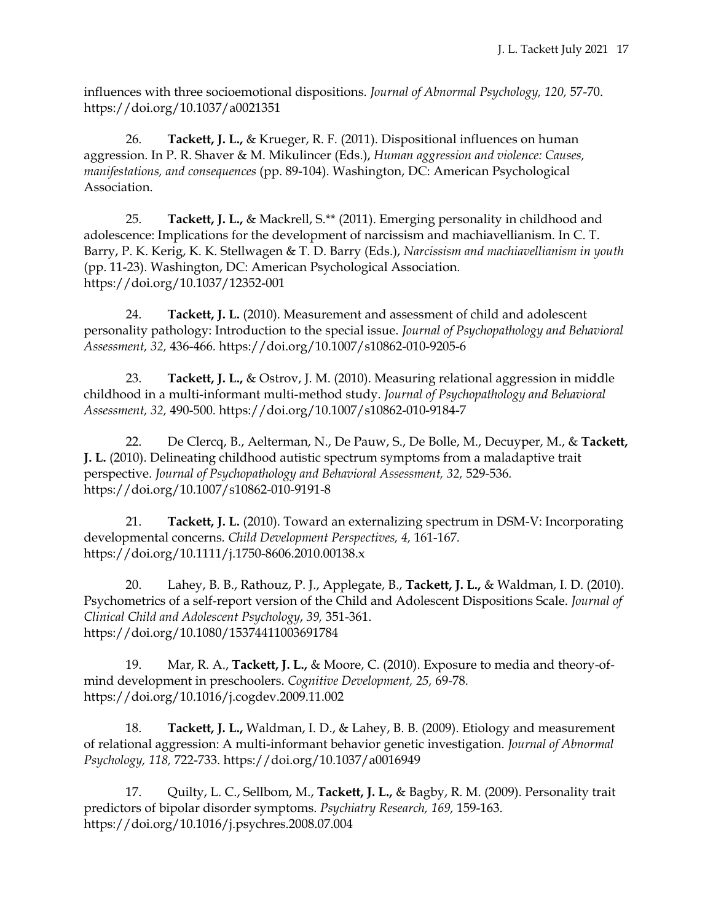influences with three socioemotional dispositions. *Journal of Abnormal Psychology, 120,* 57-70. https://doi.org/10.1037/a0021351

26. **Tackett, J. L.,** & Krueger, R. F. (2011). Dispositional influences on human aggression. In P. R. Shaver & M. Mikulincer (Eds.), *Human aggression and violence: Causes, manifestations, and consequences* (pp. 89-104). Washington, DC: American Psychological Association.

25. **Tackett, J. L.,** & Mackrell, S.\*\* (2011). Emerging personality in childhood and adolescence: Implications for the development of narcissism and machiavellianism. In C. T. Barry, P. K. Kerig, K. K. Stellwagen & T. D. Barry (Eds.), *Narcissism and machiavellianism in youth* (pp. 11-23). Washington, DC: American Psychological Association*.*  https://doi.org/10.1037/12352-001

24. **Tackett, J. L.** (2010). Measurement and assessment of child and adolescent personality pathology: Introduction to the special issue. *Journal of Psychopathology and Behavioral Assessment, 32,* 436-466*.* https://doi.org/10.1007/s10862-010-9205-6

23. **Tackett, J. L.,** & Ostrov, J. M. (2010). Measuring relational aggression in middle childhood in a multi-informant multi-method study. *Journal of Psychopathology and Behavioral Assessment, 32,* 490-500*.* https://doi.org/10.1007/s10862-010-9184-7

22. De Clercq, B., Aelterman, N., De Pauw, S., De Bolle, M., Decuyper, M., & **Tackett, J. L.** (2010). Delineating childhood autistic spectrum symptoms from a maladaptive trait perspective. *Journal of Psychopathology and Behavioral Assessment, 32,* 529-536*.*  https://doi.org/10.1007/s10862-010-9191-8

21. **Tackett, J. L.** (2010). Toward an externalizing spectrum in DSM-V: Incorporating developmental concerns*. Child Development Perspectives, 4,* 161-167*.* https://doi.org/10.1111/j.1750-8606.2010.00138.x

20. Lahey, B. B., Rathouz, P. J., Applegate, B., **Tackett, J. L.,** & Waldman, I. D. (2010). Psychometrics of a self-report version of the Child and Adolescent Dispositions Scale. *Journal of Clinical Child and Adolescent Psychology*, *39,* 351-361. https://doi.org/10.1080/15374411003691784

19. Mar, R. A., **Tackett, J. L.,** & Moore, C. (2010). Exposure to media and theory-ofmind development in preschoolers. *Cognitive Development, 25,* 69-78*.*  https://doi.org/10.1016/j.cogdev.2009.11.002

18. **Tackett, J. L.,** Waldman, I. D., & Lahey, B. B. (2009). Etiology and measurement of relational aggression: A multi-informant behavior genetic investigation. *Journal of Abnormal Psychology, 118,* 722-733. https://doi.org/10.1037/a0016949

17. Quilty, L. C., Sellbom, M., **Tackett, J. L.,** & Bagby, R. M. (2009). Personality trait predictors of bipolar disorder symptoms. *Psychiatry Research, 169,* 159-163. https://doi.org/10.1016/j.psychres.2008.07.004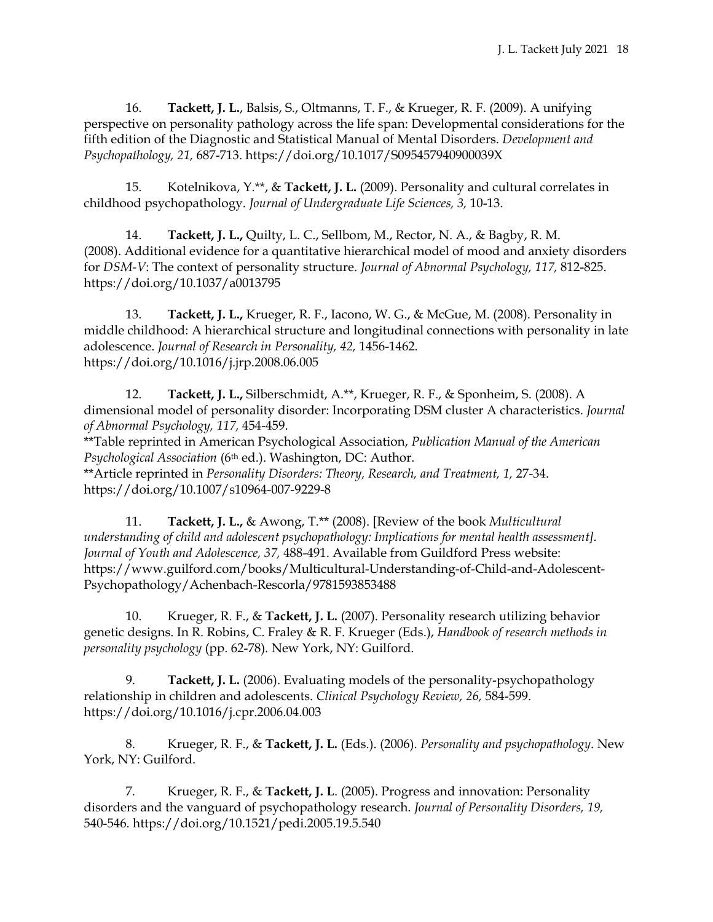16. **Tackett, J. L.**, Balsis, S., Oltmanns, T. F., & Krueger, R. F. (2009). A unifying perspective on personality pathology across the life span: Developmental considerations for the fifth edition of the Diagnostic and Statistical Manual of Mental Disorders. *Development and Psychopathology, 21,* 687-713. https://doi.org/10.1017/S095457940900039X

15. Kotelnikova, Y.\*\*, & **Tackett, J. L.** (2009). Personality and cultural correlates in childhood psychopathology. *Journal of Undergraduate Life Sciences, 3,* 10-13*.*

14. **Tackett, J. L.,** Quilty, L. C., Sellbom, M., Rector, N. A., & Bagby, R. M. (2008). Additional evidence for a quantitative hierarchical model of mood and anxiety disorders for *DSM-V*: The context of personality structure. *Journal of Abnormal Psychology, 117,* 812-825. https://doi.org/10.1037/a0013795

13. **Tackett, J. L.,** Krueger, R. F., Iacono, W. G., & McGue, M. (2008). Personality in middle childhood: A hierarchical structure and longitudinal connections with personality in late adolescence. *Journal of Research in Personality, 42,* 1456-1462*.*  https://doi.org/10.1016/j.jrp.2008.06.005

12. **Tackett, J. L.,** Silberschmidt, A.\*\*, Krueger, R. F., & Sponheim, S. (2008). A dimensional model of personality disorder: Incorporating DSM cluster A characteristics. *Journal of Abnormal Psychology, 117,* 454-459.

\*\*Table reprinted in American Psychological Association, *Publication Manual of the American Psychological Association* (6th ed.). Washington, DC: Author. \*\*Article reprinted in *Personality Disorders: Theory, Research, and Treatment, 1,* 27-34. https://doi.org/10.1007/s10964-007-9229-8

11. **Tackett, J. L.,** & Awong, T.\*\* (2008). [Review of the book *Multicultural understanding of child and adolescent psychopathology: Implications for mental health assessment]. Journal of Youth and Adolescence, 37,* 488-491. Available from Guildford Press website: https://www.guilford.com/books/Multicultural-Understanding-of-Child-and-Adolescent-Psychopathology/Achenbach-Rescorla/9781593853488

10. Krueger, R. F., & **Tackett, J. L.** (2007). Personality research utilizing behavior genetic designs. In R. Robins, C. Fraley & R. F. Krueger (Eds.), *Handbook of research methods in personality psychology* (pp. 62-78)*.* New York, NY: Guilford.

9. **Tackett, J. L.** (2006). Evaluating models of the personality-psychopathology relationship in children and adolescents. *Clinical Psychology Review, 26,* 584-599. https://doi.org/10.1016/j.cpr.2006.04.003

8. Krueger, R. F., & **Tackett, J. L.** (Eds.). (2006). *Personality and psychopathology*. New York, NY: Guilford.

7. Krueger, R. F., & **Tackett, J. L**. (2005). Progress and innovation: Personality disorders and the vanguard of psychopathology research. *Journal of Personality Disorders, 19,* 540-546*.* https://doi.org/10.1521/pedi.2005.19.5.540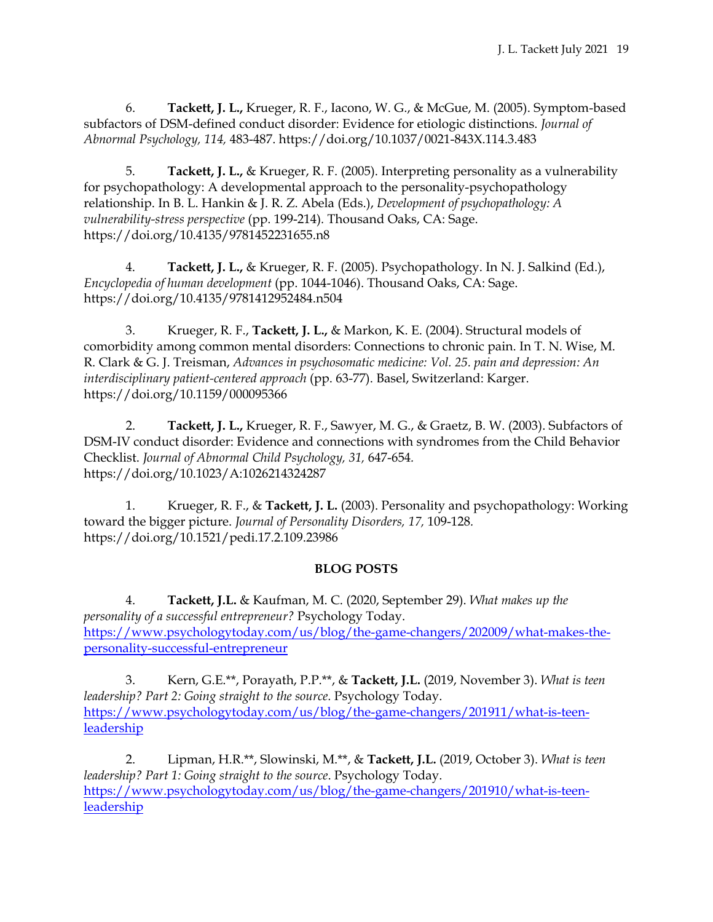6. **Tackett, J. L.,** Krueger, R. F., Iacono, W. G., & McGue, M. (2005). Symptom-based subfactors of DSM-defined conduct disorder: Evidence for etiologic distinctions. *Journal of Abnormal Psychology, 114,* 483-487. https://doi.org/10.1037/0021-843X.114.3.483

5. **Tackett, J. L.,** & Krueger, R. F. (2005). Interpreting personality as a vulnerability for psychopathology: A developmental approach to the personality-psychopathology relationship. In B. L. Hankin & J. R. Z. Abela (Eds.), *Development of psychopathology: A vulnerability-stress perspective* (pp. 199-214)*.* Thousand Oaks, CA: Sage. https://doi.org/10.4135/9781452231655.n8

4. **Tackett, J. L.,** & Krueger, R. F. (2005). Psychopathology. In N. J. Salkind (Ed.), *Encyclopedia of human development* (pp. 1044-1046). Thousand Oaks, CA: Sage. https://doi.org/10.4135/9781412952484.n504

3. Krueger, R. F., **Tackett, J. L.,** & Markon, K. E. (2004). Structural models of comorbidity among common mental disorders: Connections to chronic pain. In T. N. Wise, M. R. Clark & G. J. Treisman, *Advances in psychosomatic medicine: Vol. 25. pain and depression: An interdisciplinary patient-centered approach* (pp. 63-77). Basel, Switzerland: Karger. https://doi.org/10.1159/000095366

2. **Tackett, J. L.,** Krueger, R. F., Sawyer, M. G., & Graetz, B. W. (2003). Subfactors of DSM-IV conduct disorder: Evidence and connections with syndromes from the Child Behavior Checklist. *Journal of Abnormal Child Psychology, 31,* 647-654*.*  https://doi.org/10.1023/A:1026214324287

1. Krueger, R. F., & **Tackett, J. L.** (2003). Personality and psychopathology: Working toward the bigger picture. *Journal of Personality Disorders, 17,* 109-128*.*  <https://doi.org/10.1521/pedi.17.2.109.23986>

# **BLOG POSTS**

4. **Tackett, J.L.** & Kaufman, M. C. (2020, September 29). *What makes up the personality of a successful entrepreneur?* Psychology Today. [https://www.psychologytoday.com/us/blog/the-game-changers/202009/what-makes-the](https://www.psychologytoday.com/us/blog/the-game-changers/202009/what-makes-the-personality-successful-entrepreneur)[personality-successful-entrepreneur](https://www.psychologytoday.com/us/blog/the-game-changers/202009/what-makes-the-personality-successful-entrepreneur)

3. Kern, G.E.\*\*, Porayath, P.P.\*\*, & **Tackett, J.L.** (2019, November 3). *What is teen*  leadership? Part 2: Going straight to the source. Psychology Today. [https://www.psychologytoday.com/us/blog/the-game-changers/201911/what-is-teen](https://www.psychologytoday.com/us/blog/the-game-changers/201911/what-is-teen-leadership)[leadership](https://www.psychologytoday.com/us/blog/the-game-changers/201911/what-is-teen-leadership)

2. Lipman, H.R.\*\*, Slowinski, M.\*\*, & **Tackett, J.L.** (2019, October 3). *What is teen leadership? Part 1: Going straight to the source*. Psychology Today. [https://www.psychologytoday.com/us/blog/the-game-changers/201910/what-is-teen](https://www.psychologytoday.com/us/blog/the-game-changers/201910/what-is-teen-leadership)[leadership](https://www.psychologytoday.com/us/blog/the-game-changers/201910/what-is-teen-leadership)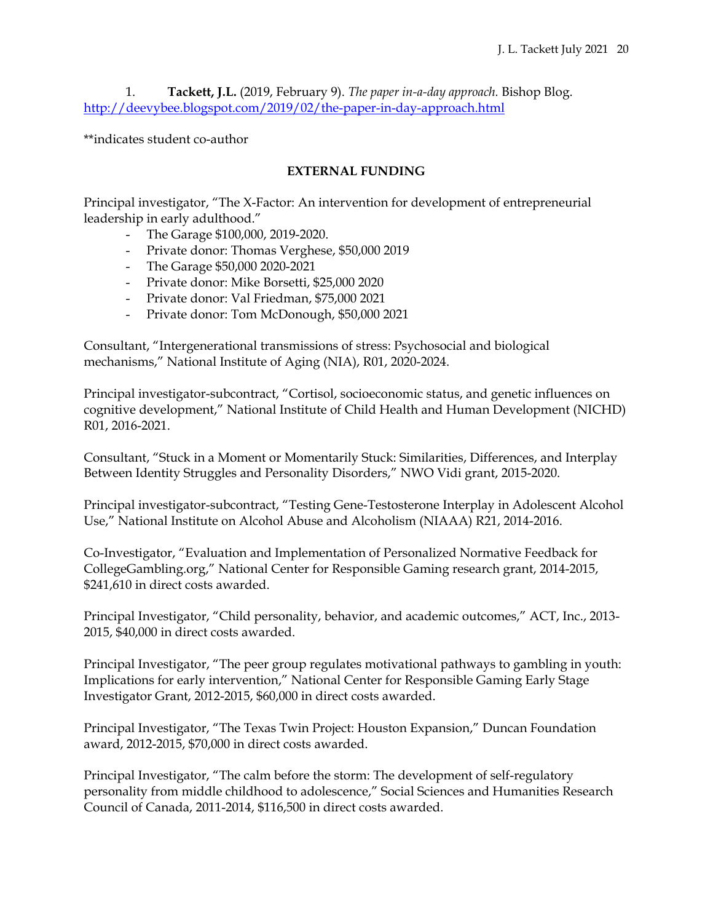1. **Tackett, J.L.** (2019, February 9). *The paper in-a-day approach.* Bishop Blog. <http://deevybee.blogspot.com/2019/02/the-paper-in-day-approach.html>

\*\*indicates student co-author

# **EXTERNAL FUNDING**

Principal investigator, "The X-Factor: An intervention for development of entrepreneurial leadership in early adulthood."

- The Garage \$100,000, 2019-2020.
- Private donor: Thomas Verghese, \$50,000 2019
- The Garage \$50,000 2020-2021
- Private donor: Mike Borsetti, \$25,000 2020
- Private donor: Val Friedman, \$75,000 2021
- Private donor: Tom McDonough, \$50,000 2021

Consultant, "Intergenerational transmissions of stress: Psychosocial and biological mechanisms," National Institute of Aging (NIA), R01, 2020-2024.

Principal investigator-subcontract, "Cortisol, socioeconomic status, and genetic influences on cognitive development," National Institute of Child Health and Human Development (NICHD) R01, 2016-2021.

Consultant, "Stuck in a Moment or Momentarily Stuck: Similarities, Differences, and Interplay Between Identity Struggles and Personality Disorders," NWO Vidi grant, 2015-2020.

Principal investigator-subcontract, "Testing Gene-Testosterone Interplay in Adolescent Alcohol Use," National Institute on Alcohol Abuse and Alcoholism (NIAAA) R21, 2014-2016.

Co-Investigator, "Evaluation and Implementation of Personalized Normative Feedback for CollegeGambling.org," National Center for Responsible Gaming research grant, 2014-2015, \$241,610 in direct costs awarded.

Principal Investigator, "Child personality, behavior, and academic outcomes," ACT, Inc., 2013- 2015, \$40,000 in direct costs awarded.

Principal Investigator, "The peer group regulates motivational pathways to gambling in youth: Implications for early intervention," National Center for Responsible Gaming Early Stage Investigator Grant, 2012-2015, \$60,000 in direct costs awarded.

Principal Investigator, "The Texas Twin Project: Houston Expansion," Duncan Foundation award, 2012-2015, \$70,000 in direct costs awarded.

Principal Investigator, "The calm before the storm: The development of self-regulatory personality from middle childhood to adolescence," Social Sciences and Humanities Research Council of Canada, 2011-2014, \$116,500 in direct costs awarded.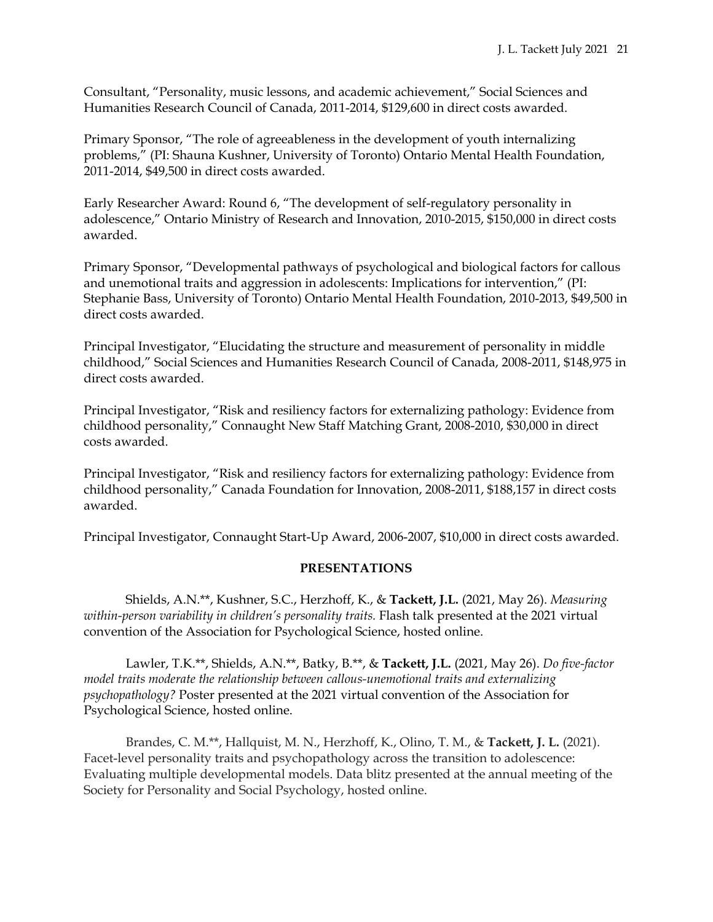Consultant, "Personality, music lessons, and academic achievement," Social Sciences and Humanities Research Council of Canada, 2011-2014, \$129,600 in direct costs awarded.

Primary Sponsor, "The role of agreeableness in the development of youth internalizing problems," (PI: Shauna Kushner, University of Toronto) Ontario Mental Health Foundation, 2011-2014, \$49,500 in direct costs awarded.

Early Researcher Award: Round 6, "The development of self-regulatory personality in adolescence," Ontario Ministry of Research and Innovation, 2010-2015, \$150,000 in direct costs awarded.

Primary Sponsor, "Developmental pathways of psychological and biological factors for callous and unemotional traits and aggression in adolescents: Implications for intervention," (PI: Stephanie Bass, University of Toronto) Ontario Mental Health Foundation, 2010-2013, \$49,500 in direct costs awarded.

Principal Investigator, "Elucidating the structure and measurement of personality in middle childhood," Social Sciences and Humanities Research Council of Canada, 2008-2011, \$148,975 in direct costs awarded.

Principal Investigator, "Risk and resiliency factors for externalizing pathology: Evidence from childhood personality," Connaught New Staff Matching Grant, 2008-2010, \$30,000 in direct costs awarded.

Principal Investigator, "Risk and resiliency factors for externalizing pathology: Evidence from childhood personality," Canada Foundation for Innovation, 2008-2011, \$188,157 in direct costs awarded.

Principal Investigator, Connaught Start-Up Award, 2006-2007, \$10,000 in direct costs awarded.

# **PRESENTATIONS**

Shields, A.N.\*\*, Kushner, S.C., Herzhoff, K., & **Tackett, J.L.** (2021, May 26). *Measuring within-person variability in children's personality traits.* Flash talk presented at the 2021 virtual convention of the Association for Psychological Science, hosted online.

Lawler, T.K.\*\*, Shields, A.N.\*\*, Batky, B.\*\*, & **Tackett, J.L.** (2021, May 26). *Do five-factor model traits moderate the relationship between callous-unemotional traits and externalizing psychopathology?* Poster presented at the 2021 virtual convention of the Association for Psychological Science, hosted online.

Brandes, C. M.\*\*, Hallquist, M. N., Herzhoff, K., Olino, T. M., & **Tackett, J. L.** (2021). Facet-level personality traits and psychopathology across the transition to adolescence: Evaluating multiple developmental models. Data blitz presented at the annual meeting of the Society for Personality and Social Psychology, hosted online.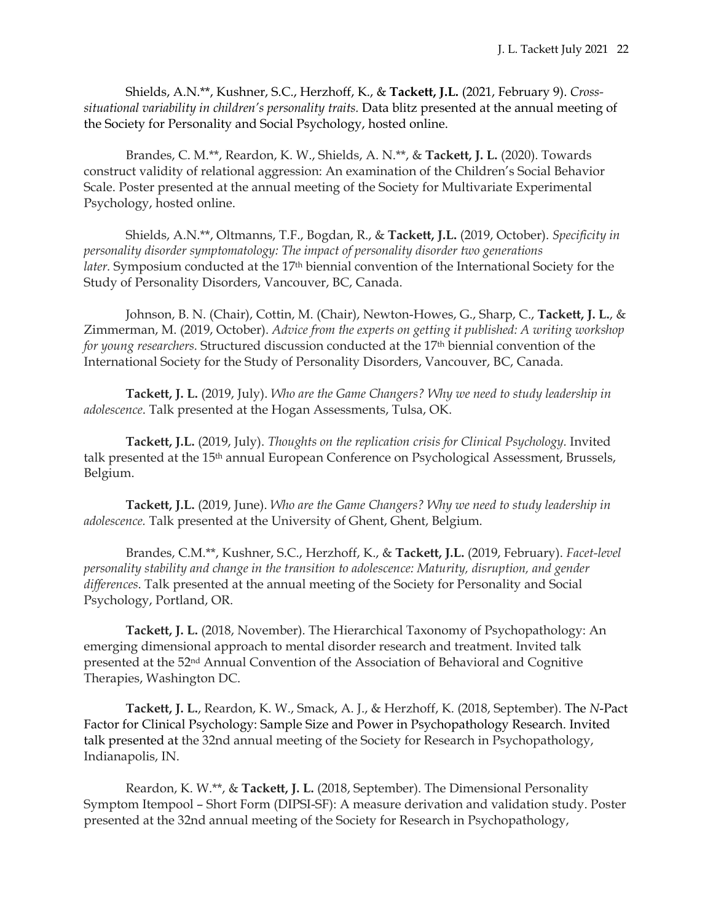Shields, A.N.\*\*, Kushner, S.C., Herzhoff, K., & **Tackett, J.L.** (2021, February 9). *Crosssituational variability in children's personality traits.* Data blitz presented at the annual meeting of the Society for Personality and Social Psychology, hosted online.

Brandes, C. M.\*\*, Reardon, K. W., Shields, A. N.\*\*, & **Tackett, J. L.** (2020). Towards construct validity of relational aggression: An examination of the Children's Social Behavior Scale. Poster presented at the annual meeting of the Society for Multivariate Experimental Psychology, hosted online.

Shields, A.N.\*\*, Oltmanns, T.F., Bogdan, R., & **Tackett, J.L.** (2019, October). *Specificity in personality disorder symptomatology: The impact of personality disorder two generations later.* Symposium conducted at the 17th biennial convention of the International Society for the Study of Personality Disorders, Vancouver, BC, Canada.

Johnson, B. N. (Chair), Cottin, M. (Chair), Newton-Howes, G., Sharp, C., **Tackett, J. L.**, & Zimmerman, M. (2019, October). *Advice from the experts on getting it published: A writing workshop for young researchers.* Structured discussion conducted at the 17th biennial convention of the International Society for the Study of Personality Disorders, Vancouver, BC, Canada.

**Tackett, J. L.** (2019, July). *Who are the Game Changers? Why we need to study leadership in adolescence*. Talk presented at the Hogan Assessments, Tulsa, OK.

**Tackett, J.L.** (2019, July). *Thoughts on the replication crisis for Clinical Psychology.* Invited talk presented at the 15th annual European Conference on Psychological Assessment, Brussels, Belgium.

**Tackett, J.L.** (2019, June). *Who are the Game Changers? Why we need to study leadership in adolescence.* Talk presented at the University of Ghent, Ghent, Belgium.

Brandes, C.M.\*\*, Kushner, S.C., Herzhoff, K., & **Tackett, J.L.** (2019, February). *Facet-level personality stability and change in the transition to adolescence: Maturity, disruption, and gender differences*. Talk presented at the annual meeting of the Society for Personality and Social Psychology, Portland, OR.

**Tackett, J. L.** (2018, November). The Hierarchical Taxonomy of Psychopathology: An emerging dimensional approach to mental disorder research and treatment. Invited talk presented at the 52nd Annual Convention of the Association of Behavioral and Cognitive Therapies, Washington DC.

**Tackett, J. L.**, Reardon, K. W., Smack, A. J., & Herzhoff, K. (2018, September). The *N*-Pact Factor for Clinical Psychology: Sample Size and Power in Psychopathology Research. Invited talk presented at the 32nd annual meeting of the Society for Research in Psychopathology, Indianapolis, IN.

Reardon, K. W.\*\*, & **Tackett, J. L.** (2018, September). The Dimensional Personality Symptom Itempool – Short Form (DIPSI-SF): A measure derivation and validation study. Poster presented at the 32nd annual meeting of the Society for Research in Psychopathology,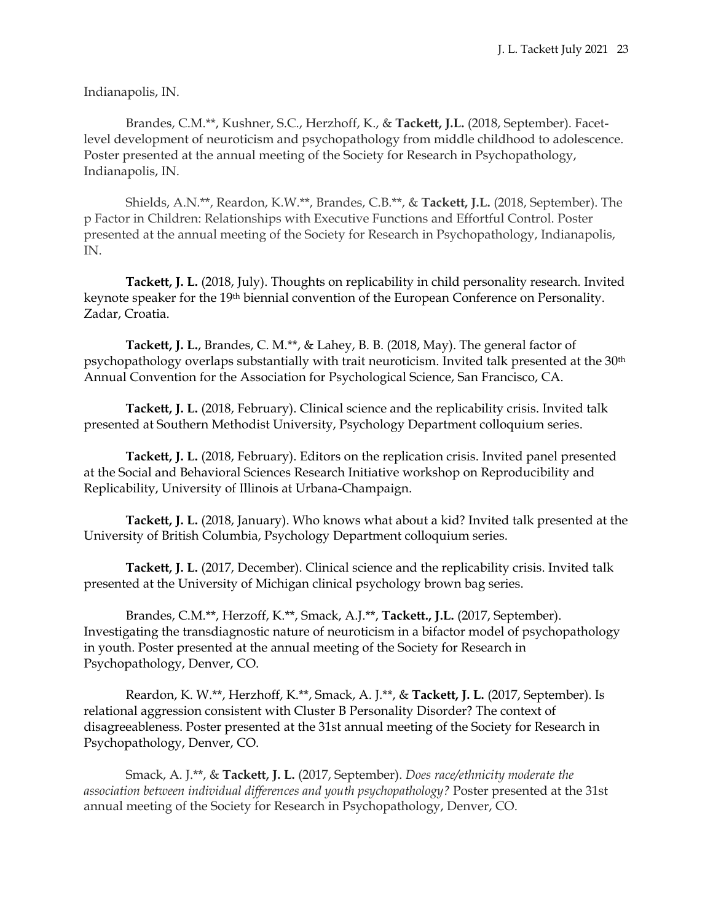Indianapolis, IN.

Brandes, C.M.\*\*, Kushner, S.C., Herzhoff, K., & **Tackett, J.L.** (2018, September). Facetlevel development of neuroticism and psychopathology from middle childhood to adolescence. Poster presented at the annual meeting of the Society for Research in Psychopathology, Indianapolis, IN.

Shields, A.N.\*\*, Reardon, K.W.\*\*, Brandes, C.B.\*\*, & **Tackett, J.L.** (2018, September). The p Factor in Children: Relationships with Executive Functions and Effortful Control. Poster presented at the annual meeting of the Society for Research in Psychopathology, Indianapolis, IN.

**Tackett, J. L.** (2018, July). Thoughts on replicability in child personality research. Invited keynote speaker for the 19<sup>th</sup> biennial convention of the European Conference on Personality. Zadar, Croatia.

**Tackett, J. L.**, Brandes, C. M.\*\*, & Lahey, B. B. (2018, May). The general factor of psychopathology overlaps substantially with trait neuroticism. Invited talk presented at the 30th Annual Convention for the Association for Psychological Science, San Francisco, CA.

**Tackett, J. L.** (2018, February). Clinical science and the replicability crisis. Invited talk presented at Southern Methodist University, Psychology Department colloquium series.

**Tackett, J. L.** (2018, February). Editors on the replication crisis. Invited panel presented at the Social and Behavioral Sciences Research Initiative workshop on Reproducibility and Replicability, University of Illinois at Urbana-Champaign.

**Tackett, J. L.** (2018, January). Who knows what about a kid? Invited talk presented at the University of British Columbia, Psychology Department colloquium series.

**Tackett, J. L.** (2017, December). Clinical science and the replicability crisis. Invited talk presented at the University of Michigan clinical psychology brown bag series.

Brandes, C.M.\*\*, Herzoff, K.\*\*, Smack, A.J.\*\*, **Tackett., J.L.** (2017, September). Investigating the transdiagnostic nature of neuroticism in a bifactor model of psychopathology in youth. Poster presented at the annual meeting of the Society for Research in Psychopathology, Denver, CO.

Reardon, K. W.\*\*, Herzhoff, K.\*\*, Smack, A. J.\*\*, & **Tackett, J. L.** (2017, September). Is relational aggression consistent with Cluster B Personality Disorder? The context of disagreeableness. Poster presented at the 31st annual meeting of the Society for Research in Psychopathology, Denver, CO.

Smack, A. J.\*\*, & **Tackett, J. L.** (2017, September). *Does race/ethnicity moderate the association between individual differences and youth psychopathology?* Poster presented at the 31st annual meeting of the Society for Research in Psychopathology, Denver, CO.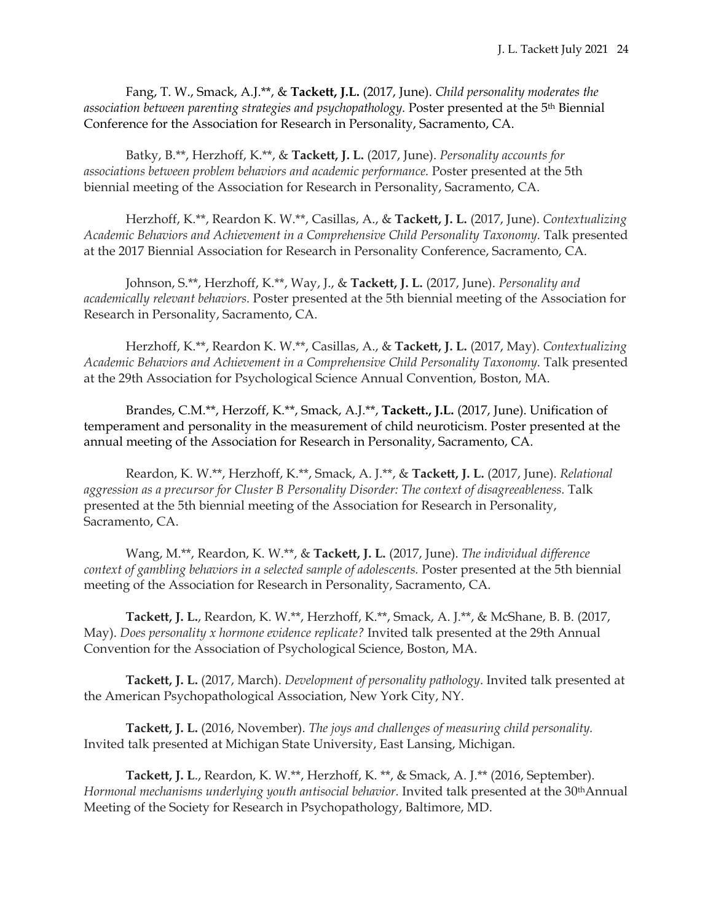Fang, T. W., Smack, A.J.\*\*, & **Tackett, J.L.** (2017, June). *Child personality moderates the association between parenting strategies and psychopathology.* Poster presented at the 5th Biennial Conference for the Association for Research in Personality, Sacramento, CA.

Batky, B.\*\*, Herzhoff, K.\*\*, & **Tackett, J. L.** (2017, June). *Personality accounts for associations between problem behaviors and academic performance.* Poster presented at the 5th biennial meeting of the Association for Research in Personality, Sacramento, CA.

Herzhoff, K.\*\*, Reardon K. W.\*\*, Casillas, A., & **Tackett, J. L.** (2017, June). *Contextualizing Academic Behaviors and Achievement in a Comprehensive Child Personality Taxonomy.* Talk presented at the 2017 Biennial Association for Research in Personality Conference, Sacramento, CA.

Johnson, S.\*\*, Herzhoff, K.\*\*, Way, J., & **Tackett, J. L.** (2017, June). *Personality and academically relevant behaviors.* Poster presented at the 5th biennial meeting of the Association for Research in Personality, Sacramento, CA.

Herzhoff, K.\*\*, Reardon K. W.\*\*, Casillas, A., & **Tackett, J. L.** (2017, May). *Contextualizing Academic Behaviors and Achievement in a Comprehensive Child Personality Taxonomy.* Talk presented at the 29th Association for Psychological Science Annual Convention, Boston, MA.

Brandes, C.M.\*\*, Herzoff, K.\*\*, Smack, A.J.\*\*, **Tackett., J.L.** (2017, June). Unification of temperament and personality in the measurement of child neuroticism. Poster presented at the annual meeting of the Association for Research in Personality, Sacramento, CA.

Reardon, K. W.\*\*, Herzhoff, K.\*\*, Smack, A. J.\*\*, & **Tackett, J. L.** (2017, June). *Relational aggression as a precursor for Cluster B Personality Disorder: The context of disagreeableness.* Talk presented at the 5th biennial meeting of the Association for Research in Personality, Sacramento, CA.

Wang, M.\*\*, Reardon, K. W.\*\*, & **Tackett, J. L.** (2017, June). *The individual difference context of gambling behaviors in a selected sample of adolescents.* Poster presented at the 5th biennial meeting of the Association for Research in Personality, Sacramento, CA.

**Tackett, J. L.**, Reardon, K. W.\*\*, Herzhoff, K.\*\*, Smack, A. J.\*\*, & McShane, B. B. (2017, May). *Does personality x hormone evidence replicate?* Invited talk presented at the 29th Annual Convention for the Association of Psychological Science, Boston, MA.

**Tackett, J. L.** (2017, March). *Development of personality pathology*. Invited talk presented at the American Psychopathological Association, New York City, NY.

**Tackett, J. L.** (2016, November). *The joys and challenges of measuring child personality.* Invited talk presented at Michigan State University, East Lansing, Michigan.

**Tackett, J. L**., Reardon, K. W.\*\*, Herzhoff, K. \*\*, & Smack, A. J.\*\* (2016, September). *Hormonal mechanisms underlying youth antisocial behavior.* Invited talk presented at the 30thAnnual Meeting of the Society for Research in Psychopathology, Baltimore, MD.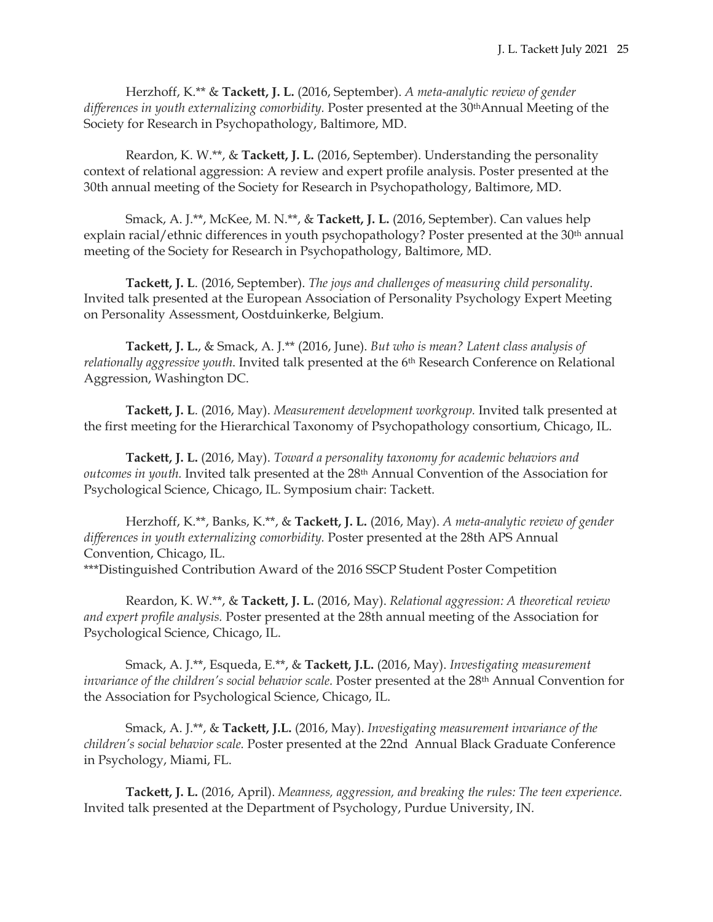Herzhoff, K.\*\* & **Tackett, J. L.** (2016, September). *A meta-analytic review of gender differences in youth externalizing comorbidity.* Poster presented at the 30thAnnual Meeting of the Society for Research in Psychopathology, Baltimore, MD.

Reardon, K. W.\*\*, & **Tackett, J. L.** (2016, September). Understanding the personality context of relational aggression: A review and expert profile analysis. Poster presented at the 30th annual meeting of the Society for Research in Psychopathology, Baltimore, MD.

Smack, A. J.\*\*, McKee, M. N.\*\*, & **Tackett, J. L.** (2016, September). Can values help explain racial/ethnic differences in youth psychopathology? Poster presented at the 30<sup>th</sup> annual meeting of the Society for Research in Psychopathology, Baltimore, MD.

**Tackett, J. L**. (2016, September). *The joys and challenges of measuring child personality*. Invited talk presented at the European Association of Personality Psychology Expert Meeting on Personality Assessment, Oostduinkerke, Belgium.

**Tackett, J. L.**, & Smack, A. J.\*\* (2016, June). *But who is mean? Latent class analysis of relationally aggressive youth*. Invited talk presented at the 6<sup>th</sup> Research Conference on Relational Aggression, Washington DC.

**Tackett, J. L**. (2016, May). *Measurement development workgroup.* Invited talk presented at the first meeting for the Hierarchical Taxonomy of Psychopathology consortium, Chicago, IL.

**Tackett, J. L.** (2016, May). *Toward a personality taxonomy for academic behaviors and outcomes in youth.* Invited talk presented at the 28th Annual Convention of the Association for Psychological Science, Chicago, IL. Symposium chair: Tackett.

Herzhoff, K.\*\*, Banks, K.\*\*, & **Tackett, J. L.** (2016, May). *A meta-analytic review of gender differences in youth externalizing comorbidity.* Poster presented at the 28th APS Annual Convention, Chicago, IL. \*\*\*Distinguished Contribution Award of the 2016 SSCP Student Poster Competition

Reardon, K. W.\*\*, & **Tackett, J. L.** (2016, May). *Relational aggression: A theoretical review and expert profile analysis.* Poster presented at the 28th annual meeting of the Association for Psychological Science, Chicago, IL.

Smack, A. J.\*\*, Esqueda, E.\*\*, & **Tackett, J.L.** (2016, May). *Investigating measurement invariance of the children's social behavior scale.* Poster presented at the 28th Annual Convention for the Association for Psychological Science, Chicago, IL.

Smack, A. J.\*\*, & **Tackett, J.L.** (2016, May). *Investigating measurement invariance of the children's social behavior scale.* Poster presented at the 22nd Annual Black Graduate Conference in Psychology, Miami, FL.

**Tackett, J. L.** (2016, April). *Meanness, aggression, and breaking the rules: The teen experience.*  Invited talk presented at the Department of Psychology, Purdue University, IN.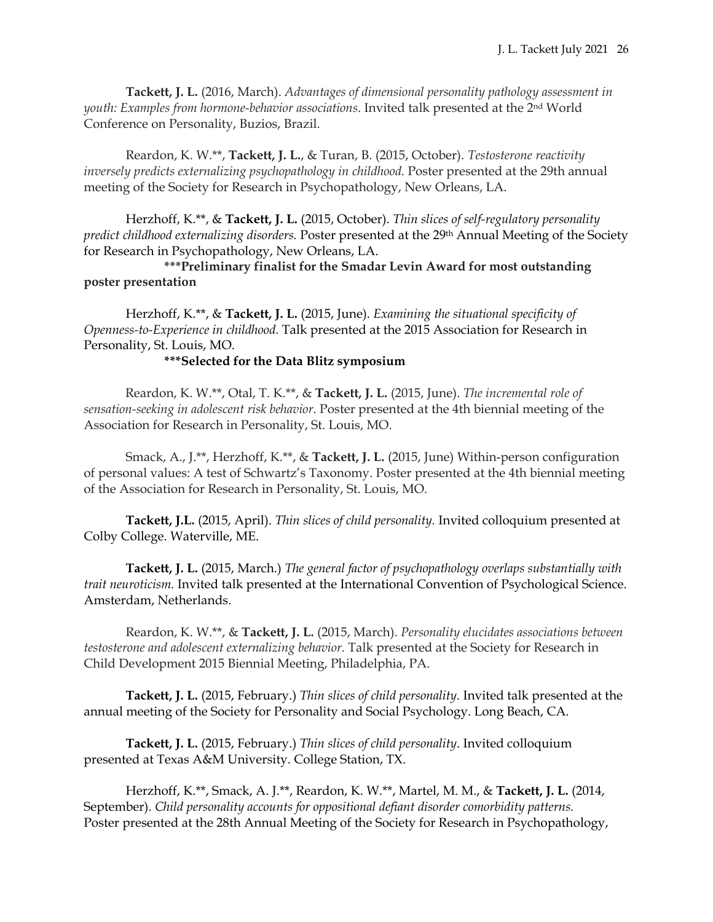**Tackett, J. L.** (2016, March). *Advantages of dimensional personality pathology assessment in youth: Examples from hormone-behavior associations*. Invited talk presented at the 2nd World Conference on Personality, Buzios, Brazil.

Reardon, K. W.\*\*, **Tackett, J. L.**, & Turan, B. (2015, October). *Testosterone reactivity inversely predicts externalizing psychopathology in childhood.* Poster presented at the 29th annual meeting of the Society for Research in Psychopathology, New Orleans, LA.

Herzhoff, K.\*\*, & **Tackett, J. L.** (2015, October). *Thin slices of self-regulatory personality predict childhood externalizing disorders.* Poster presented at the 29th Annual Meeting of the Society for Research in Psychopathology, New Orleans, LA.

 **\*\*\*Preliminary finalist for the Smadar Levin Award for most outstanding poster presentation**

Herzhoff, K.\*\*, & **Tackett, J. L.** (2015, June). *Examining the situational specificity of Openness-to-Experience in childhood.* Talk presented at the 2015 Association for Research in Personality, St. Louis, MO.

# **\*\*\*Selected for the Data Blitz symposium**

 Reardon, K. W.\*\*, Otal, T. K.\*\*, & **Tackett, J. L.** (2015, June). *The incremental role of sensation-seeking in adolescent risk behavior.* Poster presented at the 4th biennial meeting of the Association for Research in Personality, St. Louis, MO.

Smack, A., J.\*\*, Herzhoff, K.\*\*, & **Tackett, J. L.** (2015, June) Within-person configuration of personal values: A test of Schwartz's Taxonomy. Poster presented at the 4th biennial meeting of the Association for Research in Personality, St. Louis, MO.

**Tackett, J.L.** (2015, April). *Thin slices of child personality.* Invited colloquium presented at Colby College. Waterville, ME.

**Tackett, J. L.** (2015, March.) *The general factor of psychopathology overlaps substantially with trait neuroticism.* Invited talk presented at the International Convention of Psychological Science. Amsterdam, Netherlands.

Reardon, K. W.\*\*, & **Tackett, J. L.** (2015, March). *Personality elucidates associations between testosterone and adolescent externalizing behavior.* Talk presented at the Society for Research in Child Development 2015 Biennial Meeting, Philadelphia, PA.

**Tackett, J. L.** (2015, February.) *Thin slices of child personality.* Invited talk presented at the annual meeting of the Society for Personality and Social Psychology. Long Beach, CA.

**Tackett, J. L.** (2015, February.) *Thin slices of child personality*. Invited colloquium presented at Texas A&M University. College Station, TX.

Herzhoff, K.\*\*, Smack, A. J.\*\*, Reardon, K. W.\*\*, Martel, M. M., & **Tackett, J. L.** (2014, September). *Child personality accounts for oppositional defiant disorder comorbidity patterns.* Poster presented at the 28th Annual Meeting of the Society for Research in Psychopathology,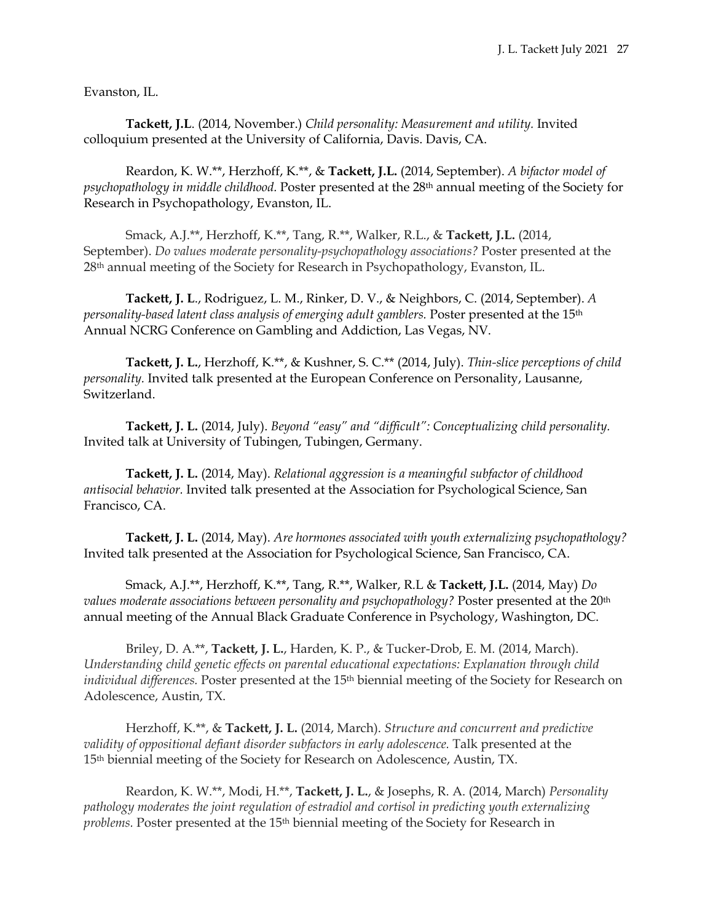Evanston, IL.

**Tackett, J.L**. (2014, November.) *Child personality: Measurement and utility.* Invited colloquium presented at the University of California, Davis. Davis, CA.

Reardon, K. W.\*\*, Herzhoff, K.\*\*, & **Tackett, J.L.** (2014, September). *A bifactor model of psychopathology in middle childhood.* Poster presented at the 28th annual meeting of the Society for Research in Psychopathology, Evanston, IL.

Smack, A.J.\*\*, Herzhoff, K.\*\*, Tang, R.\*\*, Walker, R.L., & **Tackett, J.L.** (2014, September). *Do values moderate personality-psychopathology associations?* Poster presented at the 28th annual meeting of the Society for Research in Psychopathology, Evanston, IL.

**Tackett, J. L**., Rodriguez, L. M., Rinker, D. V., & Neighbors, C. (2014, September). *A personality-based latent class analysis of emerging adult gamblers.* Poster presented at the 15th Annual NCRG Conference on Gambling and Addiction, Las Vegas, NV.

**Tackett, J. L.**, Herzhoff, K.\*\*, & Kushner, S. C.\*\* (2014, July). *Thin-slice perceptions of child personality.* Invited talk presented at the European Conference on Personality, Lausanne, Switzerland.

**Tackett, J. L.** (2014, July). *Beyond "easy" and "difficult": Conceptualizing child personality.* Invited talk at University of Tubingen, Tubingen, Germany.

**Tackett, J. L.** (2014, May). *Relational aggression is a meaningful subfactor of childhood antisocial behavior.* Invited talk presented at the Association for Psychological Science, San Francisco, CA.

**Tackett, J. L.** (2014, May). *Are hormones associated with youth externalizing psychopathology?*  Invited talk presented at the Association for Psychological Science, San Francisco, CA.

Smack, A.J.\*\*, Herzhoff, K.\*\*, Tang, R.\*\*, Walker, R.L & **Tackett, J.L.** (2014, May) *Do values moderate associations between personality and psychopathology?* Poster presented at the 20th annual meeting of the Annual Black Graduate Conference in Psychology, Washington, DC.

Briley, D. A.\*\*, **Tackett, J. L.**, Harden, K. P., & Tucker-Drob, E. M. (2014, March). *Understanding child genetic effects on parental educational expectations: Explanation through child individual differences.* Poster presented at the 15<sup>th</sup> biennial meeting of the Society for Research on Adolescence, Austin, TX.

Herzhoff, K.\*\*, & **Tackett, J. L.** (2014, March). *Structure and concurrent and predictive validity of oppositional defiant disorder subfactors in early adolescence.* Talk presented at the 15th biennial meeting of the Society for Research on Adolescence, Austin, TX.

Reardon, K. W.\*\*, Modi, H.\*\*, **Tackett, J. L.**, & Josephs, R. A. (2014, March) *Personality pathology moderates the joint regulation of estradiol and cortisol in predicting youth externalizing problems.* Poster presented at the 15th biennial meeting of the Society for Research in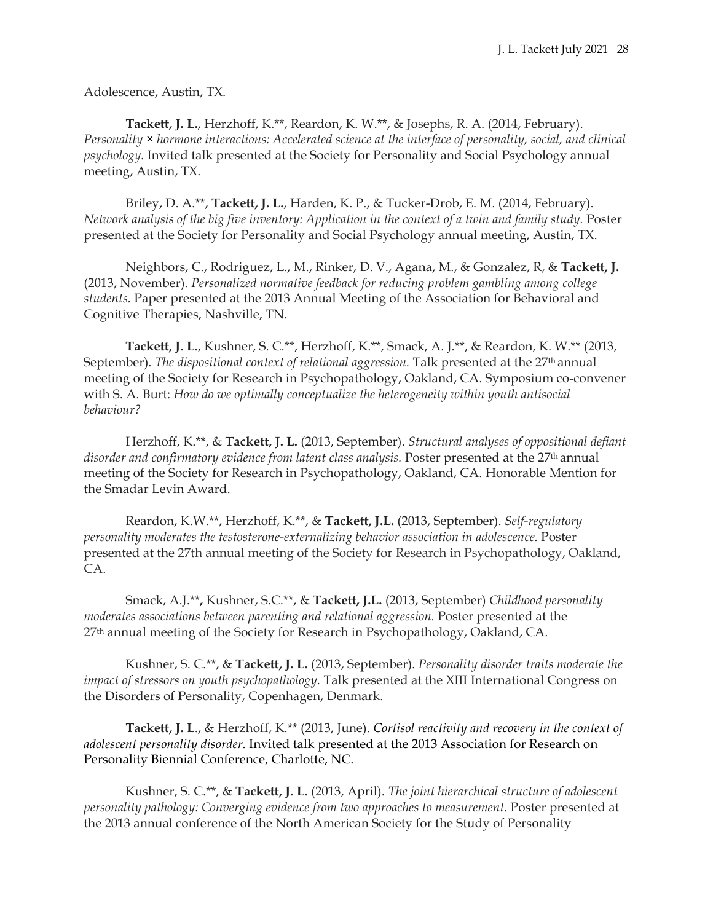Adolescence, Austin, TX.

**Tackett, J. L.**, Herzhoff, K.\*\*, Reardon, K. W.\*\*, & Josephs, R. A. (2014, February). *Personality* × *hormone interactions: Accelerated science at the interface of personality, social, and clinical psychology.* Invited talk presented at the Society for Personality and Social Psychology annual meeting, Austin, TX.

Briley, D. A.\*\*, **Tackett, J. L.**, Harden, K. P., & Tucker-Drob, E. M. (2014, February). *Network analysis of the big five inventory: Application in the context of a twin and family study.* Poster presented at the Society for Personality and Social Psychology annual meeting, Austin, TX.

Neighbors, C., Rodriguez, L., M., Rinker, D. V., Agana, M., & Gonzalez, R, & **Tackett, J.** (2013, November). *Personalized normative feedback for reducing problem gambling among college students.* Paper presented at the 2013 Annual Meeting of the Association for Behavioral and Cognitive Therapies, Nashville, TN.

**Tackett, J. L.**, Kushner, S. C.\*\*, Herzhoff, K.\*\*, Smack, A. J.\*\*, & Reardon, K. W.\*\* (2013, September). *The dispositional context of relational aggression*. Talk presented at the 27<sup>th</sup> annual meeting of the Society for Research in Psychopathology, Oakland, CA. Symposium co-convener with S. A. Burt: *How do we optimally conceptualize the heterogeneity within youth antisocial behaviour?*

Herzhoff, K.\*\*, & **Tackett, J. L.** (2013, September). *Structural analyses of oppositional defiant disorder and confirmatory evidence from latent class analysis.* Poster presented at the 27th annual meeting of the Society for Research in Psychopathology, Oakland, CA. Honorable Mention for the Smadar Levin Award.

Reardon, K.W.\*\*, Herzhoff, K.\*\*, & **Tackett, J.L.** (2013, September). *Self-regulatory personality moderates the testosterone-externalizing behavior association in adolescence.* Poster presented at the 27th annual meeting of the Society for Research in Psychopathology, Oakland, CA.

Smack, A.J.\*\***,** Kushner, S.C.\*\*, & **Tackett, J.L.** (2013, September) *Childhood personality moderates associations between parenting and relational aggression.* Poster presented at the 27th annual meeting of the Society for Research in Psychopathology, Oakland, CA.

Kushner, S. C.\*\*, & **Tackett, J. L.** (2013, September). *Personality disorder traits moderate the impact of stressors on youth psychopathology.* Talk presented at the XIII International Congress on the Disorders of Personality, Copenhagen, Denmark.

**Tackett, J. L**., & Herzhoff, K.\*\* (2013, June). *Cortisol reactivity and recovery in the context of adolescent personality disorder.* Invited talk presented at the 2013 Association for Research on Personality Biennial Conference, Charlotte, NC.

Kushner, S. C.\*\*, & **Tackett, J. L.** (2013, April). *The joint hierarchical structure of adolescent personality pathology: Converging evidence from two approaches to measurement.* Poster presented at the 2013 annual conference of the North American Society for the Study of Personality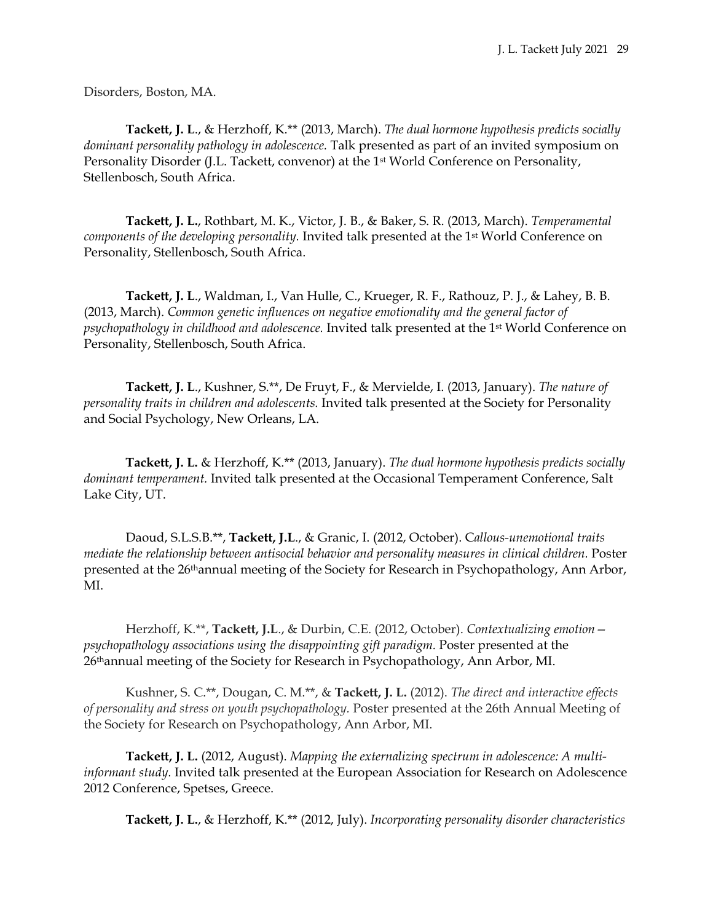Disorders, Boston, MA.

**Tackett, J. L**., & Herzhoff, K.\*\* (2013, March). *The dual hormone hypothesis predicts socially dominant personality pathology in adolescence.* Talk presented as part of an invited symposium on Personality Disorder (J.L. Tackett, convenor) at the 1<sup>st</sup> World Conference on Personality, Stellenbosch, South Africa.

**Tackett, J. L.**, Rothbart, M. K., Victor, J. B., & Baker, S. R. (2013, March). *Temperamental components of the developing personality.* Invited talk presented at the 1st World Conference on Personality, Stellenbosch, South Africa.

**Tackett, J. L**., Waldman, I., Van Hulle, C., Krueger, R. F., Rathouz, P. J., & Lahey, B. B. (2013, March). *Common genetic influences on negative emotionality and the general factor of psychopathology in childhood and adolescence.* Invited talk presented at the 1st World Conference on Personality, Stellenbosch, South Africa.

**Tackett, J. L**., Kushner, S.\*\*, De Fruyt, F., & Mervielde, I. (2013, January). *The nature of personality traits in children and adolescents.* Invited talk presented at the Society for Personality and Social Psychology, New Orleans, LA.

**Tackett, J. L.** & Herzhoff, K.\*\* (2013, January). *The dual hormone hypothesis predicts socially dominant temperament.* Invited talk presented at the Occasional Temperament Conference, Salt Lake City, UT.

Daoud, S.L.S.B.\*\*, **Tackett, J.L**., & Granic, I. (2012, October). C*allous-unemotional traits mediate the relationship between antisocial behavior and personality measures in clinical children.* Poster presented at the 26<sup>th</sup>annual meeting of the Society for Research in Psychopathology, Ann Arbor, MI.

Herzhoff, K.\*\*, **Tackett, J.L**., & Durbin, C.E. (2012, October). *Contextualizing emotion psychopathology associations using the disappointing gift paradigm.* Poster presented at the 26thannual meeting of the Society for Research in Psychopathology, Ann Arbor, MI.

Kushner, S. C.\*\*, Dougan, C. M.\*\*, & **Tackett, J. L.** (2012). *The direct and interactive effects of personality and stress on youth psychopathology.* Poster presented at the 26th Annual Meeting of the Society for Research on Psychopathology, Ann Arbor, MI.

**Tackett, J. L.** (2012, August). *Mapping the externalizing spectrum in adolescence: A multiinformant study.* Invited talk presented at the European Association for Research on Adolescence 2012 Conference, Spetses, Greece.

**Tackett, J. L.**, & Herzhoff, K.\*\* (2012, July). *Incorporating personality disorder characteristics*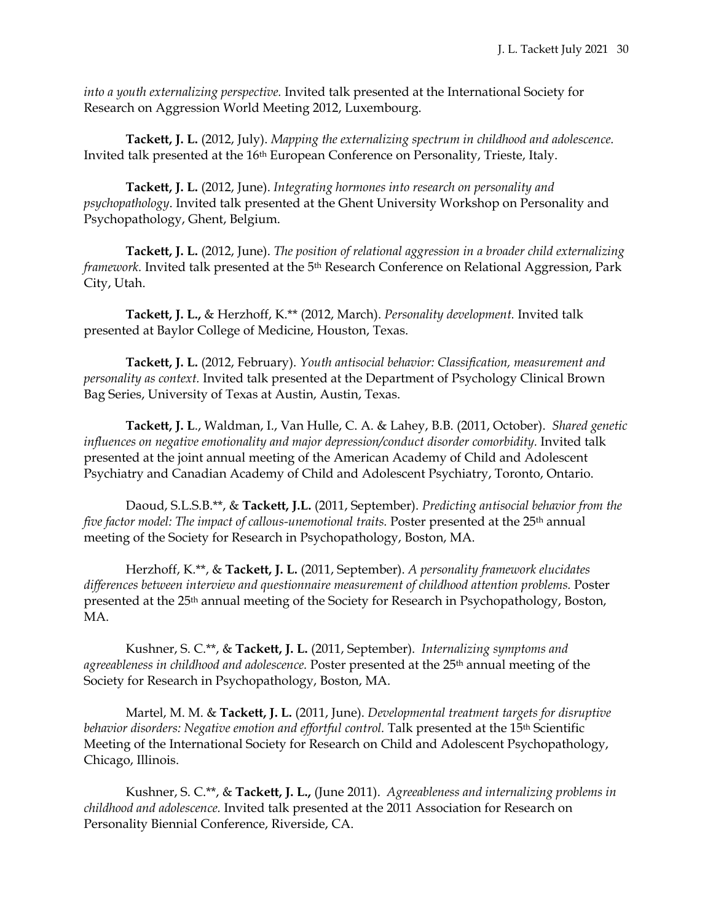*into a youth externalizing perspective.* Invited talk presented at the International Society for Research on Aggression World Meeting 2012, Luxembourg.

**Tackett, J. L.** (2012, July). *Mapping the externalizing spectrum in childhood and adolescence.* Invited talk presented at the 16<sup>th</sup> European Conference on Personality, Trieste, Italy.

**Tackett, J. L.** (2012, June). *Integrating hormones into research on personality and psychopathology*. Invited talk presented at the Ghent University Workshop on Personality and Psychopathology, Ghent, Belgium.

**Tackett, J. L.** (2012, June). *The position of relational aggression in a broader child externalizing framework*. Invited talk presented at the 5<sup>th</sup> Research Conference on Relational Aggression, Park City, Utah.

**Tackett, J. L.,** & Herzhoff, K.\*\* (2012, March). *Personality development.* Invited talk presented at Baylor College of Medicine, Houston, Texas.

**Tackett, J. L.** (2012, February). *Youth antisocial behavior: Classification, measurement and personality as context.* Invited talk presented at the Department of Psychology Clinical Brown Bag Series, University of Texas at Austin, Austin, Texas.

**Tackett, J. L**., Waldman, I., Van Hulle, C. A. & Lahey, B.B. (2011, October). *Shared genetic*  influences on negative emotionality and major depression/conduct disorder comorbidity. Invited talk presented at the joint annual meeting of the American Academy of Child and Adolescent Psychiatry and Canadian Academy of Child and Adolescent Psychiatry, Toronto, Ontario.

Daoud, S.L.S.B.\*\*, & **Tackett, J.L.** (2011, September). *Predicting antisocial behavior from the five factor model: The impact of callous-unemotional traits.* Poster presented at the 25th annual meeting of the Society for Research in Psychopathology, Boston, MA.

Herzhoff, K.\*\*, & **Tackett, J. L.** (2011, September). *A personality framework elucidates differences between interview and questionnaire measurement of childhood attention problems.* Poster presented at the 25th annual meeting of the Society for Research in Psychopathology, Boston, MA.

Kushner, S. C.\*\*, & **Tackett, J. L.** (2011, September). *Internalizing symptoms and agreeableness in childhood and adolescence.* Poster presented at the 25th annual meeting of the Society for Research in Psychopathology, Boston, MA.

Martel, M. M. & **Tackett, J. L.** (2011, June). *Developmental treatment targets for disruptive behavior disorders: Negative emotion and effortful control.* Talk presented at the 15th Scientific Meeting of the International Society for Research on Child and Adolescent Psychopathology, Chicago, Illinois.

Kushner, S. C.\*\*, & **Tackett, J. L.,** (June 2011). *Agreeableness and internalizing problems in childhood and adolescence.* Invited talk presented at the 2011 Association for Research on Personality Biennial Conference, Riverside, CA.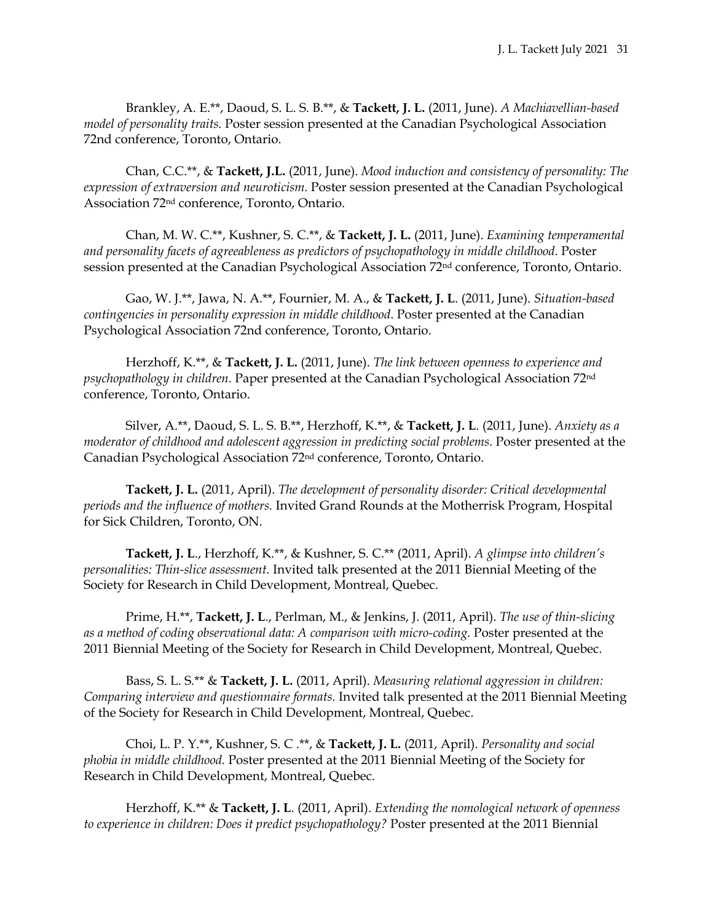Brankley, A. E.\*\*, Daoud, S. L. S. B.\*\*, & **Tackett, J. L.** (2011, June). *A Machiavellian-based model of personality traits.* Poster session presented at the Canadian Psychological Association 72nd conference, Toronto, Ontario.

Chan, C.C.\*\*, & **Tackett, J.L.** (2011, June). *Mood induction and consistency of personality: The expression of extraversion and neuroticism.* Poster session presented at the Canadian Psychological Association 72nd conference, Toronto, Ontario.

Chan, M. W. C.\*\*, Kushner, S. C.\*\*, & **Tackett, J. L.** (2011, June). *Examining temperamental and personality facets of agreeableness as predictors of psychopathology in middle childhood*. Poster session presented at the Canadian Psychological Association 72<sup>nd</sup> conference, Toronto, Ontario.

Gao, W. J.\*\*, Jawa, N. A.\*\*, Fournier, M. A., & **Tackett, J. L**. (2011, June). *Situation-based contingencies in personality expression in middle childhood*. Poster presented at the Canadian Psychological Association 72nd conference, Toronto, Ontario.

Herzhoff, K.\*\*, & **Tackett, J. L.** (2011, June). *The link between openness to experience and psychopathology in children.* Paper presented at the Canadian Psychological Association 72nd conference, Toronto, Ontario.

Silver, A.\*\*, Daoud, S. L. S. B.\*\*, Herzhoff, K.\*\*, & **Tackett, J. L**. (2011, June). *Anxiety as a moderator of childhood and adolescent aggression in predicting social problems*. Poster presented at the Canadian Psychological Association 72nd conference, Toronto, Ontario.

**Tackett, J. L.** (2011, April). *The development of personality disorder: Critical developmental periods and the influence of mothers.* Invited Grand Rounds at the Motherrisk Program, Hospital for Sick Children, Toronto, ON.

**Tackett, J. L**., Herzhoff, K.\*\*, & Kushner, S. C.\*\* (2011, April). *A glimpse into children's personalities: Thin-slice assessment.* Invited talk presented at the 2011 Biennial Meeting of the Society for Research in Child Development, Montreal, Quebec.

Prime, H.\*\*, **Tackett, J. L**., Perlman, M., & Jenkins, J. (2011, April). *The use of thin-slicing as a method of coding observational data: A comparison with micro-coding.* Poster presented at the 2011 Biennial Meeting of the Society for Research in Child Development, Montreal, Quebec.

Bass, S. L. S.\*\* & **Tackett, J. L.** (2011, April). *Measuring relational aggression in children: Comparing interview and questionnaire formats.* Invited talk presented at the 2011 Biennial Meeting of the Society for Research in Child Development, Montreal, Quebec.

Choi, L. P. Y.\*\*, Kushner, S. C .\*\*, & **Tackett, J. L.** (2011, April). *Personality and social phobia in middle childhood.* Poster presented at the 2011 Biennial Meeting of the Society for Research in Child Development, Montreal, Quebec.

Herzhoff, K.\*\* & **Tackett, J. L**. (2011, April). *Extending the nomological network of openness to experience in children: Does it predict psychopathology?* Poster presented at the 2011 Biennial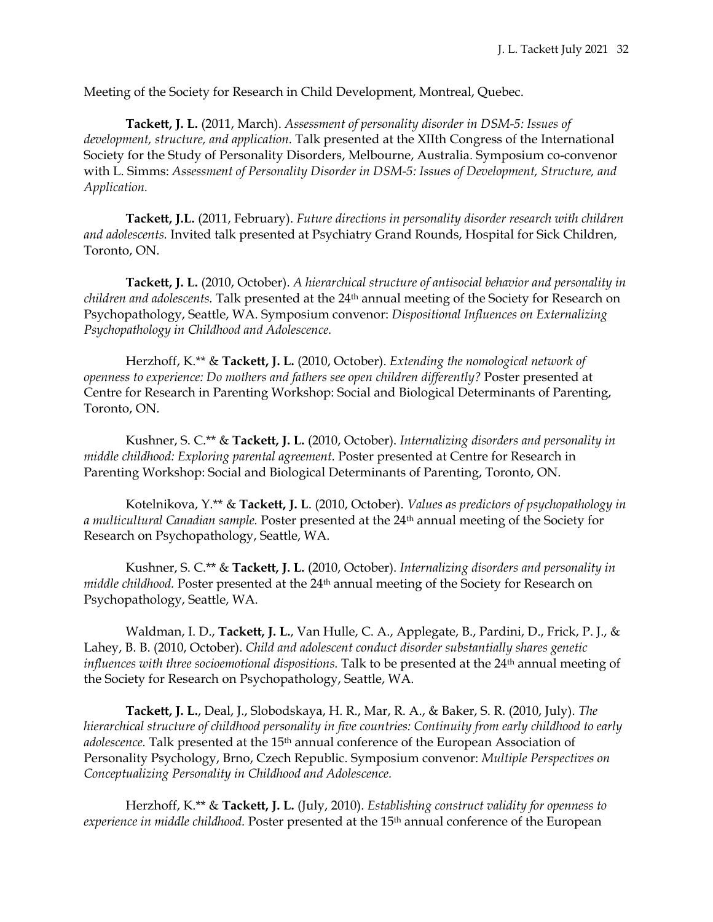Meeting of the Society for Research in Child Development, Montreal, Quebec.

**Tackett, J. L.** (2011, March). *Assessment of personality disorder in DSM-5: Issues of development, structure, and application.* Talk presented at the XIIth Congress of the International Society for the Study of Personality Disorders, Melbourne, Australia. Symposium co-convenor with L. Simms: *Assessment of Personality Disorder in DSM-5: Issues of Development, Structure, and Application.* 

**Tackett, J.L.** (2011, February). *Future directions in personality disorder research with children and adolescents.* Invited talk presented at Psychiatry Grand Rounds, Hospital for Sick Children, Toronto, ON.

**Tackett, J. L.** (2010, October). *A hierarchical structure of antisocial behavior and personality in children and adolescents.* Talk presented at the 24<sup>th</sup> annual meeting of the Society for Research on Psychopathology, Seattle, WA. Symposium convenor: *Dispositional Influences on Externalizing Psychopathology in Childhood and Adolescence.*

Herzhoff, K.\*\* & **Tackett, J. L.** (2010, October). *Extending the nomological network of openness to experience: Do mothers and fathers see open children differently?* Poster presented at Centre for Research in Parenting Workshop: Social and Biological Determinants of Parenting, Toronto, ON.

Kushner, S. C.\*\* & **Tackett, J. L.** (2010, October). *Internalizing disorders and personality in middle childhood: Exploring parental agreement.* Poster presented at Centre for Research in Parenting Workshop: Social and Biological Determinants of Parenting, Toronto, ON.

Kotelnikova, Y.\*\* & **Tackett, J. L**. (2010, October). *Values as predictors of psychopathology in a multicultural Canadian sample.* Poster presented at the 24th annual meeting of the Society for Research on Psychopathology, Seattle, WA.

Kushner, S. C.\*\* & **Tackett, J. L.** (2010, October). *Internalizing disorders and personality in middle childhood.* Poster presented at the 24<sup>th</sup> annual meeting of the Society for Research on Psychopathology, Seattle, WA.

Waldman, I. D., **Tackett, J. L.**, Van Hulle, C. A., Applegate, B., Pardini, D., Frick, P. J., & Lahey, B. B. (2010, October). *Child and adolescent conduct disorder substantially shares genetic influences with three socioemotional dispositions.* Talk to be presented at the 24<sup>th</sup> annual meeting of the Society for Research on Psychopathology, Seattle, WA.

**Tackett, J. L.**, Deal, J., Slobodskaya, H. R., Mar, R. A., & Baker, S. R. (2010, July). *The hierarchical structure of childhood personality in five countries: Continuity from early childhood to early*  adolescence. Talk presented at the 15<sup>th</sup> annual conference of the European Association of Personality Psychology, Brno, Czech Republic. Symposium convenor: *Multiple Perspectives on Conceptualizing Personality in Childhood and Adolescence.*

Herzhoff, K.\*\* & **Tackett, J. L.** (July, 2010). *Establishing construct validity for openness to experience in middle childhood.* Poster presented at the 15th annual conference of the European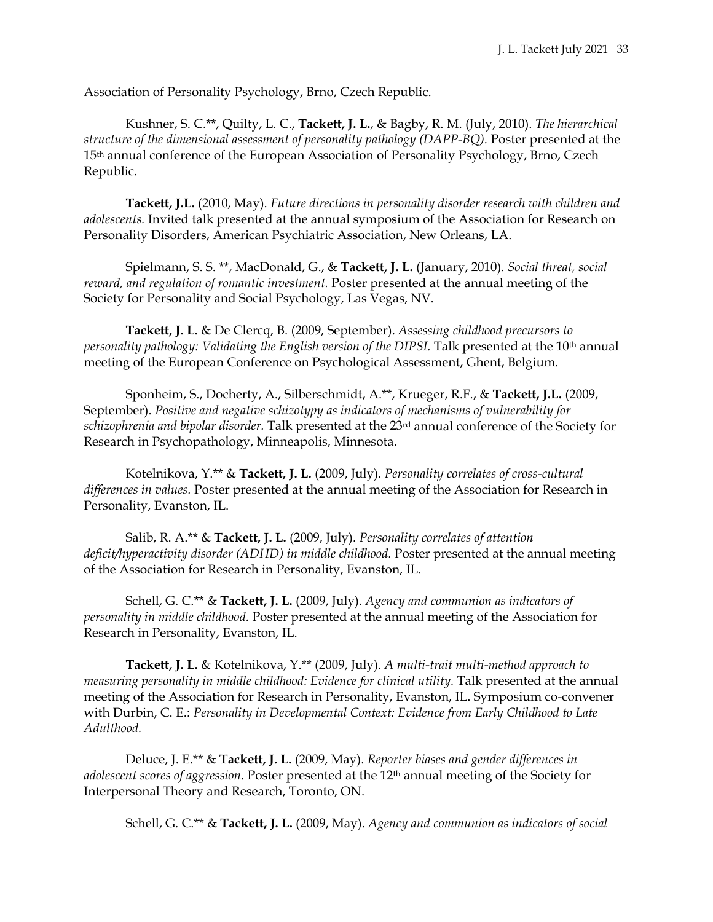Association of Personality Psychology, Brno, Czech Republic.

Kushner, S. C.\*\*, Quilty, L. C., **Tackett, J. L.**, & Bagby, R. M. (July, 2010). *The hierarchical structure of the dimensional assessment of personality pathology (DAPP-BQ).* Poster presented at the 15th annual conference of the European Association of Personality Psychology, Brno, Czech Republic.

**Tackett, J.L.** (2010, May). *Future directions in personality disorder research with children and adolescents.* Invited talk presented at the annual symposium of the Association for Research on Personality Disorders, American Psychiatric Association, New Orleans, LA.

Spielmann, S. S. \*\*, MacDonald, G., & **Tackett, J. L.** (January, 2010). *Social threat, social reward, and regulation of romantic investment.* Poster presented at the annual meeting of the Society for Personality and Social Psychology, Las Vegas, NV.

**Tackett, J. L.** & De Clercq, B. (2009, September). *Assessing childhood precursors to personality pathology: Validating the English version of the DIPSI.* Talk presented at the 10th annual meeting of the European Conference on Psychological Assessment, Ghent, Belgium.

Sponheim, S., Docherty, A., Silberschmidt, A.\*\*, Krueger, R.F., & **Tackett, J.L.** (2009, September). *Positive and negative schizotypy as indicators of mechanisms of vulnerability for schizophrenia and bipolar disorder.* Talk presented at the 23rd annual conference of the Society for Research in Psychopathology, Minneapolis, Minnesota.

Kotelnikova, Y.\*\* & **Tackett, J. L.** (2009, July). *Personality correlates of cross-cultural differences in values.* Poster presented at the annual meeting of the Association for Research in Personality, Evanston, IL.

Salib, R. A.\*\* & **Tackett, J. L.** (2009, July). *Personality correlates of attention deficit/hyperactivity disorder (ADHD) in middle childhood.* Poster presented at the annual meeting of the Association for Research in Personality, Evanston, IL.

Schell, G. C.\*\* & **Tackett, J. L.** (2009, July). *Agency and communion as indicators of personality in middle childhood.* Poster presented at the annual meeting of the Association for Research in Personality, Evanston, IL.

**Tackett, J. L.** & Kotelnikova, Y.\*\* (2009, July). *A multi-trait multi-method approach to measuring personality in middle childhood: Evidence for clinical utility.* Talk presented at the annual meeting of the Association for Research in Personality, Evanston, IL. Symposium co-convener with Durbin, C. E.: *Personality in Developmental Context: Evidence from Early Childhood to Late Adulthood.*

Deluce, J. E.\*\* & **Tackett, J. L.** (2009, May). *Reporter biases and gender differences in adolescent scores of aggression.* Poster presented at the 12th annual meeting of the Society for Interpersonal Theory and Research, Toronto, ON.

Schell, G. C.\*\* & **Tackett, J. L.** (2009, May). *Agency and communion as indicators of social*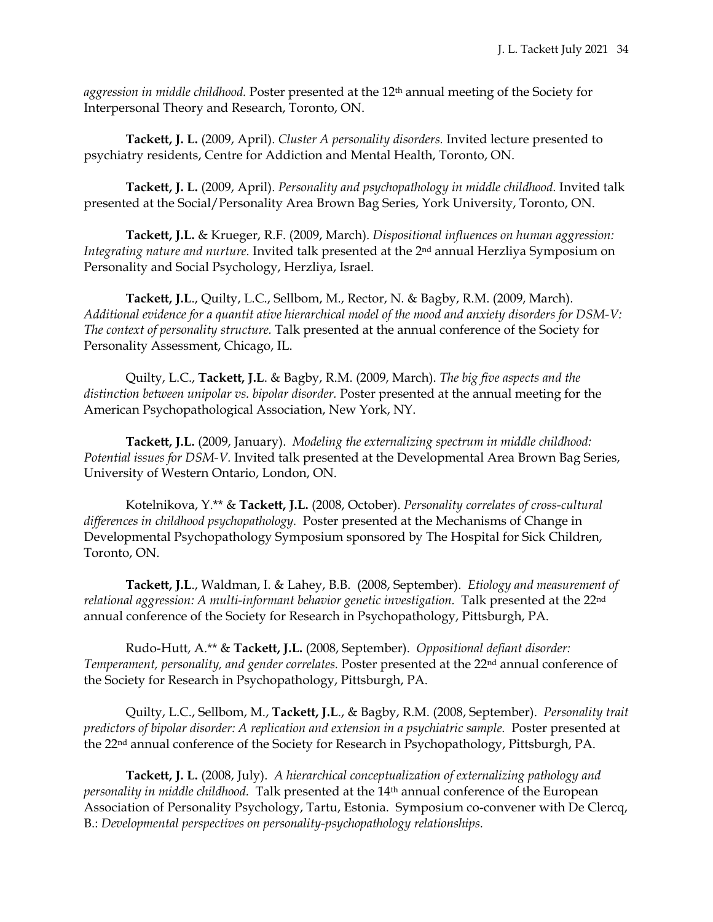*aggression in middle childhood.* Poster presented at the 12th annual meeting of the Society for Interpersonal Theory and Research, Toronto, ON.

**Tackett, J. L.** (2009, April). *Cluster A personality disorders.* Invited lecture presented to psychiatry residents, Centre for Addiction and Mental Health, Toronto, ON.

**Tackett, J. L.** (2009, April). *Personality and psychopathology in middle childhood.* Invited talk presented at the Social/Personality Area Brown Bag Series, York University, Toronto, ON.

**Tackett, J.L.** & Krueger, R.F. (2009, March). *Dispositional influences on human aggression: Integrating nature and nurture.* Invited talk presented at the 2nd annual Herzliya Symposium on Personality and Social Psychology, Herzliya, Israel.

**Tackett, J.L**., Quilty, L.C., Sellbom, M., Rector, N. & Bagby, R.M. (2009, March). *Additional evidence for a quantit ative hierarchical model of the mood and anxiety disorders for DSM-V: The context of personality structure.* Talk presented at the annual conference of the Society for Personality Assessment, Chicago, IL.

Quilty, L.C., **Tackett, J.L**. & Bagby, R.M. (2009, March). *The big five aspects and the distinction between unipolar vs. bipolar disorder.* Poster presented at the annual meeting for the American Psychopathological Association, New York, NY.

**Tackett, J.L.** (2009, January). *Modeling the externalizing spectrum in middle childhood: Potential issues for DSM-V.* Invited talk presented at the Developmental Area Brown Bag Series, University of Western Ontario, London, ON.

Kotelnikova, Y.\*\* & **Tackett, J.L.** (2008, October). *Personality correlates of cross-cultural differences in childhood psychopathology.* Poster presented at the Mechanisms of Change in Developmental Psychopathology Symposium sponsored by The Hospital for Sick Children, Toronto, ON.

**Tackett, J.L**., Waldman, I. & Lahey, B.B. (2008, September). *Etiology and measurement of relational aggression: A multi-informant behavior genetic investigation.* Talk presented at the 22nd annual conference of the Society for Research in Psychopathology, Pittsburgh, PA.

Rudo-Hutt, A.\*\* & **Tackett, J.L.** (2008, September). *Oppositional defiant disorder: Temperament, personality, and gender correlates.* Poster presented at the 22nd annual conference of the Society for Research in Psychopathology, Pittsburgh, PA.

Quilty, L.C., Sellbom, M., **Tackett, J.L**., & Bagby, R.M. (2008, September). *Personality trait predictors of bipolar disorder: A replication and extension in a psychiatric sample.* Poster presented at the 22nd annual conference of the Society for Research in Psychopathology, Pittsburgh, PA.

**Tackett, J. L.** (2008, July). *A hierarchical conceptualization of externalizing pathology and personality in middle childhood.* Talk presented at the 14th annual conference of the European Association of Personality Psychology, Tartu, Estonia. Symposium co-convener with De Clercq, B.: *Developmental perspectives on personality-psychopathology relationships.*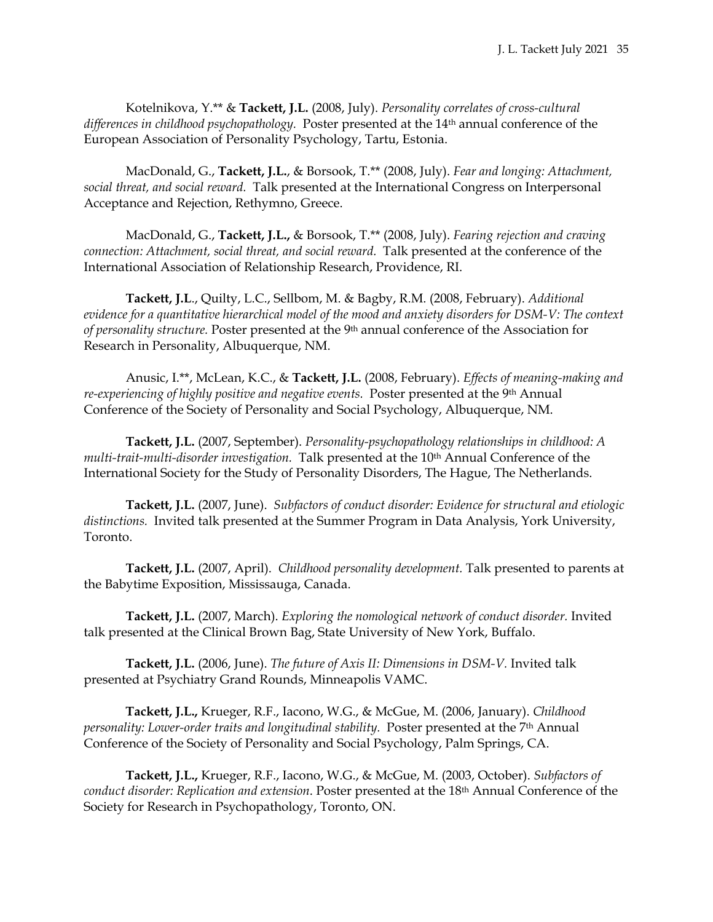Kotelnikova, Y.\*\* & **Tackett, J.L.** (2008, July). *Personality correlates of cross-cultural differences in childhood psychopathology.* Poster presented at the 14th annual conference of the European Association of Personality Psychology, Tartu, Estonia.

MacDonald, G., **Tackett, J.L.**, & Borsook, T.\*\* (2008, July). *Fear and longing: Attachment, social threat, and social reward.* Talk presented at the International Congress on Interpersonal Acceptance and Rejection, Rethymno, Greece.

MacDonald, G., **Tackett, J.L.,** & Borsook, T.\*\* (2008, July). *Fearing rejection and craving connection: Attachment, social threat, and social reward.* Talk presented at the conference of the International Association of Relationship Research, Providence, RI.

**Tackett, J.L**., Quilty, L.C., Sellbom, M. & Bagby, R.M. (2008, February). *Additional evidence for a quantitative hierarchical model of the mood and anxiety disorders for DSM-V: The context of personality structure.* Poster presented at the 9th annual conference of the Association for Research in Personality, Albuquerque, NM.

Anusic, I.\*\*, McLean, K.C., & **Tackett, J.L.** (2008, February). *Effects of meaning-making and re-experiencing of highly positive and negative events.* Poster presented at the 9th Annual Conference of the Society of Personality and Social Psychology, Albuquerque, NM.

**Tackett, J.L.** (2007, September). *Personality-psychopathology relationships in childhood: A multi-trait-multi-disorder investigation.* Talk presented at the 10th Annual Conference of the International Society for the Study of Personality Disorders, The Hague, The Netherlands.

**Tackett, J.L.** (2007, June). *Subfactors of conduct disorder: Evidence for structural and etiologic distinctions.* Invited talk presented at the Summer Program in Data Analysis, York University, Toronto.

**Tackett, J.L.** (2007, April). *Childhood personality development.* Talk presented to parents at the Babytime Exposition, Mississauga, Canada.

**Tackett, J.L.** (2007, March). *Exploring the nomological network of conduct disorder.* Invited talk presented at the Clinical Brown Bag, State University of New York, Buffalo.

**Tackett, J.L.** (2006, June). *The future of Axis II: Dimensions in DSM-V.* Invited talk presented at Psychiatry Grand Rounds, Minneapolis VAMC.

**Tackett, J.L.,** Krueger, R.F., Iacono, W.G., & McGue, M. (2006, January). *Childhood personality: Lower-order traits and longitudinal stability. Poster presented at the 7<sup>th</sup> Annual* Conference of the Society of Personality and Social Psychology, Palm Springs, CA.

**Tackett, J.L.,** Krueger, R.F., Iacono, W.G., & McGue, M. (2003, October). *Subfactors of conduct disorder: Replication and extension*. Poster presented at the 18th Annual Conference of the Society for Research in Psychopathology, Toronto, ON.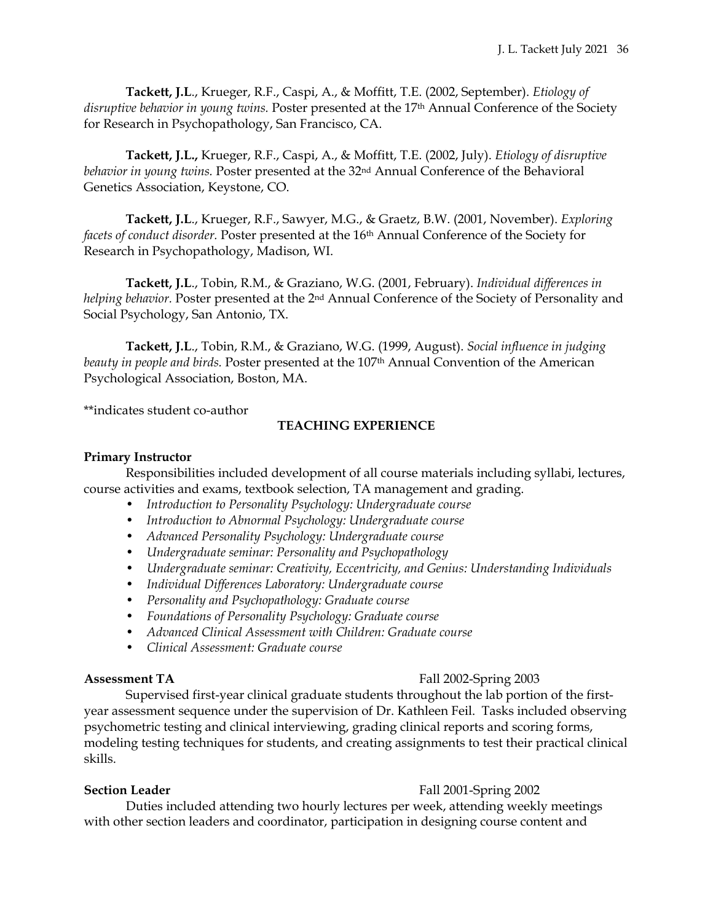**Tackett, J.L**., Krueger, R.F., Caspi, A., & Moffitt, T.E. (2002, September). *Etiology of disruptive behavior in young twins.* Poster presented at the 17th Annual Conference of the Society for Research in Psychopathology, San Francisco, CA.

**Tackett, J.L.,** Krueger, R.F., Caspi, A., & Moffitt, T.E. (2002, July). *Etiology of disruptive behavior in young twins.* Poster presented at the 32nd Annual Conference of the Behavioral Genetics Association, Keystone, CO.

**Tackett, J.L**., Krueger, R.F., Sawyer, M.G., & Graetz, B.W. (2001, November). *Exploring facets of conduct disorder.* Poster presented at the 16th Annual Conference of the Society for Research in Psychopathology, Madison, WI.

**Tackett, J.L**., Tobin, R.M., & Graziano, W.G. (2001, February). *Individual differences in helping behavior.* Poster presented at the 2nd Annual Conference of the Society of Personality and Social Psychology, San Antonio, TX.

**Tackett, J.L**., Tobin, R.M., & Graziano, W.G. (1999, August). *Social influence in judging beauty in people and birds.* Poster presented at the 107th Annual Convention of the American Psychological Association, Boston, MA.

\*\*indicates student co-author

# **TEACHING EXPERIENCE**

# **Primary Instructor**

Responsibilities included development of all course materials including syllabi, lectures, course activities and exams, textbook selection, TA management and grading.

- *Introduction to Personality Psychology: Undergraduate course*
- *Introduction to Abnormal Psychology: Undergraduate course*
- *Advanced Personality Psychology: Undergraduate course*
- *Undergraduate seminar: Personality and Psychopathology*
- *Undergraduate seminar: Creativity, Eccentricity, and Genius: Understanding Individuals*
- *Individual Differences Laboratory: Undergraduate course*
- *Personality and Psychopathology: Graduate course*
- *Foundations of Personality Psychology: Graduate course*
- *Advanced Clinical Assessment with Children: Graduate course*
- *Clinical Assessment: Graduate course*

# **Assessment TA** Fall 2002-Spring 2003

Supervised first-year clinical graduate students throughout the lab portion of the firstyear assessment sequence under the supervision of Dr. Kathleen Feil. Tasks included observing psychometric testing and clinical interviewing, grading clinical reports and scoring forms, modeling testing techniques for students, and creating assignments to test their practical clinical skills.

# **Section Leader** Fall 2001-Spring 2002

Duties included attending two hourly lectures per week, attending weekly meetings with other section leaders and coordinator, participation in designing course content and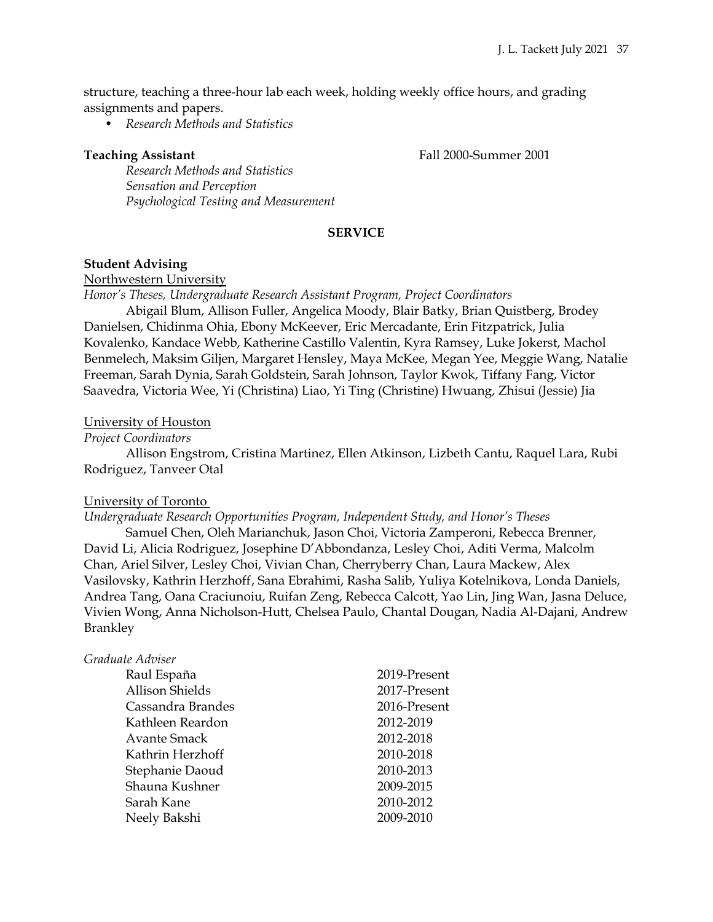structure, teaching a three-hour lab each week, holding weekly office hours, and grading assignments and papers.

• *Research Methods and Statistics*

**Teaching Assistant** Teaching Assistant **Fall 2000-Summer 2001** 

*Research Methods and Statistics Sensation and Perception Psychological Testing and Measurement*

# **SERVICE**

#### **Student Advising**

Northwestern University

*Honor's Theses, Undergraduate Research Assistant Program, Project Coordinators*

Abigail Blum, Allison Fuller, Angelica Moody, Blair Batky, Brian Quistberg, Brodey Danielsen, Chidinma Ohia, Ebony McKeever, Eric Mercadante, Erin Fitzpatrick, Julia Kovalenko, Kandace Webb, Katherine Castillo Valentin, Kyra Ramsey, Luke Jokerst, Machol Benmelech, Maksim Giljen, Margaret Hensley, Maya McKee, Megan Yee, Meggie Wang, Natalie Freeman, Sarah Dynia, Sarah Goldstein, Sarah Johnson, Taylor Kwok, Tiffany Fang, Victor Saavedra, Victoria Wee, Yi (Christina) Liao, Yi Ting (Christine) Hwuang, Zhisui (Jessie) Jia

### University of Houston

### *Project Coordinators*

Allison Engstrom, Cristina Martinez, Ellen Atkinson, Lizbeth Cantu, Raquel Lara, Rubi Rodriguez, Tanveer Otal

#### University of Toronto

*Undergraduate Research Opportunities Program, Independent Study, and Honor's Theses*

Samuel Chen, Oleh Marianchuk, Jason Choi, Victoria Zamperoni, Rebecca Brenner, David Li, Alicia Rodriguez, Josephine D'Abbondanza, Lesley Choi, Aditi Verma, Malcolm Chan, Ariel Silver, Lesley Choi, Vivian Chan, Cherryberry Chan, Laura Mackew, Alex Vasilovsky, Kathrin Herzhoff, Sana Ebrahimi, Rasha Salib, Yuliya Kotelnikova, Londa Daniels, Andrea Tang, Oana Craciunoiu, Ruifan Zeng, Rebecca Calcott, Yao Lin, Jing Wan, Jasna Deluce, Vivien Wong, Anna Nicholson-Hutt, Chelsea Paulo, Chantal Dougan, Nadia Al-Dajani, Andrew Brankley

# *Graduate Adviser*

| Raul España            | 2019-Present |
|------------------------|--------------|
| <b>Allison Shields</b> | 2017-Present |
| Cassandra Brandes      | 2016-Present |
| Kathleen Reardon       | 2012-2019    |
| Avante Smack           | 2012-2018    |
| Kathrin Herzhoff       | 2010-2018    |
| Stephanie Daoud        | 2010-2013    |
| Shauna Kushner         | 2009-2015    |
| Sarah Kane             | 2010-2012    |
| Neely Bakshi           | 2009-2010    |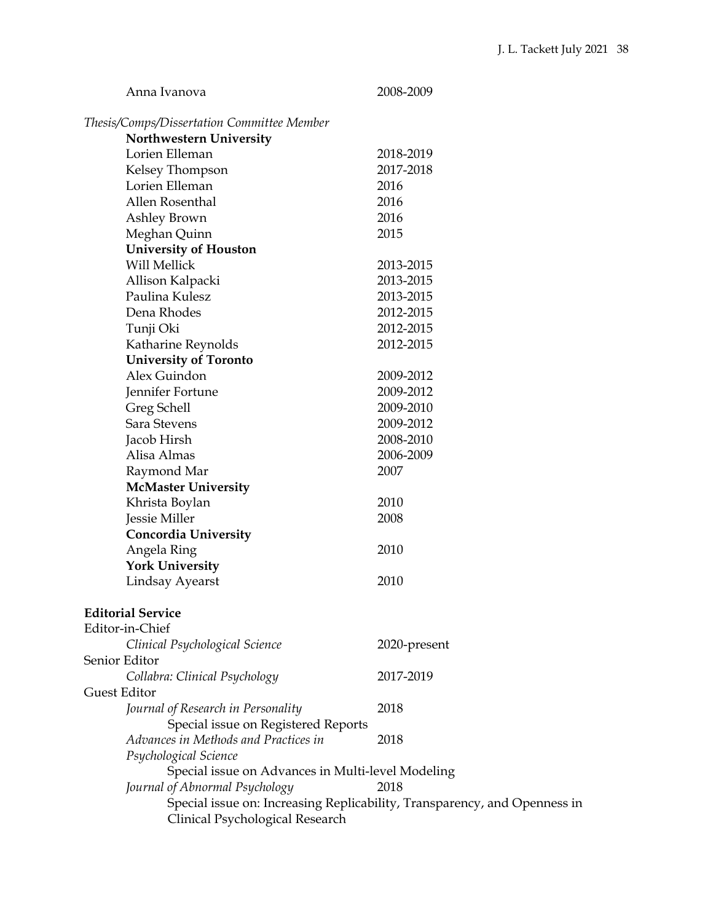| Anna Ivanova                                      | 2008-2009                                                                 |  |
|---------------------------------------------------|---------------------------------------------------------------------------|--|
| Thesis/Comps/Dissertation Committee Member        |                                                                           |  |
| <b>Northwestern University</b>                    |                                                                           |  |
| Lorien Elleman                                    | 2018-2019                                                                 |  |
| Kelsey Thompson                                   | 2017-2018                                                                 |  |
| Lorien Elleman                                    | 2016                                                                      |  |
| Allen Rosenthal                                   | 2016                                                                      |  |
| Ashley Brown                                      | 2016                                                                      |  |
| Meghan Quinn                                      | 2015                                                                      |  |
| <b>University of Houston</b>                      |                                                                           |  |
| <b>Will Mellick</b>                               | 2013-2015                                                                 |  |
| Allison Kalpacki                                  | 2013-2015                                                                 |  |
| Paulina Kulesz                                    | 2013-2015                                                                 |  |
| Dena Rhodes                                       | 2012-2015                                                                 |  |
| Tunji Oki                                         | 2012-2015                                                                 |  |
| Katharine Reynolds                                | 2012-2015                                                                 |  |
| <b>University of Toronto</b>                      |                                                                           |  |
| Alex Guindon                                      | 2009-2012                                                                 |  |
| Jennifer Fortune                                  | 2009-2012                                                                 |  |
| Greg Schell                                       | 2009-2010                                                                 |  |
| Sara Stevens                                      | 2009-2012                                                                 |  |
| Jacob Hirsh                                       | 2008-2010                                                                 |  |
| Alisa Almas                                       | 2006-2009                                                                 |  |
| Raymond Mar                                       | 2007                                                                      |  |
| <b>McMaster University</b>                        |                                                                           |  |
| Khrista Boylan                                    | 2010                                                                      |  |
| Jessie Miller                                     | 2008                                                                      |  |
| <b>Concordia University</b>                       |                                                                           |  |
| Angela Ring                                       | 2010                                                                      |  |
| <b>York University</b>                            |                                                                           |  |
| <b>Lindsay Ayearst</b>                            | 2010                                                                      |  |
| <b>Editorial Service</b>                          |                                                                           |  |
| Editor-in-Chief                                   |                                                                           |  |
| Clinical Psychological Science                    | 2020-present                                                              |  |
| Senior Editor                                     |                                                                           |  |
| Collabra: Clinical Psychology                     | 2017-2019                                                                 |  |
| Guest Editor                                      |                                                                           |  |
| Journal of Research in Personality                | 2018                                                                      |  |
| Special issue on Registered Reports               |                                                                           |  |
| Advances in Methods and Practices in              | 2018                                                                      |  |
| Psychological Science                             |                                                                           |  |
| Special issue on Advances in Multi-level Modeling |                                                                           |  |
| Journal of Abnormal Psychology                    | 2018                                                                      |  |
|                                                   | Special issue on: Increasing Replicability, Transparency, and Openness in |  |
| Clinical Psychological Research                   |                                                                           |  |
|                                                   |                                                                           |  |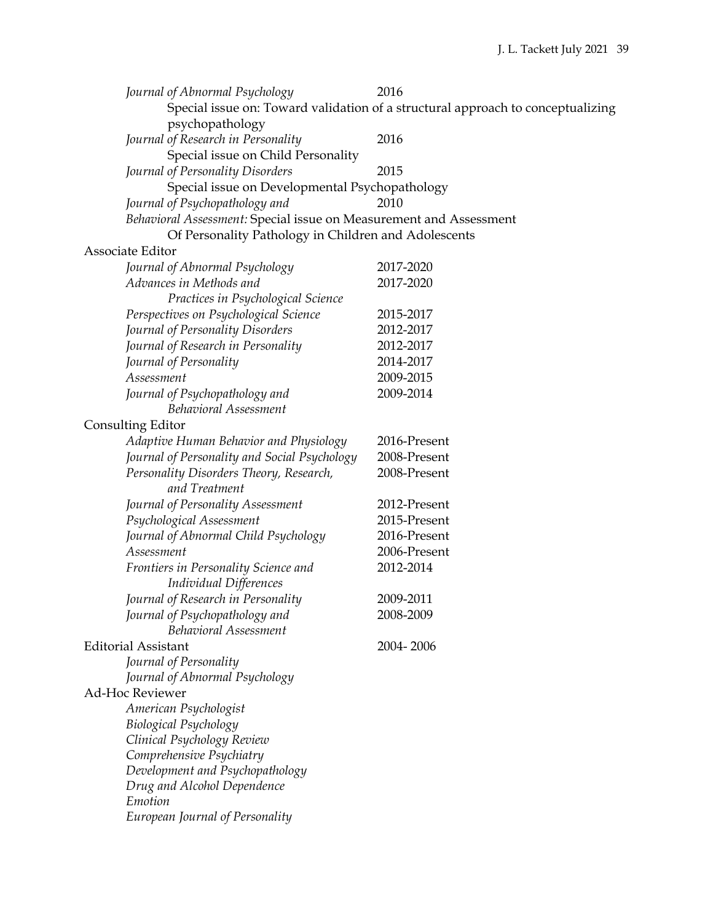| Journal of Abnormal Psychology                                     | 2016                                                                            |  |  |
|--------------------------------------------------------------------|---------------------------------------------------------------------------------|--|--|
|                                                                    | Special issue on: Toward validation of a structural approach to conceptualizing |  |  |
| psychopathology                                                    |                                                                                 |  |  |
| Journal of Research in Personality                                 | 2016                                                                            |  |  |
| Special issue on Child Personality                                 |                                                                                 |  |  |
| Journal of Personality Disorders                                   | 2015                                                                            |  |  |
| Special issue on Developmental Psychopathology                     |                                                                                 |  |  |
| Journal of Psychopathology and                                     | 2010                                                                            |  |  |
| Behavioral Assessment: Special issue on Measurement and Assessment |                                                                                 |  |  |
| Of Personality Pathology in Children and Adolescents               |                                                                                 |  |  |
| Associate Editor                                                   |                                                                                 |  |  |
| Journal of Abnormal Psychology                                     | 2017-2020                                                                       |  |  |
| Advances in Methods and                                            | 2017-2020                                                                       |  |  |
| Practices in Psychological Science                                 |                                                                                 |  |  |
| Perspectives on Psychological Science                              | 2015-2017                                                                       |  |  |
| Journal of Personality Disorders                                   | 2012-2017                                                                       |  |  |
| Journal of Research in Personality                                 | 2012-2017                                                                       |  |  |
| Journal of Personality                                             | 2014-2017                                                                       |  |  |
| Assessment                                                         | 2009-2015                                                                       |  |  |
| Journal of Psychopathology and                                     | 2009-2014                                                                       |  |  |
| <b>Behavioral Assessment</b>                                       |                                                                                 |  |  |
| <b>Consulting Editor</b>                                           |                                                                                 |  |  |
|                                                                    | 2016-Present                                                                    |  |  |
| Adaptive Human Behavior and Physiology                             | 2008-Present                                                                    |  |  |
| Journal of Personality and Social Psychology                       |                                                                                 |  |  |
| Personality Disorders Theory, Research,<br>and Treatment           | 2008-Present                                                                    |  |  |
| Journal of Personality Assessment                                  | 2012-Present                                                                    |  |  |
| Psychological Assessment                                           | 2015-Present                                                                    |  |  |
| Journal of Abnormal Child Psychology                               | 2016-Present                                                                    |  |  |
| Assessment                                                         | 2006-Present                                                                    |  |  |
| Frontiers in Personality Science and                               | 2012-2014                                                                       |  |  |
| <b>Individual Differences</b>                                      |                                                                                 |  |  |
| Journal of Research in Personality                                 | 2009-2011                                                                       |  |  |
| Journal of Psychopathology and                                     | 2008-2009                                                                       |  |  |
| <b>Behavioral Assessment</b>                                       |                                                                                 |  |  |
| <b>Editorial Assistant</b>                                         | 2004-2006                                                                       |  |  |
| Journal of Personality                                             |                                                                                 |  |  |
| Journal of Abnormal Psychology                                     |                                                                                 |  |  |
| <b>Ad-Hoc Reviewer</b>                                             |                                                                                 |  |  |
| American Psychologist                                              |                                                                                 |  |  |
| <b>Biological Psychology</b>                                       |                                                                                 |  |  |
| Clinical Psychology Review                                         |                                                                                 |  |  |
| Comprehensive Psychiatry                                           |                                                                                 |  |  |
| Development and Psychopathology                                    |                                                                                 |  |  |
| Drug and Alcohol Dependence                                        |                                                                                 |  |  |
| Emotion                                                            |                                                                                 |  |  |
| European Journal of Personality                                    |                                                                                 |  |  |
|                                                                    |                                                                                 |  |  |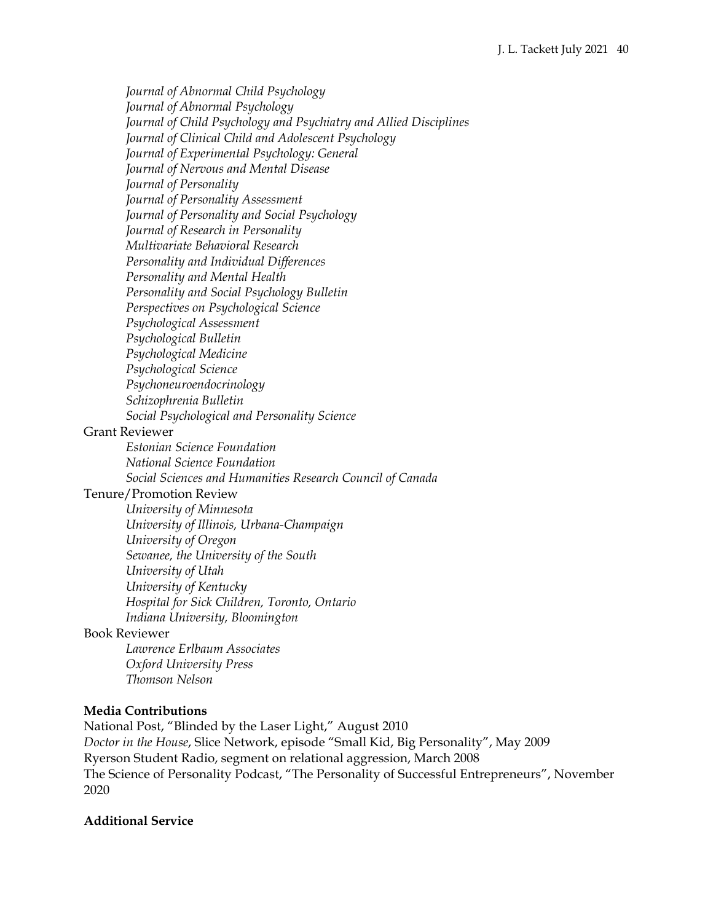*Journal of Abnormal Child Psychology Journal of Abnormal Psychology Journal of Child Psychology and Psychiatry and Allied Disciplines Journal of Clinical Child and Adolescent Psychology Journal of Experimental Psychology: General Journal of Nervous and Mental Disease Journal of Personality Journal of Personality Assessment Journal of Personality and Social Psychology Journal of Research in Personality Multivariate Behavioral Research Personality and Individual Differences Personality and Mental Health Personality and Social Psychology Bulletin Perspectives on Psychological Science Psychological Assessment Psychological Bulletin Psychological Medicine Psychological Science Psychoneuroendocrinology Schizophrenia Bulletin Social Psychological and Personality Science*

# Grant Reviewer

*Estonian Science Foundation National Science Foundation*

*Social Sciences and Humanities Research Council of Canada* 

# Tenure/Promotion Review

*University of Minnesota University of Illinois, Urbana-Champaign University of Oregon Sewanee, the University of the South University of Utah University of Kentucky Hospital for Sick Children, Toronto, Ontario Indiana University, Bloomington*

### Book Reviewer

*Lawrence Erlbaum Associates Oxford University Press Thomson Nelson*

### **Media Contributions**

National Post, "Blinded by the Laser Light," August 2010 *Doctor in the House*, Slice Network, episode "Small Kid, Big Personality", May 2009 Ryerson Student Radio, segment on relational aggression, March 2008 The Science of Personality Podcast, "The Personality of Successful Entrepreneurs", November 2020

### **Additional Service**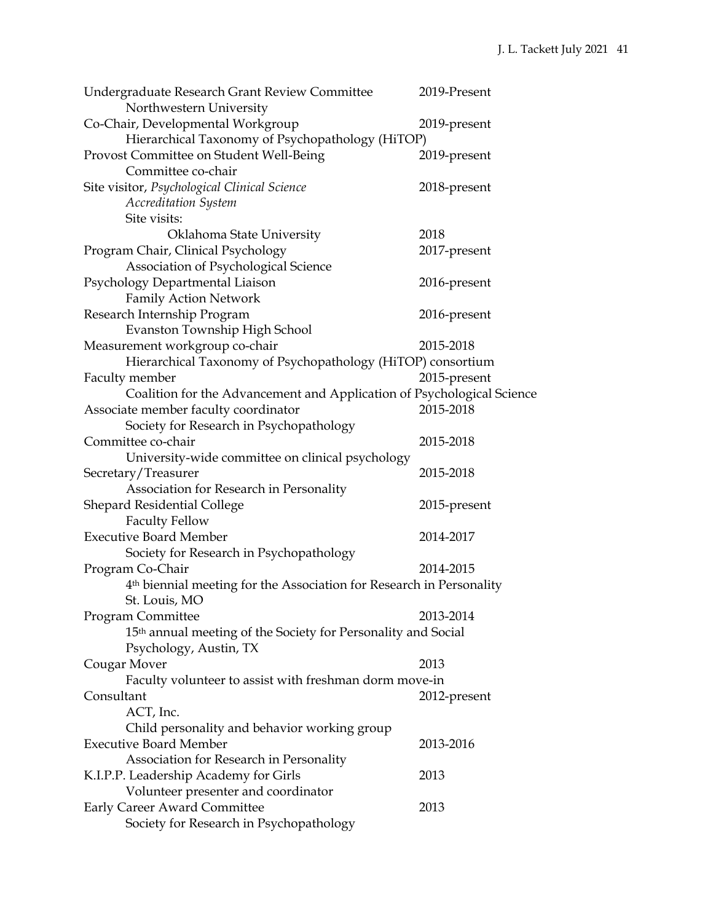| Undergraduate Research Grant Review Committee                                    | 2019-Present |
|----------------------------------------------------------------------------------|--------------|
| Northwestern University                                                          |              |
| Co-Chair, Developmental Workgroup                                                | 2019-present |
| Hierarchical Taxonomy of Psychopathology (HiTOP)                                 |              |
| Provost Committee on Student Well-Being                                          | 2019-present |
| Committee co-chair                                                               |              |
| Site visitor, Psychological Clinical Science                                     | 2018-present |
| <b>Accreditation System</b>                                                      |              |
| Site visits:                                                                     |              |
| Oklahoma State University                                                        | 2018         |
| Program Chair, Clinical Psychology                                               | 2017-present |
| Association of Psychological Science                                             |              |
| Psychology Departmental Liaison                                                  | 2016-present |
| <b>Family Action Network</b>                                                     |              |
| Research Internship Program                                                      | 2016-present |
| Evanston Township High School                                                    |              |
| Measurement workgroup co-chair                                                   | 2015-2018    |
| Hierarchical Taxonomy of Psychopathology (HiTOP) consortium                      |              |
| Faculty member                                                                   | 2015-present |
| Coalition for the Advancement and Application of Psychological Science           |              |
| Associate member faculty coordinator                                             | 2015-2018    |
| Society for Research in Psychopathology                                          |              |
| Committee co-chair                                                               | 2015-2018    |
| University-wide committee on clinical psychology                                 |              |
| Secretary/Treasurer                                                              | 2015-2018    |
| Association for Research in Personality                                          |              |
| <b>Shepard Residential College</b>                                               | 2015-present |
| <b>Faculty Fellow</b>                                                            |              |
| <b>Executive Board Member</b>                                                    | 2014-2017    |
| Society for Research in Psychopathology                                          |              |
|                                                                                  | 2014-2015    |
| Program Co-Chair                                                                 |              |
| 4 <sup>th</sup> biennial meeting for the Association for Research in Personality |              |
| St. Louis, MO                                                                    |              |
| <b>Program Committee</b>                                                         | 2013-2014    |
| 15 <sup>th</sup> annual meeting of the Society for Personality and Social        |              |
| Psychology, Austin, TX                                                           |              |
| Cougar Mover                                                                     | 2013         |
| Faculty volunteer to assist with freshman dorm move-in                           |              |
| Consultant                                                                       | 2012-present |
| ACT, Inc.                                                                        |              |
| Child personality and behavior working group                                     |              |
| <b>Executive Board Member</b>                                                    | 2013-2016    |
| Association for Research in Personality                                          |              |
| K.I.P.P. Leadership Academy for Girls                                            | 2013         |
| Volunteer presenter and coordinator                                              |              |
| Early Career Award Committee                                                     | 2013         |
| Society for Research in Psychopathology                                          |              |
|                                                                                  |              |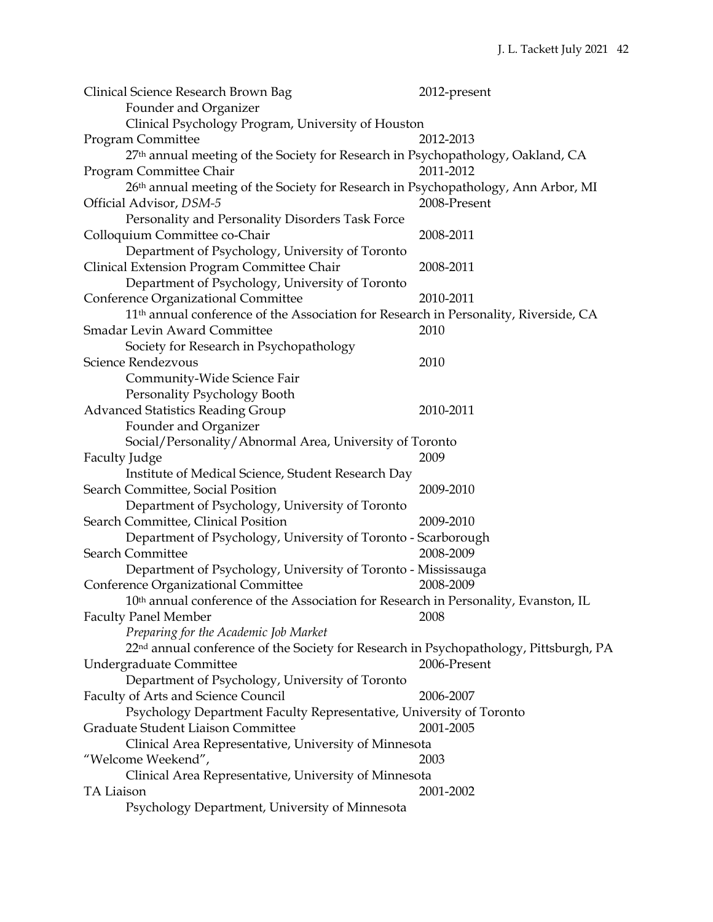| Clinical Science Research Brown Bag                                                               | 2012-present |
|---------------------------------------------------------------------------------------------------|--------------|
| Founder and Organizer                                                                             |              |
| Clinical Psychology Program, University of Houston                                                |              |
| Program Committee                                                                                 | 2012-2013    |
| 27th annual meeting of the Society for Research in Psychopathology, Oakland, CA                   |              |
| Program Committee Chair                                                                           | 2011-2012    |
| 26 <sup>th</sup> annual meeting of the Society for Research in Psychopathology, Ann Arbor, MI     |              |
| Official Advisor, DSM-5                                                                           | 2008-Present |
| Personality and Personality Disorders Task Force                                                  |              |
| Colloquium Committee co-Chair                                                                     | 2008-2011    |
| Department of Psychology, University of Toronto                                                   |              |
| Clinical Extension Program Committee Chair                                                        | 2008-2011    |
| Department of Psychology, University of Toronto                                                   |              |
| Conference Organizational Committee                                                               | 2010-2011    |
| 11 <sup>th</sup> annual conference of the Association for Research in Personality, Riverside, CA  |              |
| <b>Smadar Levin Award Committee</b>                                                               | 2010         |
| Society for Research in Psychopathology                                                           |              |
| Science Rendezvous                                                                                | 2010         |
| Community-Wide Science Fair                                                                       |              |
|                                                                                                   |              |
| Personality Psychology Booth                                                                      | 2010-2011    |
| <b>Advanced Statistics Reading Group</b>                                                          |              |
| Founder and Organizer                                                                             |              |
| Social/Personality/Abnormal Area, University of Toronto                                           |              |
| <b>Faculty Judge</b>                                                                              | 2009         |
| Institute of Medical Science, Student Research Day                                                |              |
| Search Committee, Social Position                                                                 | 2009-2010    |
| Department of Psychology, University of Toronto                                                   |              |
| Search Committee, Clinical Position                                                               | 2009-2010    |
| Department of Psychology, University of Toronto - Scarborough                                     |              |
| <b>Search Committee</b>                                                                           | 2008-2009    |
| Department of Psychology, University of Toronto - Mississauga                                     |              |
| Conference Organizational Committee                                                               | 2008-2009    |
| 10 <sup>th</sup> annual conference of the Association for Research in Personality, Evanston, IL   |              |
| <b>Faculty Panel Member</b>                                                                       | 2008         |
| Preparing for the Academic Job Market                                                             |              |
| 22 <sup>nd</sup> annual conference of the Society for Research in Psychopathology, Pittsburgh, PA |              |
| Undergraduate Committee                                                                           | 2006-Present |
| Department of Psychology, University of Toronto                                                   |              |
| <b>Faculty of Arts and Science Council</b>                                                        | 2006-2007    |
| Psychology Department Faculty Representative, University of Toronto                               |              |
| Graduate Student Liaison Committee                                                                | 2001-2005    |
| Clinical Area Representative, University of Minnesota                                             |              |
| "Welcome Weekend",                                                                                | 2003         |
| Clinical Area Representative, University of Minnesota                                             |              |
| <b>TA Liaison</b>                                                                                 | 2001-2002    |
| Psychology Department, University of Minnesota                                                    |              |
|                                                                                                   |              |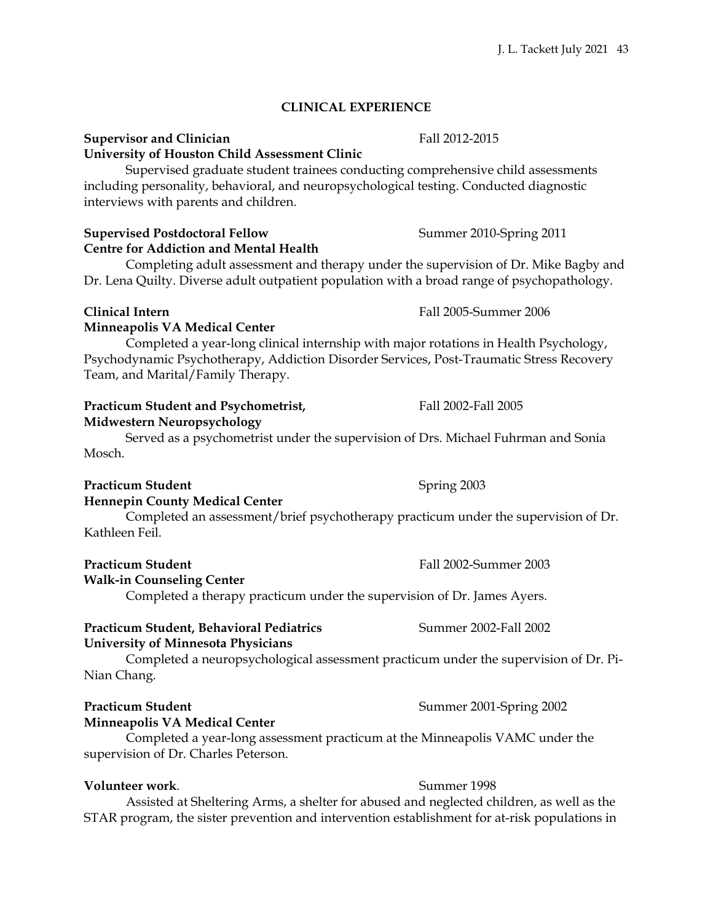# **CLINICAL EXPERIENCE**

### **Supervisor and Clinician** Fall 2012-2015 **University of Houston Child Assessment Clinic**

Supervised graduate student trainees conducting comprehensive child assessments including personality, behavioral, and neuropsychological testing. Conducted diagnostic interviews with parents and children.

# **Supervised Postdoctoral Fellow Summer 2010-Spring 2011 Centre for Addiction and Mental Health**

Completing adult assessment and therapy under the supervision of Dr. Mike Bagby and Dr. Lena Quilty. Diverse adult outpatient population with a broad range of psychopathology.

### **Minneapolis VA Medical Center**

Completed a year-long clinical internship with major rotations in Health Psychology, Psychodynamic Psychotherapy, Addiction Disorder Services, Post-Traumatic Stress Recovery Team, and Marital/Family Therapy.

# **Practicum Student and Psychometrist, Fall 2002-Fall 2005**

# **Midwestern Neuropsychology**

Served as a psychometrist under the supervision of Drs. Michael Fuhrman and Sonia Mosch.

### **Practicum Student** Spring 2003 **Hennepin County Medical Center**

Completed an assessment/brief psychotherapy practicum under the supervision of Dr. Kathleen Feil.

### **Walk-in Counseling Center**

Completed a therapy practicum under the supervision of Dr. James Ayers.

### **Practicum Student, Behavioral Pediatrics** Summer 2002-Fall 2002 **University of Minnesota Physicians**

Completed a neuropsychological assessment practicum under the supervision of Dr. Pi-Nian Chang.

# **Practicum Student Summer 2001-Spring 2002**

### **Minneapolis VA Medical Center**

Completed a year-long assessment practicum at the Minneapolis VAMC under the supervision of Dr. Charles Peterson.

# **Volunteer work.** Summer 1998

Assisted at Sheltering Arms, a shelter for abused and neglected children, as well as the STAR program, the sister prevention and intervention establishment for at-risk populations in

### **Clinical Intern** Fall 2005-Summer 2006

**Practicum Student Fall 2002-Summer 2003**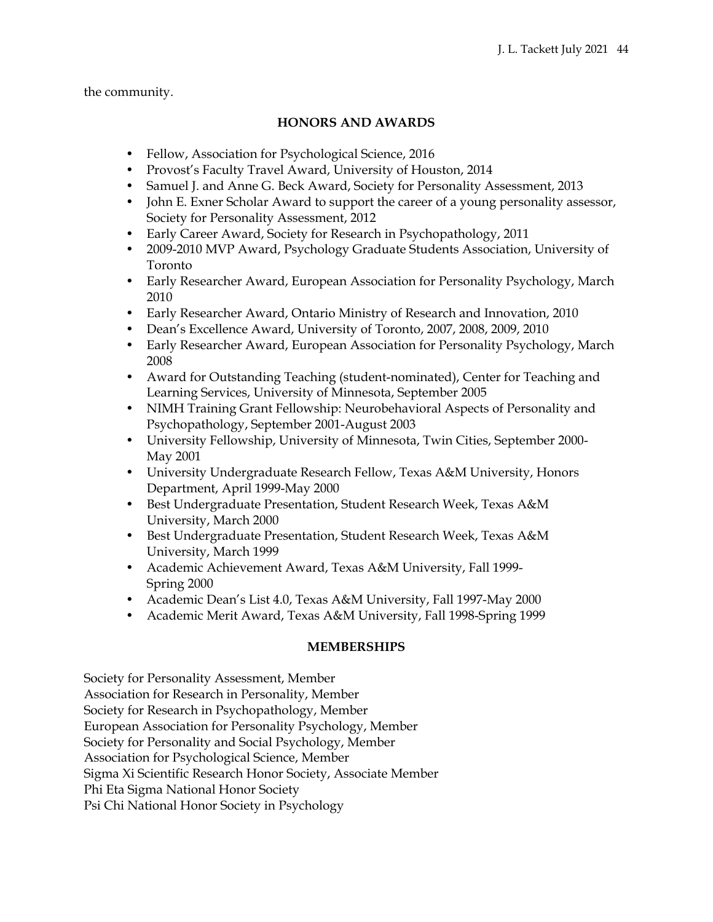the community.

# **HONORS AND AWARDS**

- Fellow, Association for Psychological Science, 2016
- Provost's Faculty Travel Award, University of Houston, 2014
- Samuel J. and Anne G. Beck Award, Society for Personality Assessment, 2013
- John E. Exner Scholar Award to support the career of a young personality assessor, Society for Personality Assessment, 2012
- Early Career Award, Society for Research in Psychopathology, 2011
- 2009-2010 MVP Award, Psychology Graduate Students Association, University of Toronto
- Early Researcher Award, European Association for Personality Psychology, March 2010
- Early Researcher Award, Ontario Ministry of Research and Innovation, 2010
- Dean's Excellence Award, University of Toronto, 2007, 2008, 2009, 2010
- Early Researcher Award, European Association for Personality Psychology, March 2008
- Award for Outstanding Teaching (student-nominated), Center for Teaching and Learning Services, University of Minnesota, September 2005
- NIMH Training Grant Fellowship: Neurobehavioral Aspects of Personality and Psychopathology, September 2001-August 2003
- University Fellowship, University of Minnesota, Twin Cities, September 2000- May 2001
- University Undergraduate Research Fellow, Texas A&M University, Honors Department, April 1999-May 2000
- Best Undergraduate Presentation, Student Research Week, Texas A&M University, March 2000
- Best Undergraduate Presentation, Student Research Week, Texas A&M University, March 1999
- Academic Achievement Award, Texas A&M University, Fall 1999- Spring 2000
- Academic Dean's List 4.0, Texas A&M University, Fall 1997-May 2000
- Academic Merit Award, Texas A&M University, Fall 1998-Spring 1999

# **MEMBERSHIPS**

Society for Personality Assessment, Member Association for Research in Personality, Member Society for Research in Psychopathology, Member European Association for Personality Psychology, Member Society for Personality and Social Psychology, Member Association for Psychological Science, Member Sigma Xi Scientific Research Honor Society, Associate Member Phi Eta Sigma National Honor Society Psi Chi National Honor Society in Psychology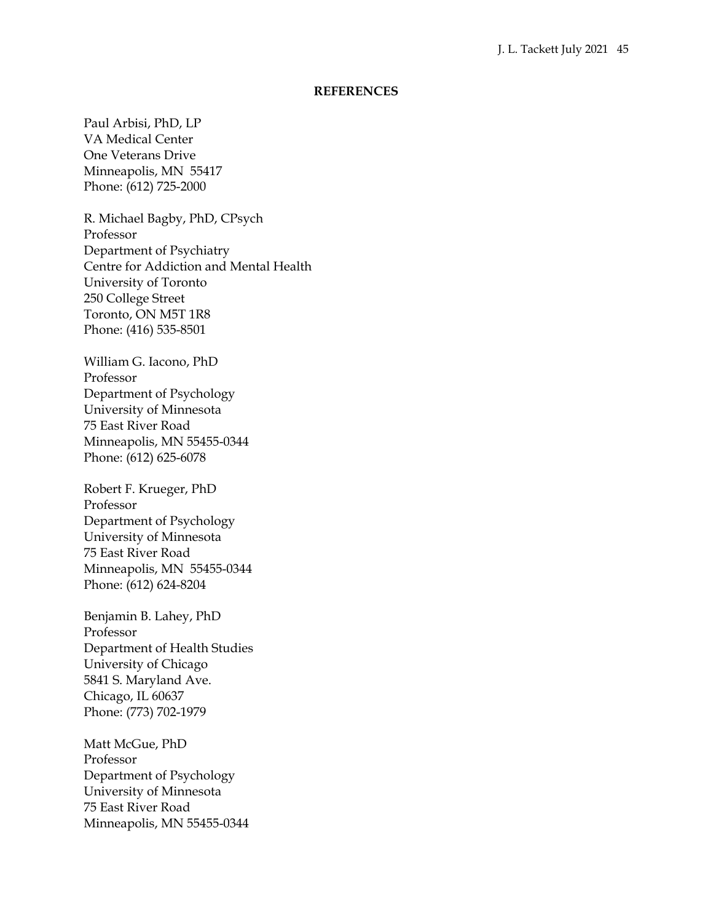#### **REFERENCES**

Paul Arbisi, PhD, LP VA Medical Center One Veterans Drive Minneapolis, MN 55417 Phone: (612) 725-2000

R. Michael Bagby, PhD, CPsych Professor Department of Psychiatry Centre for Addiction and Mental Health University of Toronto 250 College Street Toronto, ON M5T 1R8 Phone: (416) 535-8501

William G. Iacono, PhD Professor Department of Psychology University of Minnesota 75 East River Road Minneapolis, MN 55455-0344 Phone: (612) 625-6078

Robert F. Krueger, PhD Professor Department of Psychology University of Minnesota 75 East River Road Minneapolis, MN 55455-0344 Phone: (612) 624-8204

Benjamin B. Lahey, PhD Professor Department of Health Studies University of Chicago 5841 S. Maryland Ave. Chicago, IL 60637 Phone: (773) 702-1979

Matt McGue, PhD Professor Department of Psychology University of Minnesota 75 East River Road Minneapolis, MN 55455-0344